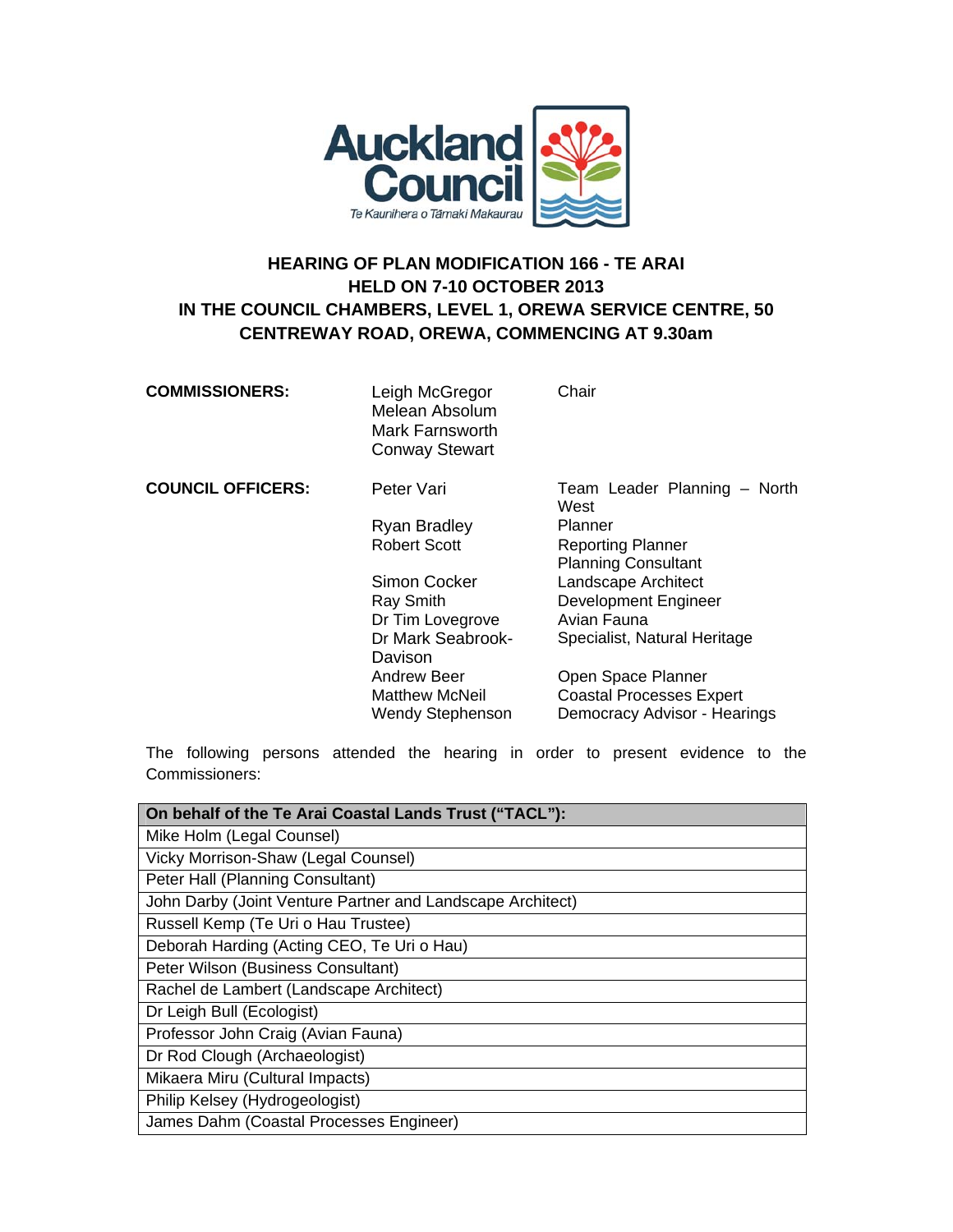

## **HEARING OF PLAN MODIFICATION 166 - TE ARAI HELD ON 7-10 OCTOBER 2013 IN THE COUNCIL CHAMBERS, LEVEL 1, OREWA SERVICE CENTRE, 50 CENTREWAY ROAD, OREWA, COMMENCING AT 9.30am**

| <b>COMMISSIONERS:</b>    | Leigh McGregor<br>Melean Absolum<br>Mark Farnsworth<br><b>Conway Stewart</b> | Chair                                |
|--------------------------|------------------------------------------------------------------------------|--------------------------------------|
| <b>COUNCIL OFFICERS:</b> | Peter Vari                                                                   | Team Leader Planning - North<br>West |
|                          | <b>Ryan Bradley</b>                                                          | Planner                              |
|                          | <b>Robert Scott</b>                                                          | <b>Reporting Planner</b>             |
|                          |                                                                              | <b>Planning Consultant</b>           |
|                          | Simon Cocker                                                                 | Landscape Architect                  |
|                          | Ray Smith                                                                    | <b>Development Engineer</b>          |
|                          | Dr Tim Lovegrove                                                             | Avian Fauna                          |
|                          | Dr Mark Seabrook-<br>Davison                                                 | Specialist, Natural Heritage         |
|                          | Andrew Beer                                                                  | Open Space Planner                   |
|                          | Matthew McNeil                                                               | <b>Coastal Processes Expert</b>      |
|                          | <b>Wendy Stephenson</b>                                                      | Democracy Advisor - Hearings         |

The following persons attended the hearing in order to present evidence to the Commissioners:

| On behalf of the Te Arai Coastal Lands Trust ("TACL"):     |
|------------------------------------------------------------|
| Mike Holm (Legal Counsel)                                  |
| Vicky Morrison-Shaw (Legal Counsel)                        |
| Peter Hall (Planning Consultant)                           |
| John Darby (Joint Venture Partner and Landscape Architect) |
| Russell Kemp (Te Uri o Hau Trustee)                        |
| Deborah Harding (Acting CEO, Te Uri o Hau)                 |
| Peter Wilson (Business Consultant)                         |
| Rachel de Lambert (Landscape Architect)                    |
| Dr Leigh Bull (Ecologist)                                  |
| Professor John Craig (Avian Fauna)                         |
| Dr Rod Clough (Archaeologist)                              |
| Mikaera Miru (Cultural Impacts)                            |
| Philip Kelsey (Hydrogeologist)                             |
| James Dahm (Coastal Processes Engineer)                    |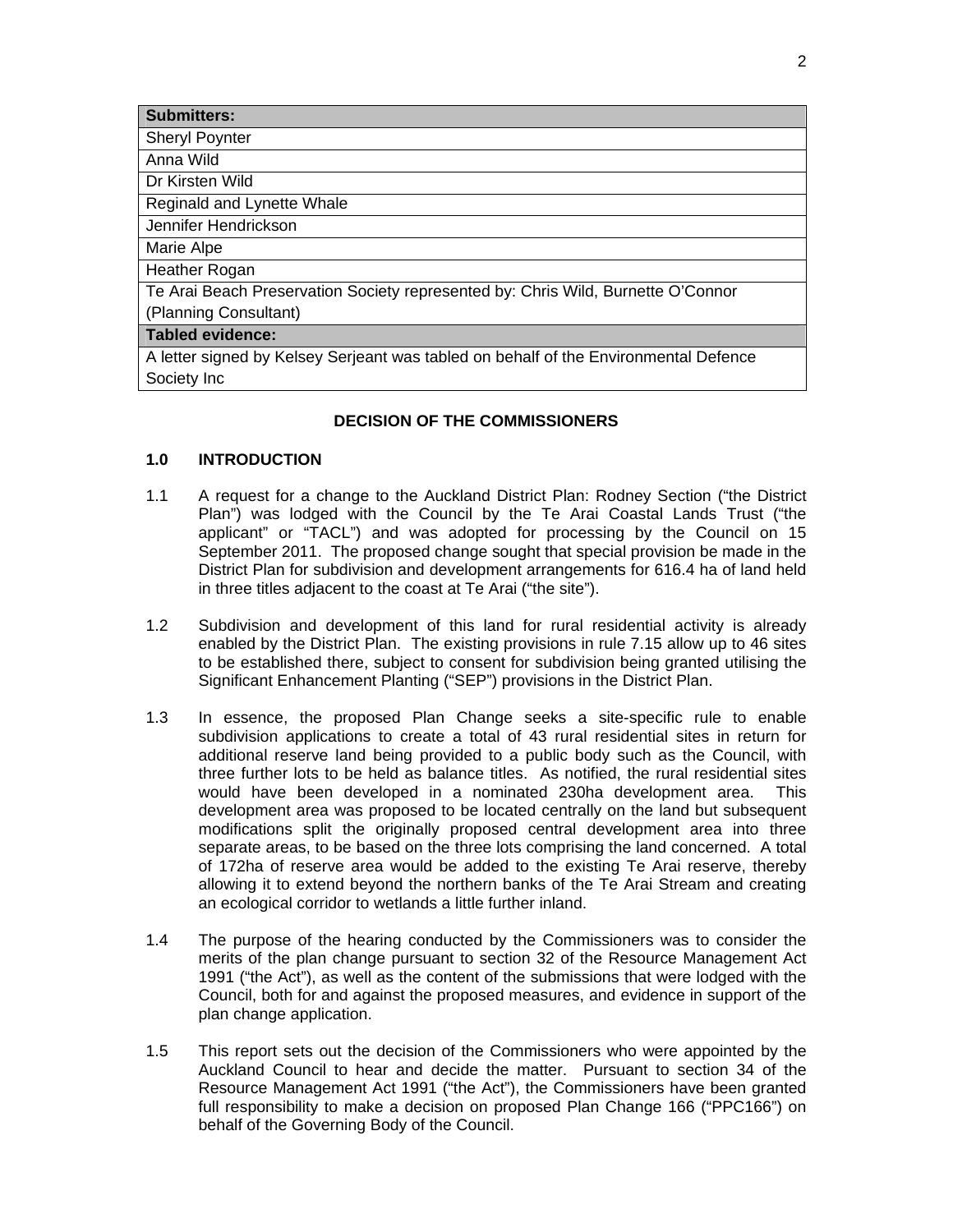| <b>Submitters:</b>                                                                   |
|--------------------------------------------------------------------------------------|
| <b>Sheryl Poynter</b>                                                                |
| Anna Wild                                                                            |
| Dr Kirsten Wild                                                                      |
| Reginald and Lynette Whale                                                           |
| Jennifer Hendrickson                                                                 |
| Marie Alpe                                                                           |
| <b>Heather Rogan</b>                                                                 |
| Te Arai Beach Preservation Society represented by: Chris Wild, Burnette O'Connor     |
| (Planning Consultant)                                                                |
| <b>Tabled evidence:</b>                                                              |
| A letter signed by Kelsey Serjeant was tabled on behalf of the Environmental Defence |
| Society Inc                                                                          |

## **DECISION OF THE COMMISSIONERS**

## **1.0 INTRODUCTION**

- 1.1 A request for a change to the Auckland District Plan: Rodney Section ("the District Plan") was lodged with the Council by the Te Arai Coastal Lands Trust ("the applicant" or "TACL") and was adopted for processing by the Council on 15 September 2011. The proposed change sought that special provision be made in the District Plan for subdivision and development arrangements for 616.4 ha of land held in three titles adjacent to the coast at Te Arai ("the site").
- 1.2 Subdivision and development of this land for rural residential activity is already enabled by the District Plan. The existing provisions in rule 7.15 allow up to 46 sites to be established there, subject to consent for subdivision being granted utilising the Significant Enhancement Planting ("SEP") provisions in the District Plan.
- 1.3 In essence, the proposed Plan Change seeks a site-specific rule to enable subdivision applications to create a total of 43 rural residential sites in return for additional reserve land being provided to a public body such as the Council, with three further lots to be held as balance titles. As notified, the rural residential sites would have been developed in a nominated 230ha development area. This development area was proposed to be located centrally on the land but subsequent modifications split the originally proposed central development area into three separate areas, to be based on the three lots comprising the land concerned. A total of 172ha of reserve area would be added to the existing Te Arai reserve, thereby allowing it to extend beyond the northern banks of the Te Arai Stream and creating an ecological corridor to wetlands a little further inland.
- 1.4 The purpose of the hearing conducted by the Commissioners was to consider the merits of the plan change pursuant to section 32 of the Resource Management Act 1991 ("the Act"), as well as the content of the submissions that were lodged with the Council, both for and against the proposed measures, and evidence in support of the plan change application.
- 1.5 This report sets out the decision of the Commissioners who were appointed by the Auckland Council to hear and decide the matter. Pursuant to section 34 of the Resource Management Act 1991 ("the Act"), the Commissioners have been granted full responsibility to make a decision on proposed Plan Change 166 ("PPC166") on behalf of the Governing Body of the Council.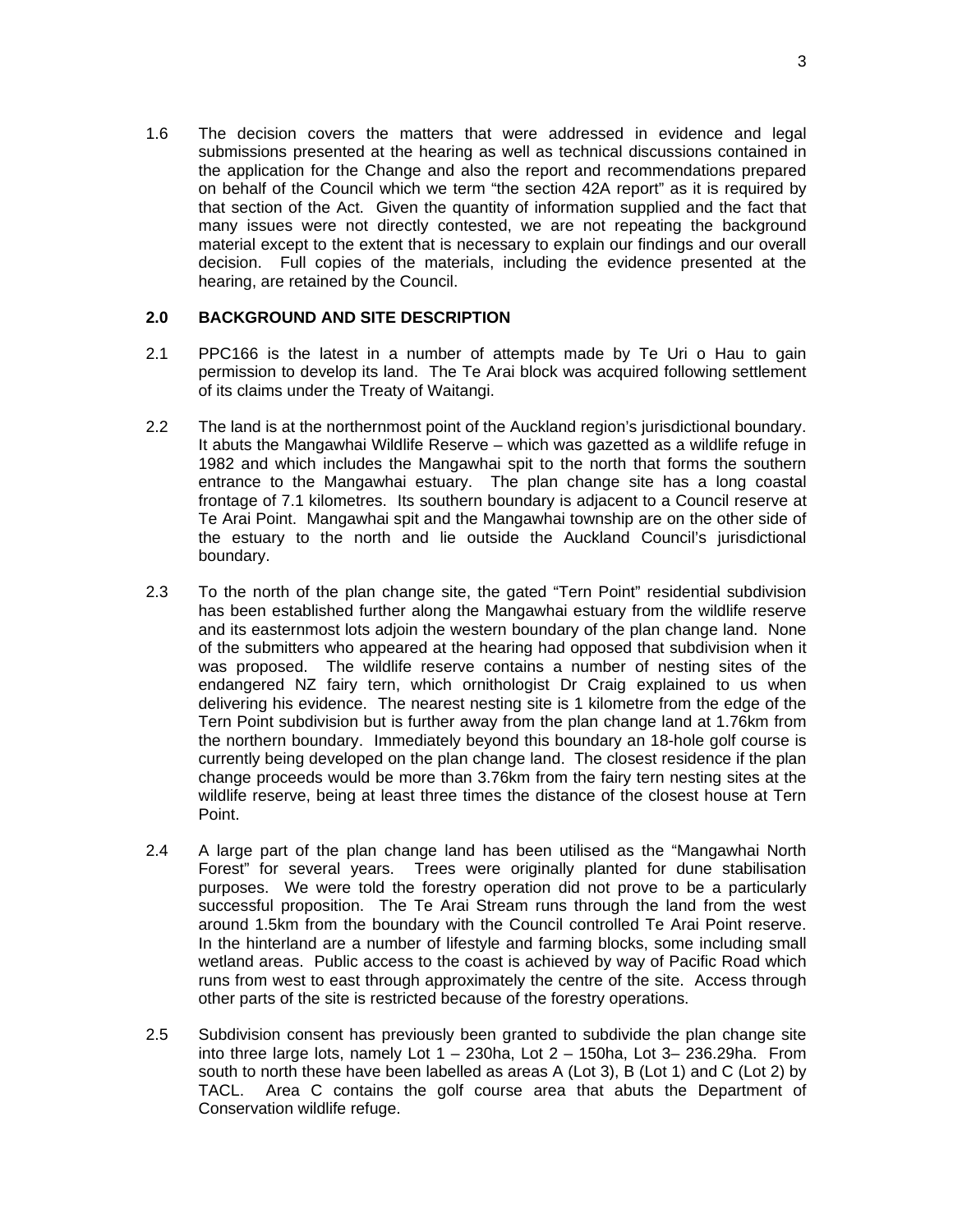1.6 The decision covers the matters that were addressed in evidence and legal submissions presented at the hearing as well as technical discussions contained in the application for the Change and also the report and recommendations prepared on behalf of the Council which we term "the section 42A report" as it is required by that section of the Act. Given the quantity of information supplied and the fact that many issues were not directly contested, we are not repeating the background material except to the extent that is necessary to explain our findings and our overall decision. Full copies of the materials, including the evidence presented at the hearing, are retained by the Council.

## **2.0 BACKGROUND AND SITE DESCRIPTION**

- 2.1 PPC166 is the latest in a number of attempts made by Te Uri o Hau to gain permission to develop its land. The Te Arai block was acquired following settlement of its claims under the Treaty of Waitangi.
- 2.2 The land is at the northernmost point of the Auckland region's jurisdictional boundary. It abuts the Mangawhai Wildlife Reserve – which was gazetted as a wildlife refuge in 1982 and which includes the Mangawhai spit to the north that forms the southern entrance to the Mangawhai estuary. The plan change site has a long coastal frontage of 7.1 kilometres. Its southern boundary is adjacent to a Council reserve at Te Arai Point. Mangawhai spit and the Mangawhai township are on the other side of the estuary to the north and lie outside the Auckland Council's jurisdictional boundary.
- 2.3 To the north of the plan change site, the gated "Tern Point" residential subdivision has been established further along the Mangawhai estuary from the wildlife reserve and its easternmost lots adjoin the western boundary of the plan change land. None of the submitters who appeared at the hearing had opposed that subdivision when it was proposed. The wildlife reserve contains a number of nesting sites of the endangered NZ fairy tern, which ornithologist Dr Craig explained to us when delivering his evidence. The nearest nesting site is 1 kilometre from the edge of the Tern Point subdivision but is further away from the plan change land at 1.76km from the northern boundary. Immediately beyond this boundary an 18-hole golf course is currently being developed on the plan change land. The closest residence if the plan change proceeds would be more than 3.76km from the fairy tern nesting sites at the wildlife reserve, being at least three times the distance of the closest house at Tern Point.
- 2.4 A large part of the plan change land has been utilised as the "Mangawhai North Forest" for several years. Trees were originally planted for dune stabilisation purposes. We were told the forestry operation did not prove to be a particularly successful proposition. The Te Arai Stream runs through the land from the west around 1.5km from the boundary with the Council controlled Te Arai Point reserve. In the hinterland are a number of lifestyle and farming blocks, some including small wetland areas. Public access to the coast is achieved by way of Pacific Road which runs from west to east through approximately the centre of the site. Access through other parts of the site is restricted because of the forestry operations.
- 2.5 Subdivision consent has previously been granted to subdivide the plan change site into three large lots, namely Lot  $1 - 230$ ha, Lot  $2 - 150$ ha, Lot  $3 - 236.29$ ha. From south to north these have been labelled as areas A (Lot 3), B (Lot 1) and C (Lot 2) by TACL. Area C contains the golf course area that abuts the Department of Conservation wildlife refuge.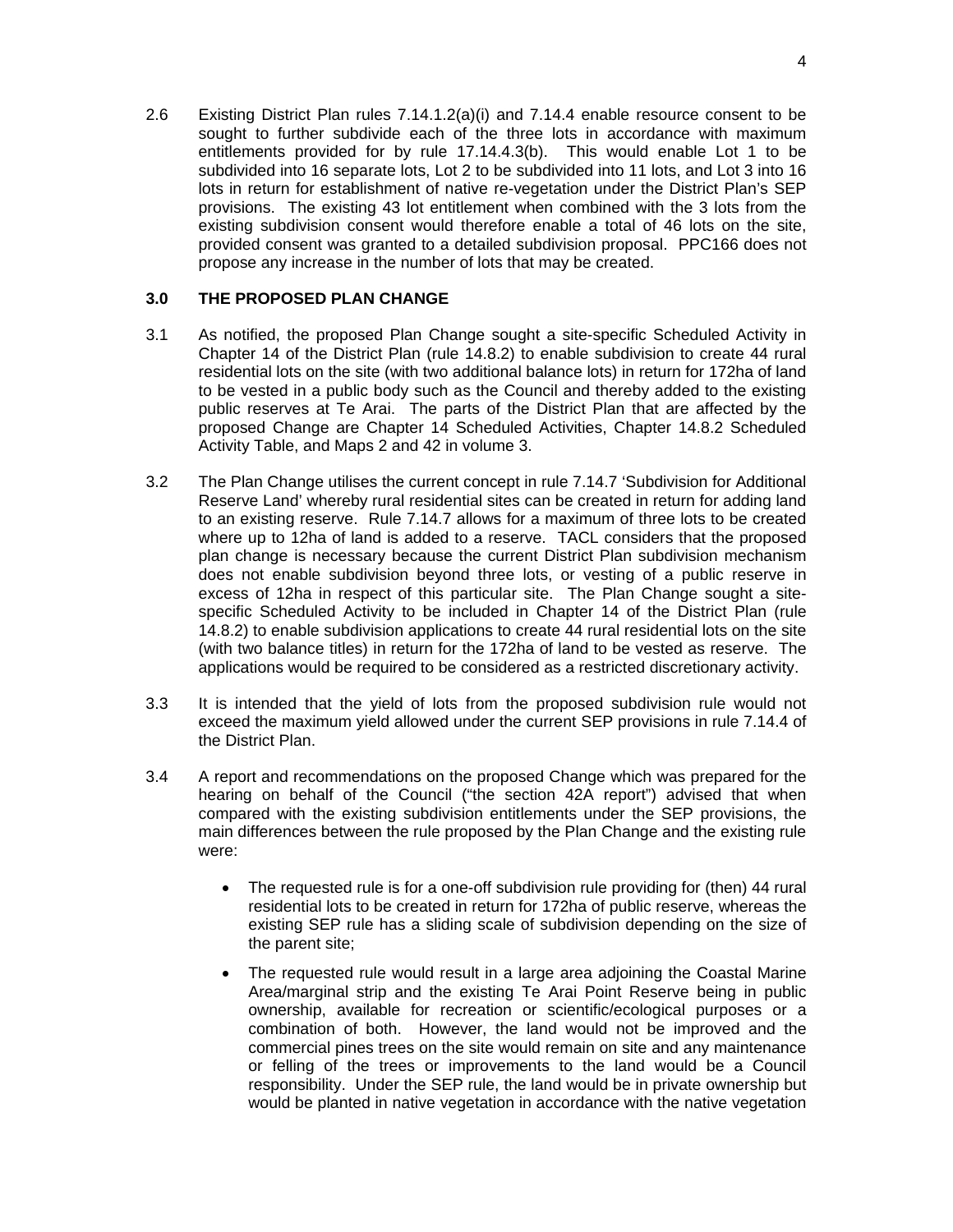2.6 Existing District Plan rules 7.14.1.2(a)(i) and 7.14.4 enable resource consent to be sought to further subdivide each of the three lots in accordance with maximum entitlements provided for by rule 17.14.4.3(b). This would enable Lot 1 to be subdivided into 16 separate lots, Lot 2 to be subdivided into 11 lots, and Lot 3 into 16 lots in return for establishment of native re-vegetation under the District Plan's SEP provisions. The existing 43 lot entitlement when combined with the 3 lots from the existing subdivision consent would therefore enable a total of 46 lots on the site, provided consent was granted to a detailed subdivision proposal. PPC166 does not propose any increase in the number of lots that may be created.

## **3.0 THE PROPOSED PLAN CHANGE**

- 3.1 As notified, the proposed Plan Change sought a site-specific Scheduled Activity in Chapter 14 of the District Plan (rule 14.8.2) to enable subdivision to create 44 rural residential lots on the site (with two additional balance lots) in return for 172ha of land to be vested in a public body such as the Council and thereby added to the existing public reserves at Te Arai. The parts of the District Plan that are affected by the proposed Change are Chapter 14 Scheduled Activities, Chapter 14.8.2 Scheduled Activity Table, and Maps 2 and 42 in volume 3.
- 3.2 The Plan Change utilises the current concept in rule 7.14.7 'Subdivision for Additional Reserve Land' whereby rural residential sites can be created in return for adding land to an existing reserve. Rule 7.14.7 allows for a maximum of three lots to be created where up to 12ha of land is added to a reserve. TACL considers that the proposed plan change is necessary because the current District Plan subdivision mechanism does not enable subdivision beyond three lots, or vesting of a public reserve in excess of 12ha in respect of this particular site. The Plan Change sought a sitespecific Scheduled Activity to be included in Chapter 14 of the District Plan (rule 14.8.2) to enable subdivision applications to create 44 rural residential lots on the site (with two balance titles) in return for the 172ha of land to be vested as reserve. The applications would be required to be considered as a restricted discretionary activity.
- 3.3 It is intended that the yield of lots from the proposed subdivision rule would not exceed the maximum yield allowed under the current SEP provisions in rule 7.14.4 of the District Plan.
- 3.4 A report and recommendations on the proposed Change which was prepared for the hearing on behalf of the Council ("the section 42A report") advised that when compared with the existing subdivision entitlements under the SEP provisions, the main differences between the rule proposed by the Plan Change and the existing rule were:
	- The requested rule is for a one-off subdivision rule providing for (then) 44 rural residential lots to be created in return for 172ha of public reserve, whereas the existing SEP rule has a sliding scale of subdivision depending on the size of the parent site;
	- The requested rule would result in a large area adjoining the Coastal Marine Area/marginal strip and the existing Te Arai Point Reserve being in public ownership, available for recreation or scientific/ecological purposes or a combination of both. However, the land would not be improved and the commercial pines trees on the site would remain on site and any maintenance or felling of the trees or improvements to the land would be a Council responsibility. Under the SEP rule, the land would be in private ownership but would be planted in native vegetation in accordance with the native vegetation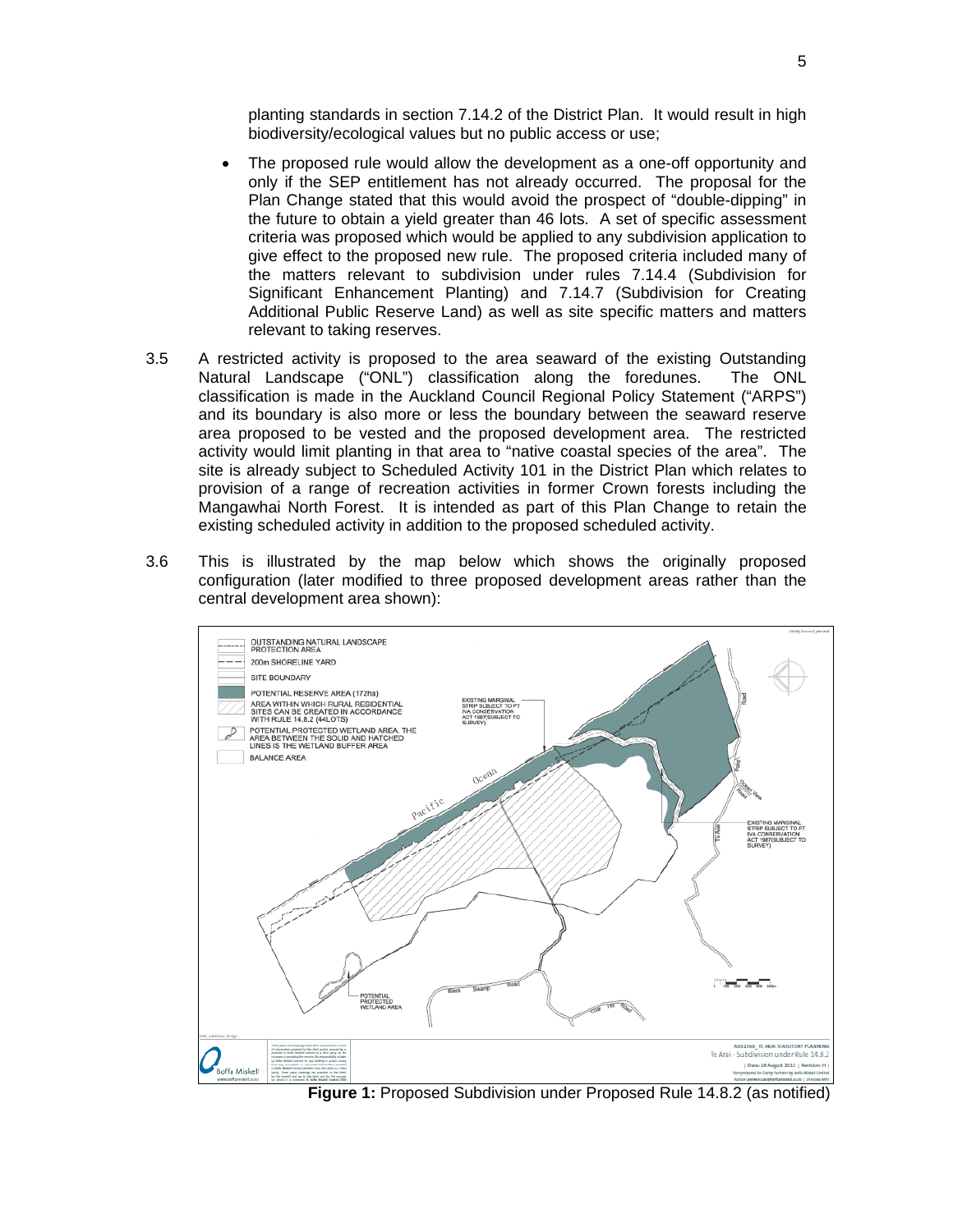planting standards in section 7.14.2 of the District Plan. It would result in high biodiversity/ecological values but no public access or use;

- The proposed rule would allow the development as a one-off opportunity and only if the SEP entitlement has not already occurred. The proposal for the Plan Change stated that this would avoid the prospect of "double-dipping" in the future to obtain a yield greater than 46 lots. A set of specific assessment criteria was proposed which would be applied to any subdivision application to give effect to the proposed new rule. The proposed criteria included many of the matters relevant to subdivision under rules 7.14.4 (Subdivision for Significant Enhancement Planting) and 7.14.7 (Subdivision for Creating Additional Public Reserve Land) as well as site specific matters and matters relevant to taking reserves.
- 3.5 A restricted activity is proposed to the area seaward of the existing Outstanding Natural Landscape ("ONL") classification along the foredunes. The ONL classification is made in the Auckland Council Regional Policy Statement ("ARPS") and its boundary is also more or less the boundary between the seaward reserve area proposed to be vested and the proposed development area. The restricted activity would limit planting in that area to "native coastal species of the area". The site is already subject to Scheduled Activity 101 in the District Plan which relates to provision of a range of recreation activities in former Crown forests including the Mangawhai North Forest. It is intended as part of this Plan Change to retain the existing scheduled activity in addition to the proposed scheduled activity.
- 3.6 This is illustrated by the map below which shows the originally proposed configuration (later modified to three proposed development areas rather than the central development area shown):



**Figure 1:** Proposed Subdivision under Proposed Rule 14.8.2 (as notified)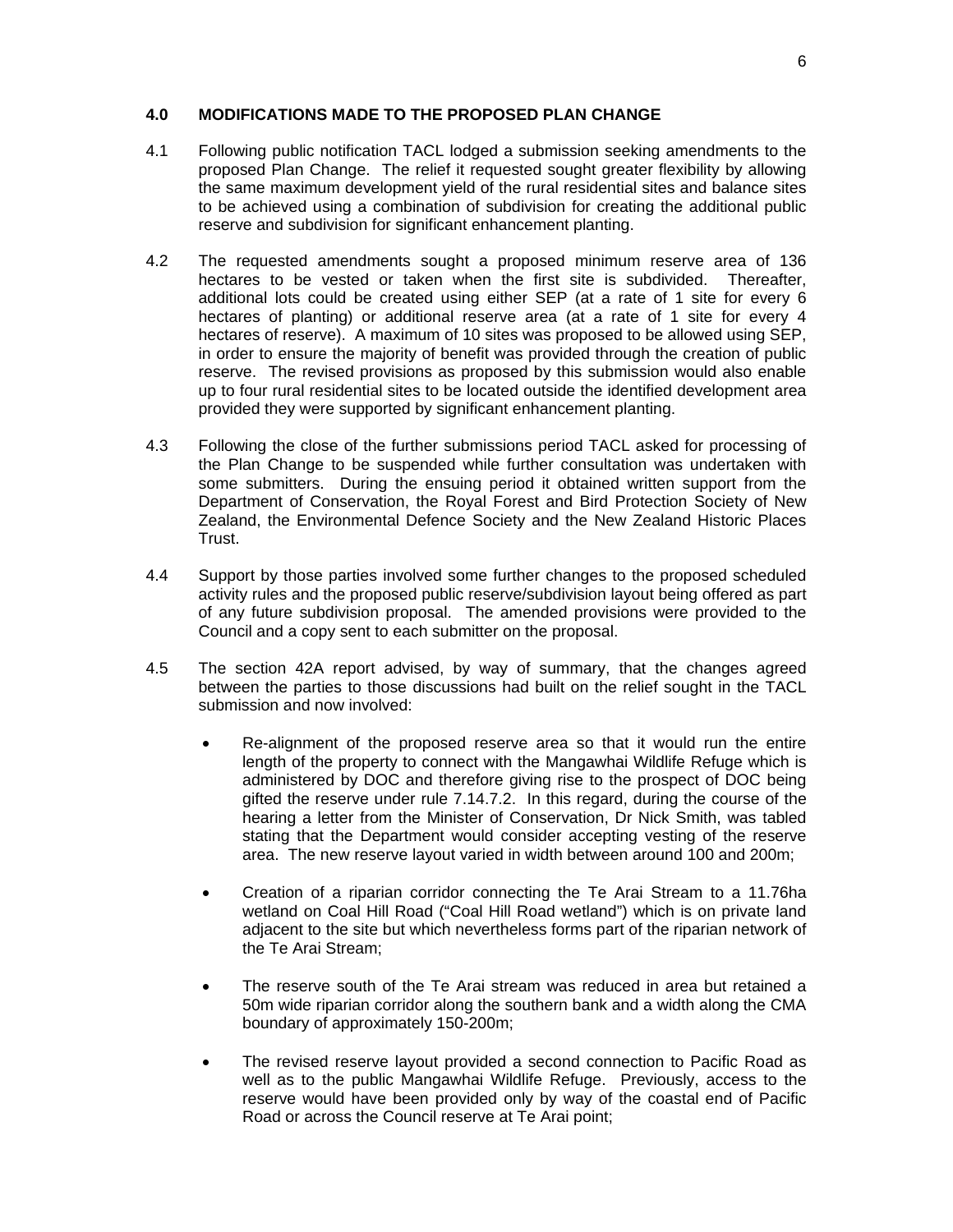#### **4.0 MODIFICATIONS MADE TO THE PROPOSED PLAN CHANGE**

- 4.1 Following public notification TACL lodged a submission seeking amendments to the proposed Plan Change. The relief it requested sought greater flexibility by allowing the same maximum development yield of the rural residential sites and balance sites to be achieved using a combination of subdivision for creating the additional public reserve and subdivision for significant enhancement planting.
- 4.2 The requested amendments sought a proposed minimum reserve area of 136 hectares to be vested or taken when the first site is subdivided. Thereafter, additional lots could be created using either SEP (at a rate of 1 site for every 6 hectares of planting) or additional reserve area (at a rate of 1 site for every 4 hectares of reserve). A maximum of 10 sites was proposed to be allowed using SEP, in order to ensure the majority of benefit was provided through the creation of public reserve. The revised provisions as proposed by this submission would also enable up to four rural residential sites to be located outside the identified development area provided they were supported by significant enhancement planting.
- 4.3 Following the close of the further submissions period TACL asked for processing of the Plan Change to be suspended while further consultation was undertaken with some submitters. During the ensuing period it obtained written support from the Department of Conservation, the Royal Forest and Bird Protection Society of New Zealand, the Environmental Defence Society and the New Zealand Historic Places Trust.
- 4.4 Support by those parties involved some further changes to the proposed scheduled activity rules and the proposed public reserve/subdivision layout being offered as part of any future subdivision proposal. The amended provisions were provided to the Council and a copy sent to each submitter on the proposal.
- 4.5 The section 42A report advised, by way of summary, that the changes agreed between the parties to those discussions had built on the relief sought in the TACL submission and now involved:
	- Re-alignment of the proposed reserve area so that it would run the entire length of the property to connect with the Mangawhai Wildlife Refuge which is administered by DOC and therefore giving rise to the prospect of DOC being gifted the reserve under rule 7.14.7.2. In this regard, during the course of the hearing a letter from the Minister of Conservation, Dr Nick Smith, was tabled stating that the Department would consider accepting vesting of the reserve area. The new reserve layout varied in width between around 100 and 200m;
	- Creation of a riparian corridor connecting the Te Arai Stream to a 11.76ha wetland on Coal Hill Road ("Coal Hill Road wetland") which is on private land adjacent to the site but which nevertheless forms part of the riparian network of the Te Arai Stream;
	- The reserve south of the Te Arai stream was reduced in area but retained a 50m wide riparian corridor along the southern bank and a width along the CMA boundary of approximately 150-200m;
	- The revised reserve layout provided a second connection to Pacific Road as well as to the public Mangawhai Wildlife Refuge. Previously, access to the reserve would have been provided only by way of the coastal end of Pacific Road or across the Council reserve at Te Arai point;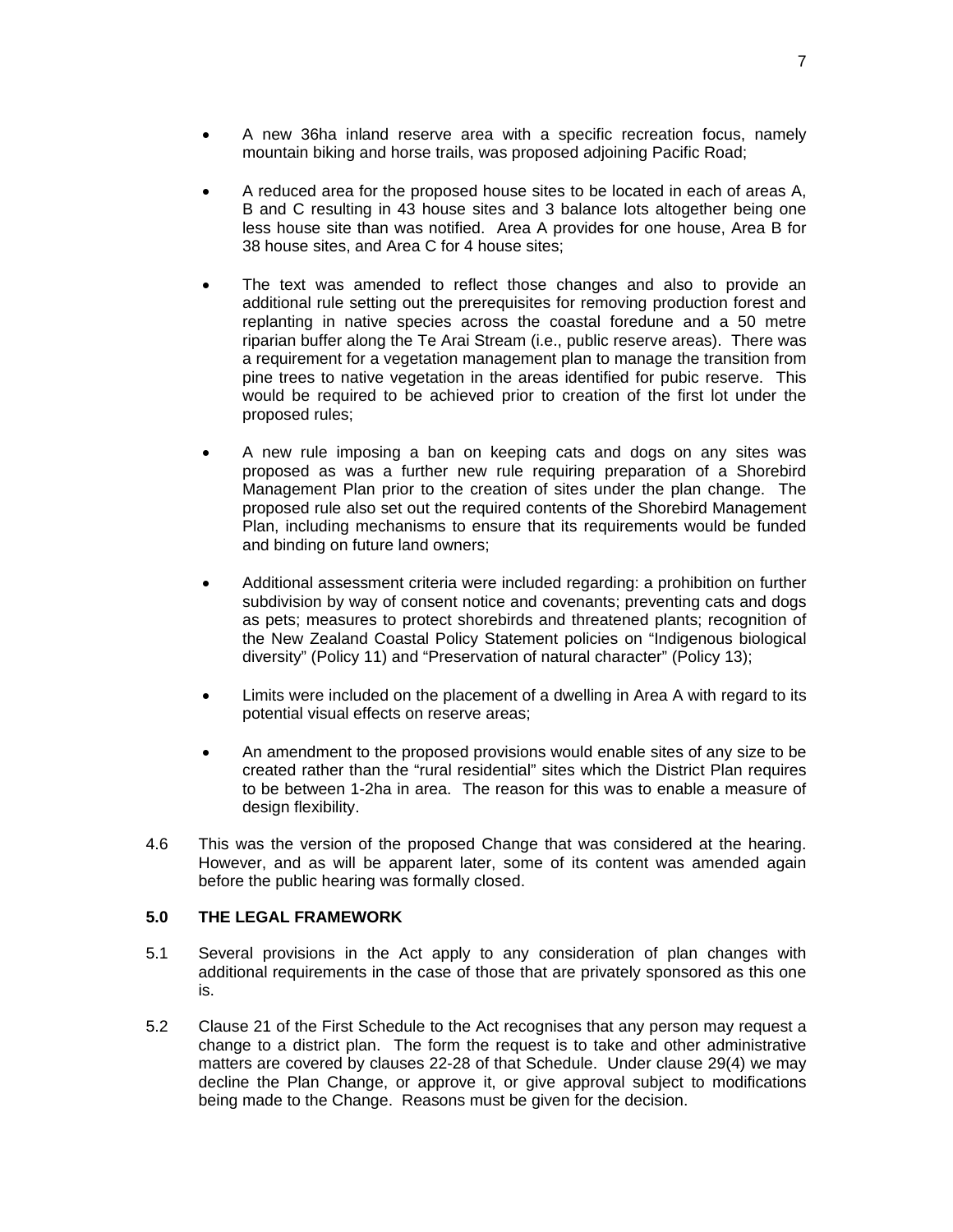- A new 36ha inland reserve area with a specific recreation focus, namely mountain biking and horse trails, was proposed adjoining Pacific Road;
- A reduced area for the proposed house sites to be located in each of areas A, B and C resulting in 43 house sites and 3 balance lots altogether being one less house site than was notified. Area A provides for one house, Area B for 38 house sites, and Area C for 4 house sites;
- The text was amended to reflect those changes and also to provide an additional rule setting out the prerequisites for removing production forest and replanting in native species across the coastal foredune and a 50 metre riparian buffer along the Te Arai Stream (i.e., public reserve areas). There was a requirement for a vegetation management plan to manage the transition from pine trees to native vegetation in the areas identified for pubic reserve. This would be required to be achieved prior to creation of the first lot under the proposed rules;
- A new rule imposing a ban on keeping cats and dogs on any sites was proposed as was a further new rule requiring preparation of a Shorebird Management Plan prior to the creation of sites under the plan change. The proposed rule also set out the required contents of the Shorebird Management Plan, including mechanisms to ensure that its requirements would be funded and binding on future land owners;
- Additional assessment criteria were included regarding: a prohibition on further subdivision by way of consent notice and covenants; preventing cats and dogs as pets; measures to protect shorebirds and threatened plants; recognition of the New Zealand Coastal Policy Statement policies on "Indigenous biological diversity" (Policy 11) and "Preservation of natural character" (Policy 13);
- Limits were included on the placement of a dwelling in Area A with regard to its potential visual effects on reserve areas;
- An amendment to the proposed provisions would enable sites of any size to be created rather than the "rural residential" sites which the District Plan requires to be between 1-2ha in area. The reason for this was to enable a measure of design flexibility.
- 4.6 This was the version of the proposed Change that was considered at the hearing. However, and as will be apparent later, some of its content was amended again before the public hearing was formally closed.

## **5.0 THE LEGAL FRAMEWORK**

- 5.1 Several provisions in the Act apply to any consideration of plan changes with additional requirements in the case of those that are privately sponsored as this one is.
- 5.2 Clause 21 of the First Schedule to the Act recognises that any person may request a change to a district plan. The form the request is to take and other administrative matters are covered by clauses 22-28 of that Schedule. Under clause 29(4) we may decline the Plan Change, or approve it, or give approval subject to modifications being made to the Change. Reasons must be given for the decision.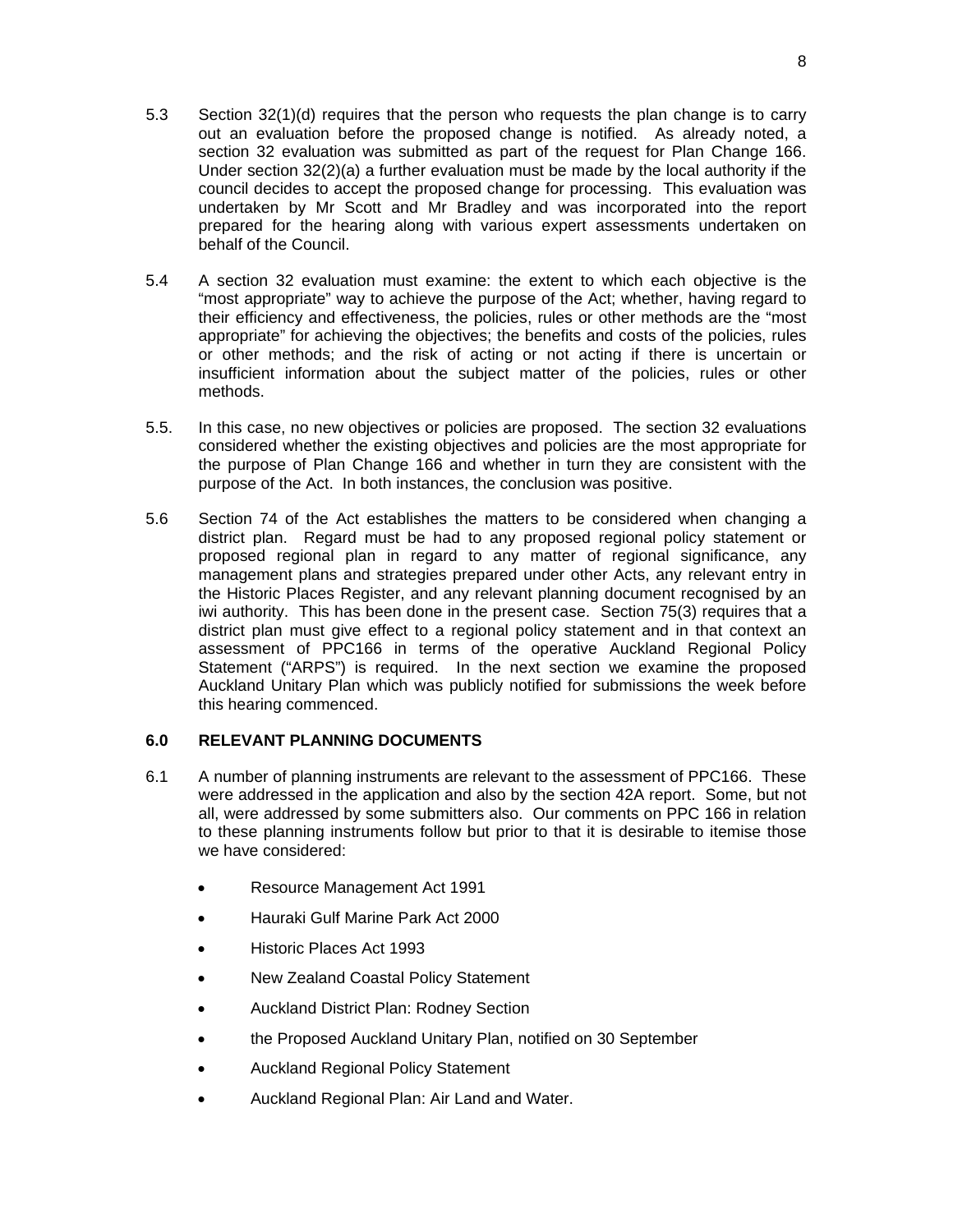- 5.3 Section 32(1)(d) requires that the person who requests the plan change is to carry out an evaluation before the proposed change is notified. As already noted, a section 32 evaluation was submitted as part of the request for Plan Change 166. Under section  $32(2)(a)$  a further evaluation must be made by the local authority if the council decides to accept the proposed change for processing. This evaluation was undertaken by Mr Scott and Mr Bradley and was incorporated into the report prepared for the hearing along with various expert assessments undertaken on behalf of the Council.
- 5.4 A section 32 evaluation must examine: the extent to which each objective is the "most appropriate" way to achieve the purpose of the Act; whether, having regard to their efficiency and effectiveness, the policies, rules or other methods are the "most appropriate" for achieving the objectives; the benefits and costs of the policies, rules or other methods; and the risk of acting or not acting if there is uncertain or insufficient information about the subject matter of the policies, rules or other methods.
- 5.5. In this case, no new objectives or policies are proposed. The section 32 evaluations considered whether the existing objectives and policies are the most appropriate for the purpose of Plan Change 166 and whether in turn they are consistent with the purpose of the Act. In both instances, the conclusion was positive.
- 5.6 Section 74 of the Act establishes the matters to be considered when changing a district plan. Regard must be had to any proposed regional policy statement or proposed regional plan in regard to any matter of regional significance, any management plans and strategies prepared under other Acts, any relevant entry in the Historic Places Register, and any relevant planning document recognised by an iwi authority. This has been done in the present case. Section 75(3) requires that a district plan must give effect to a regional policy statement and in that context an assessment of PPC166 in terms of the operative Auckland Regional Policy Statement ("ARPS") is required. In the next section we examine the proposed Auckland Unitary Plan which was publicly notified for submissions the week before this hearing commenced.

## **6.0 RELEVANT PLANNING DOCUMENTS**

- 6.1 A number of planning instruments are relevant to the assessment of PPC166. These were addressed in the application and also by the section 42A report. Some, but not all, were addressed by some submitters also. Our comments on PPC 166 in relation to these planning instruments follow but prior to that it is desirable to itemise those we have considered:
	- Resource Management Act 1991
	- Hauraki Gulf Marine Park Act 2000
	- Historic Places Act 1993
	- New Zealand Coastal Policy Statement
	- Auckland District Plan: Rodney Section
	- the Proposed Auckland Unitary Plan, notified on 30 September
	- Auckland Regional Policy Statement
	- Auckland Regional Plan: Air Land and Water.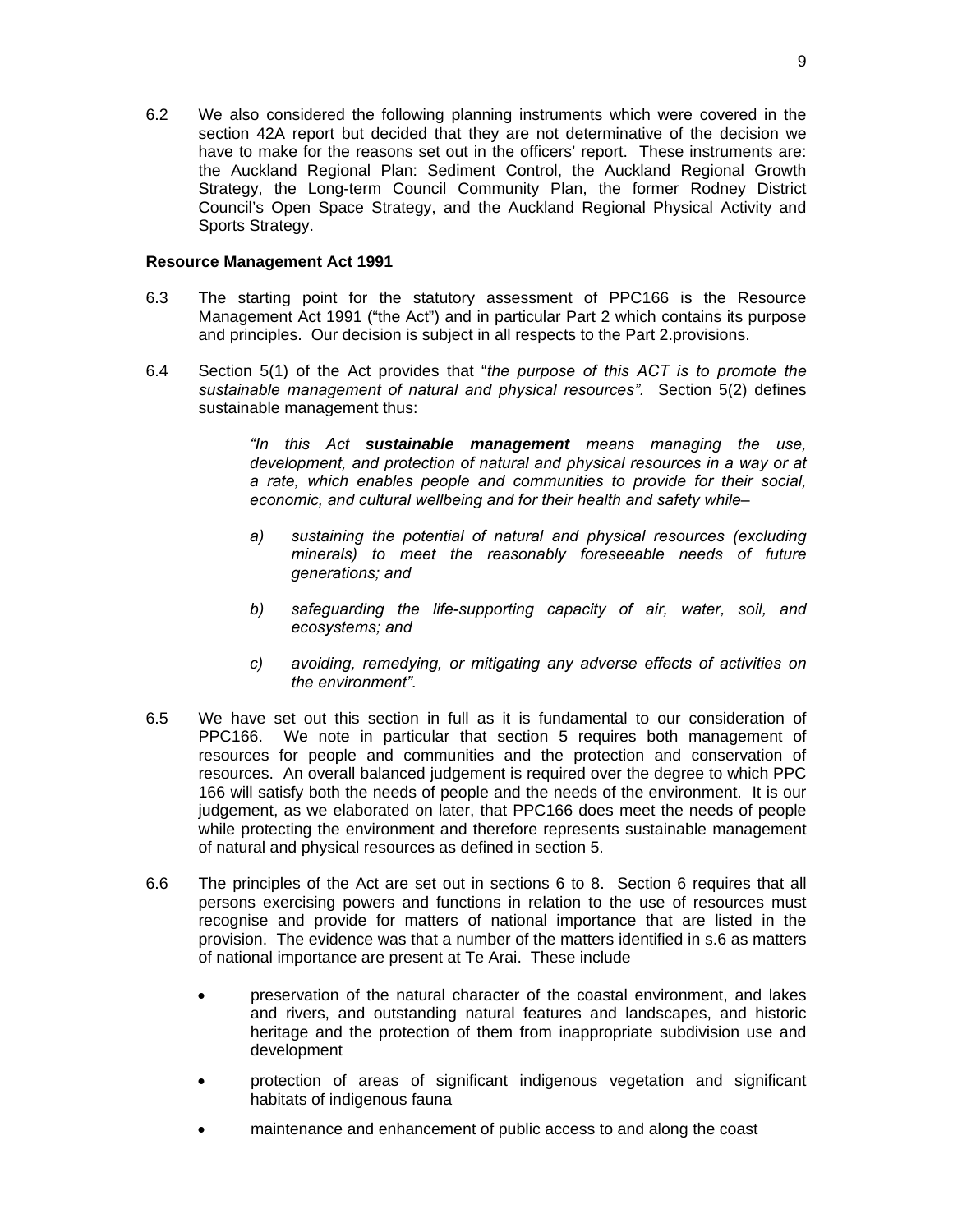6.2 We also considered the following planning instruments which were covered in the section 42A report but decided that they are not determinative of the decision we have to make for the reasons set out in the officers' report. These instruments are: the Auckland Regional Plan: Sediment Control, the Auckland Regional Growth Strategy, the Long-term Council Community Plan, the former Rodney District Council's Open Space Strategy, and the Auckland Regional Physical Activity and Sports Strategy.

#### **Resource Management Act 1991**

- 6.3 The starting point for the statutory assessment of PPC166 is the Resource Management Act 1991 ("the Act") and in particular Part 2 which contains its purpose and principles. Our decision is subject in all respects to the Part 2.provisions.
- 6.4 Section 5(1) of the Act provides that "*the purpose of this ACT is to promote the sustainable management of natural and physical resources".* Section 5(2) defines sustainable management thus:

*"In this Act sustainable management means managing the use, development, and protection of natural and physical resources in a way or at a rate, which enables people and communities to provide for their social, economic, and cultural wellbeing and for their health and safety while–* 

- *a) sustaining the potential of natural and physical resources (excluding minerals) to meet the reasonably foreseeable needs of future generations; and*
- *b) safeguarding the life-supporting capacity of air, water, soil, and ecosystems; and*
- *c) avoiding, remedying, or mitigating any adverse effects of activities on the environment".*
- 6.5 We have set out this section in full as it is fundamental to our consideration of PPC166. We note in particular that section 5 requires both management of resources for people and communities and the protection and conservation of resources. An overall balanced judgement is required over the degree to which PPC 166 will satisfy both the needs of people and the needs of the environment. It is our judgement, as we elaborated on later, that PPC166 does meet the needs of people while protecting the environment and therefore represents sustainable management of natural and physical resources as defined in section 5.
- 6.6 The principles of the Act are set out in sections 6 to 8. Section 6 requires that all persons exercising powers and functions in relation to the use of resources must recognise and provide for matters of national importance that are listed in the provision. The evidence was that a number of the matters identified in s.6 as matters of national importance are present at Te Arai. These include
	- preservation of the natural character of the coastal environment, and lakes and rivers, and outstanding natural features and landscapes, and historic heritage and the protection of them from inappropriate subdivision use and development
	- protection of areas of significant indigenous vegetation and significant habitats of indigenous fauna
	- maintenance and enhancement of public access to and along the coast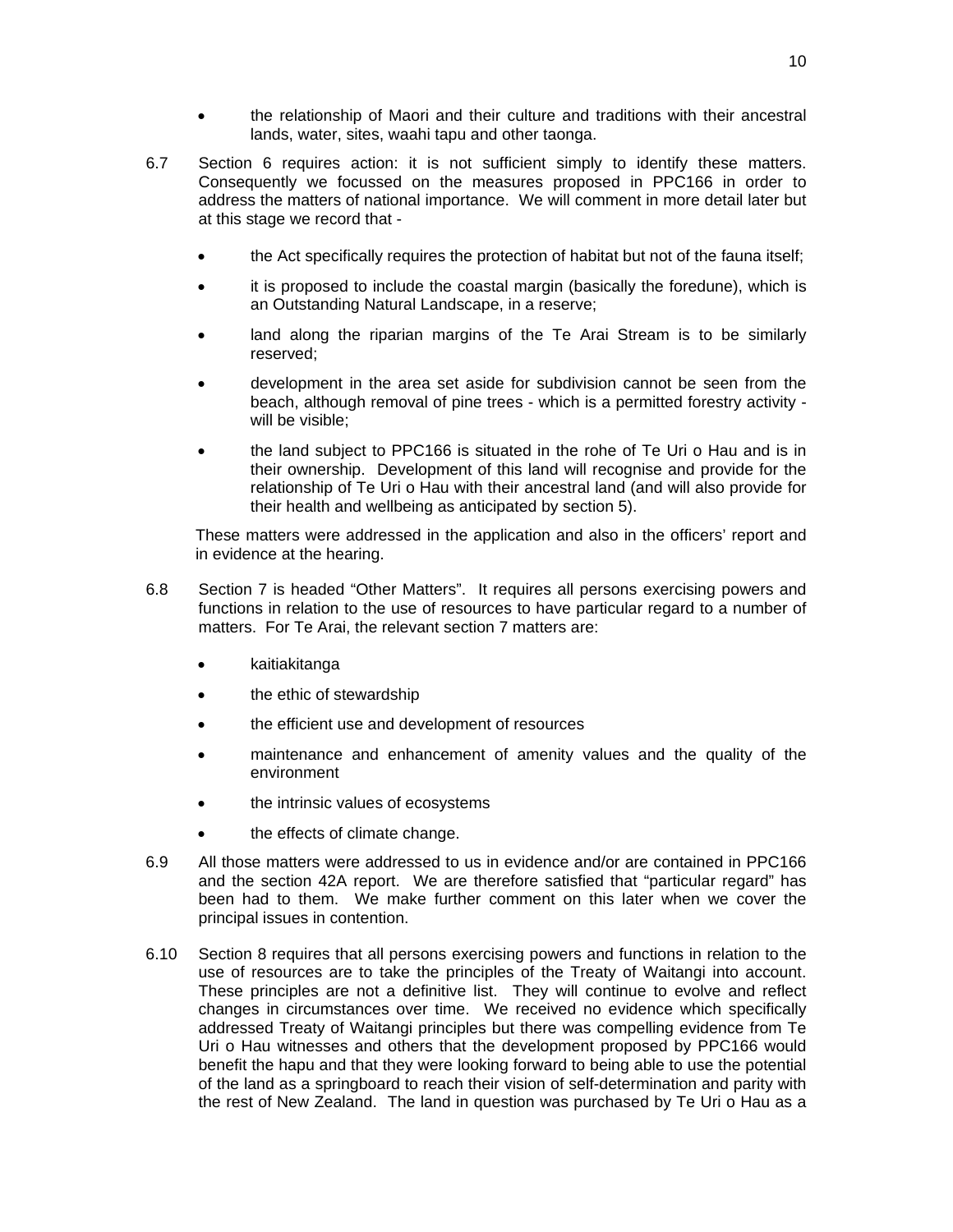- 10
- the relationship of Maori and their culture and traditions with their ancestral lands, water, sites, waahi tapu and other taonga.
- 6.7 Section 6 requires action: it is not sufficient simply to identify these matters. Consequently we focussed on the measures proposed in PPC166 in order to address the matters of national importance. We will comment in more detail later but at this stage we record that
	- the Act specifically requires the protection of habitat but not of the fauna itself;
	- it is proposed to include the coastal margin (basically the foredune), which is an Outstanding Natural Landscape, in a reserve;
	- land along the riparian margins of the Te Arai Stream is to be similarly reserved;
	- development in the area set aside for subdivision cannot be seen from the beach, although removal of pine trees - which is a permitted forestry activity will be visible;
	- the land subject to PPC166 is situated in the rohe of Te Uri o Hau and is in their ownership. Development of this land will recognise and provide for the relationship of Te Uri o Hau with their ancestral land (and will also provide for their health and wellbeing as anticipated by section 5).

These matters were addressed in the application and also in the officers' report and in evidence at the hearing.

- 6.8 Section 7 is headed "Other Matters". It requires all persons exercising powers and functions in relation to the use of resources to have particular regard to a number of matters. For Te Arai, the relevant section 7 matters are:
	- kaitiakitanga
	- the ethic of stewardship
	- the efficient use and development of resources
	- maintenance and enhancement of amenity values and the quality of the environment
	- the intrinsic values of ecosystems
	- the effects of climate change.
- 6.9 All those matters were addressed to us in evidence and/or are contained in PPC166 and the section 42A report. We are therefore satisfied that "particular regard" has been had to them. We make further comment on this later when we cover the principal issues in contention.
- 6.10 Section 8 requires that all persons exercising powers and functions in relation to the use of resources are to take the principles of the Treaty of Waitangi into account. These principles are not a definitive list. They will continue to evolve and reflect changes in circumstances over time. We received no evidence which specifically addressed Treaty of Waitangi principles but there was compelling evidence from Te Uri o Hau witnesses and others that the development proposed by PPC166 would benefit the hapu and that they were looking forward to being able to use the potential of the land as a springboard to reach their vision of self-determination and parity with the rest of New Zealand. The land in question was purchased by Te Uri o Hau as a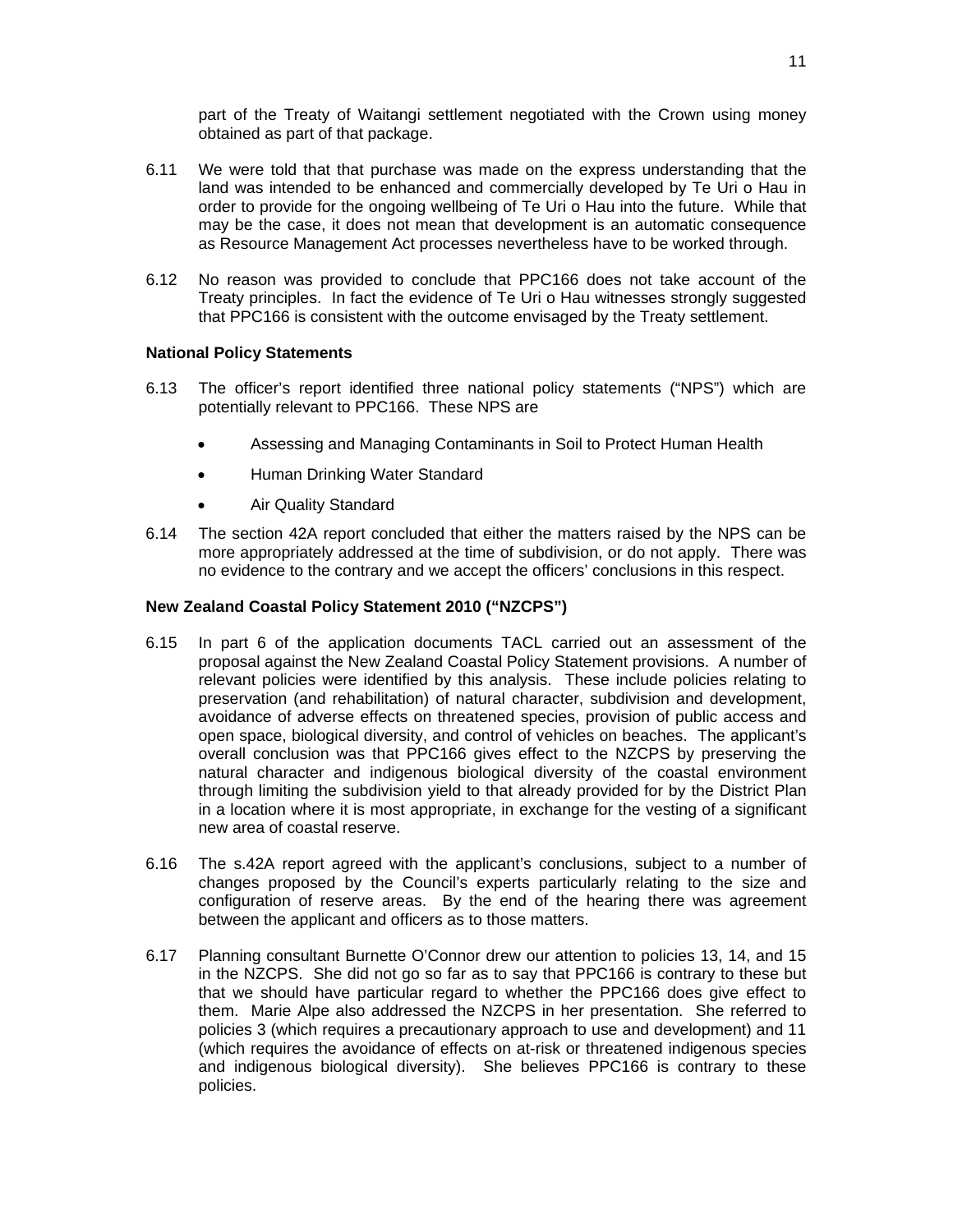part of the Treaty of Waitangi settlement negotiated with the Crown using money obtained as part of that package.

- 6.11 We were told that that purchase was made on the express understanding that the land was intended to be enhanced and commercially developed by Te Uri o Hau in order to provide for the ongoing wellbeing of Te Uri o Hau into the future. While that may be the case, it does not mean that development is an automatic consequence as Resource Management Act processes nevertheless have to be worked through.
- 6.12 No reason was provided to conclude that PPC166 does not take account of the Treaty principles. In fact the evidence of Te Uri o Hau witnesses strongly suggested that PPC166 is consistent with the outcome envisaged by the Treaty settlement.

## **National Policy Statements**

- 6.13 The officer's report identified three national policy statements ("NPS") which are potentially relevant to PPC166. These NPS are
	- Assessing and Managing Contaminants in Soil to Protect Human Health
	- Human Drinking Water Standard
	- Air Quality Standard
- 6.14 The section 42A report concluded that either the matters raised by the NPS can be more appropriately addressed at the time of subdivision, or do not apply. There was no evidence to the contrary and we accept the officers' conclusions in this respect.

## **New Zealand Coastal Policy Statement 2010 ("NZCPS")**

- 6.15 In part 6 of the application documents TACL carried out an assessment of the proposal against the New Zealand Coastal Policy Statement provisions. A number of relevant policies were identified by this analysis. These include policies relating to preservation (and rehabilitation) of natural character, subdivision and development, avoidance of adverse effects on threatened species, provision of public access and open space, biological diversity, and control of vehicles on beaches. The applicant's overall conclusion was that PPC166 gives effect to the NZCPS by preserving the natural character and indigenous biological diversity of the coastal environment through limiting the subdivision yield to that already provided for by the District Plan in a location where it is most appropriate, in exchange for the vesting of a significant new area of coastal reserve.
- 6.16 The s.42A report agreed with the applicant's conclusions, subject to a number of changes proposed by the Council's experts particularly relating to the size and configuration of reserve areas. By the end of the hearing there was agreement between the applicant and officers as to those matters.
- 6.17 Planning consultant Burnette O'Connor drew our attention to policies 13, 14, and 15 in the NZCPS. She did not go so far as to say that PPC166 is contrary to these but that we should have particular regard to whether the PPC166 does give effect to them. Marie Alpe also addressed the NZCPS in her presentation. She referred to policies 3 (which requires a precautionary approach to use and development) and 11 (which requires the avoidance of effects on at-risk or threatened indigenous species and indigenous biological diversity). She believes PPC166 is contrary to these policies.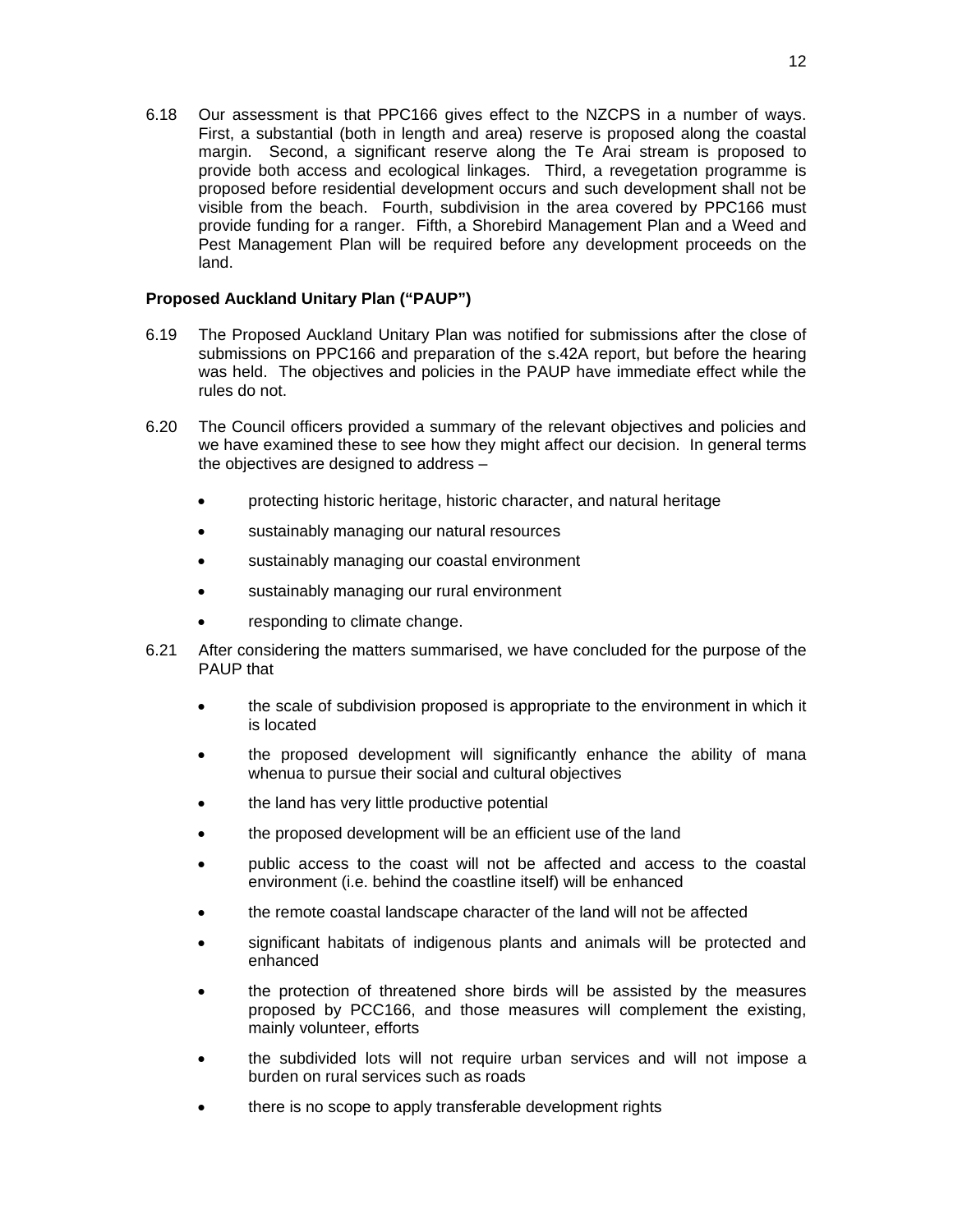6.18 Our assessment is that PPC166 gives effect to the NZCPS in a number of ways. First, a substantial (both in length and area) reserve is proposed along the coastal margin. Second, a significant reserve along the Te Arai stream is proposed to provide both access and ecological linkages. Third, a revegetation programme is proposed before residential development occurs and such development shall not be visible from the beach. Fourth, subdivision in the area covered by PPC166 must provide funding for a ranger. Fifth, a Shorebird Management Plan and a Weed and Pest Management Plan will be required before any development proceeds on the land.

## **Proposed Auckland Unitary Plan ("PAUP")**

- 6.19 The Proposed Auckland Unitary Plan was notified for submissions after the close of submissions on PPC166 and preparation of the s.42A report, but before the hearing was held. The objectives and policies in the PAUP have immediate effect while the rules do not.
- 6.20 The Council officers provided a summary of the relevant objectives and policies and we have examined these to see how they might affect our decision. In general terms the objectives are designed to address –
	- protecting historic heritage, historic character, and natural heritage
	- sustainably managing our natural resources
	- sustainably managing our coastal environment
	- sustainably managing our rural environment
	- responding to climate change.
- 6.21 After considering the matters summarised, we have concluded for the purpose of the PAUP that
	- the scale of subdivision proposed is appropriate to the environment in which it is located
	- the proposed development will significantly enhance the ability of mana whenua to pursue their social and cultural objectives
	- the land has very little productive potential
	- the proposed development will be an efficient use of the land
	- public access to the coast will not be affected and access to the coastal environment (i.e. behind the coastline itself) will be enhanced
	- the remote coastal landscape character of the land will not be affected
	- significant habitats of indigenous plants and animals will be protected and enhanced
	- the protection of threatened shore birds will be assisted by the measures proposed by PCC166, and those measures will complement the existing, mainly volunteer, efforts
	- the subdivided lots will not require urban services and will not impose a burden on rural services such as roads
	- there is no scope to apply transferable development rights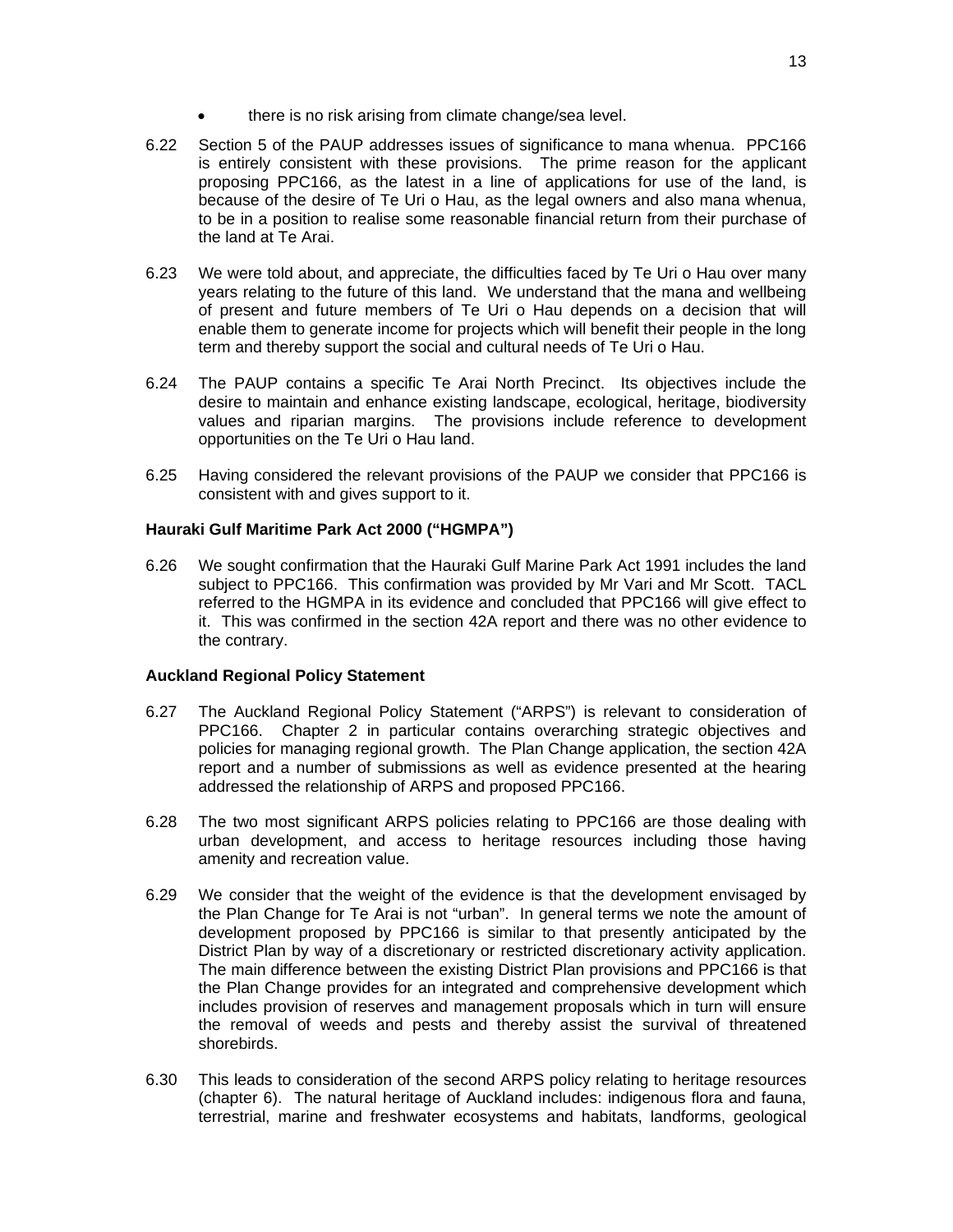- there is no risk arising from climate change/sea level.
- 6.22 Section 5 of the PAUP addresses issues of significance to mana whenua. PPC166 is entirely consistent with these provisions. The prime reason for the applicant proposing PPC166, as the latest in a line of applications for use of the land, is because of the desire of Te Uri o Hau, as the legal owners and also mana whenua, to be in a position to realise some reasonable financial return from their purchase of the land at Te Arai.
- 6.23 We were told about, and appreciate, the difficulties faced by Te Uri o Hau over many years relating to the future of this land. We understand that the mana and wellbeing of present and future members of Te Uri o Hau depends on a decision that will enable them to generate income for projects which will benefit their people in the long term and thereby support the social and cultural needs of Te Uri o Hau.
- 6.24 The PAUP contains a specific Te Arai North Precinct. Its objectives include the desire to maintain and enhance existing landscape, ecological, heritage, biodiversity values and riparian margins. The provisions include reference to development opportunities on the Te Uri o Hau land.
- 6.25 Having considered the relevant provisions of the PAUP we consider that PPC166 is consistent with and gives support to it.

## **Hauraki Gulf Maritime Park Act 2000 ("HGMPA")**

6.26 We sought confirmation that the Hauraki Gulf Marine Park Act 1991 includes the land subject to PPC166. This confirmation was provided by Mr Vari and Mr Scott. TACL referred to the HGMPA in its evidence and concluded that PPC166 will give effect to it. This was confirmed in the section 42A report and there was no other evidence to the contrary.

## **Auckland Regional Policy Statement**

- 6.27 The Auckland Regional Policy Statement ("ARPS") is relevant to consideration of PPC166. Chapter 2 in particular contains overarching strategic objectives and policies for managing regional growth. The Plan Change application, the section 42A report and a number of submissions as well as evidence presented at the hearing addressed the relationship of ARPS and proposed PPC166.
- 6.28 The two most significant ARPS policies relating to PPC166 are those dealing with urban development, and access to heritage resources including those having amenity and recreation value.
- 6.29 We consider that the weight of the evidence is that the development envisaged by the Plan Change for Te Arai is not "urban". In general terms we note the amount of development proposed by PPC166 is similar to that presently anticipated by the District Plan by way of a discretionary or restricted discretionary activity application. The main difference between the existing District Plan provisions and PPC166 is that the Plan Change provides for an integrated and comprehensive development which includes provision of reserves and management proposals which in turn will ensure the removal of weeds and pests and thereby assist the survival of threatened shorebirds.
- 6.30 This leads to consideration of the second ARPS policy relating to heritage resources (chapter 6). The natural heritage of Auckland includes: indigenous flora and fauna, terrestrial, marine and freshwater ecosystems and habitats, landforms, geological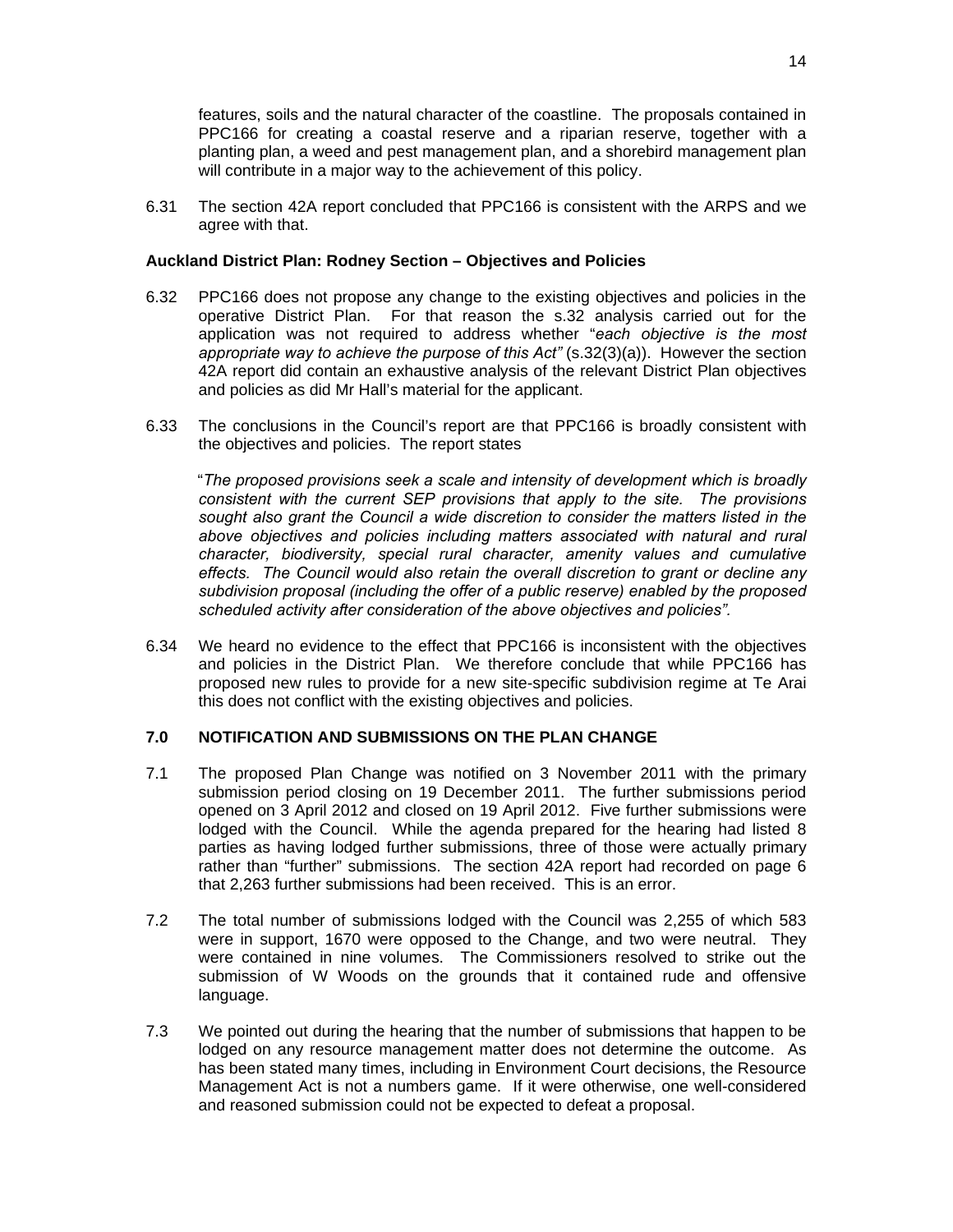features, soils and the natural character of the coastline. The proposals contained in PPC166 for creating a coastal reserve and a riparian reserve, together with a planting plan, a weed and pest management plan, and a shorebird management plan will contribute in a major way to the achievement of this policy.

6.31 The section 42A report concluded that PPC166 is consistent with the ARPS and we agree with that.

#### **Auckland District Plan: Rodney Section – Objectives and Policies**

- 6.32 PPC166 does not propose any change to the existing objectives and policies in the operative District Plan. For that reason the s.32 analysis carried out for the application was not required to address whether "*each objective is the most appropriate way to achieve the purpose of this Act"* (s.32(3)(a)). However the section 42A report did contain an exhaustive analysis of the relevant District Plan objectives and policies as did Mr Hall's material for the applicant.
- 6.33 The conclusions in the Council's report are that PPC166 is broadly consistent with the objectives and policies. The report states

"*The proposed provisions seek a scale and intensity of development which is broadly consistent with the current SEP provisions that apply to the site. The provisions sought also grant the Council a wide discretion to consider the matters listed in the above objectives and policies including matters associated with natural and rural character, biodiversity, special rural character, amenity values and cumulative effects. The Council would also retain the overall discretion to grant or decline any subdivision proposal (including the offer of a public reserve) enabled by the proposed scheduled activity after consideration of the above objectives and policies".*

6.34 We heard no evidence to the effect that PPC166 is inconsistent with the objectives and policies in the District Plan. We therefore conclude that while PPC166 has proposed new rules to provide for a new site-specific subdivision regime at Te Arai this does not conflict with the existing objectives and policies.

#### **7.0 NOTIFICATION AND SUBMISSIONS ON THE PLAN CHANGE**

- 7.1 The proposed Plan Change was notified on 3 November 2011 with the primary submission period closing on 19 December 2011. The further submissions period opened on 3 April 2012 and closed on 19 April 2012. Five further submissions were lodged with the Council. While the agenda prepared for the hearing had listed 8 parties as having lodged further submissions, three of those were actually primary rather than "further" submissions. The section 42A report had recorded on page 6 that 2,263 further submissions had been received. This is an error.
- 7.2 The total number of submissions lodged with the Council was 2,255 of which 583 were in support, 1670 were opposed to the Change, and two were neutral. They were contained in nine volumes. The Commissioners resolved to strike out the submission of W Woods on the grounds that it contained rude and offensive language.
- 7.3 We pointed out during the hearing that the number of submissions that happen to be lodged on any resource management matter does not determine the outcome. As has been stated many times, including in Environment Court decisions, the Resource Management Act is not a numbers game. If it were otherwise, one well-considered and reasoned submission could not be expected to defeat a proposal.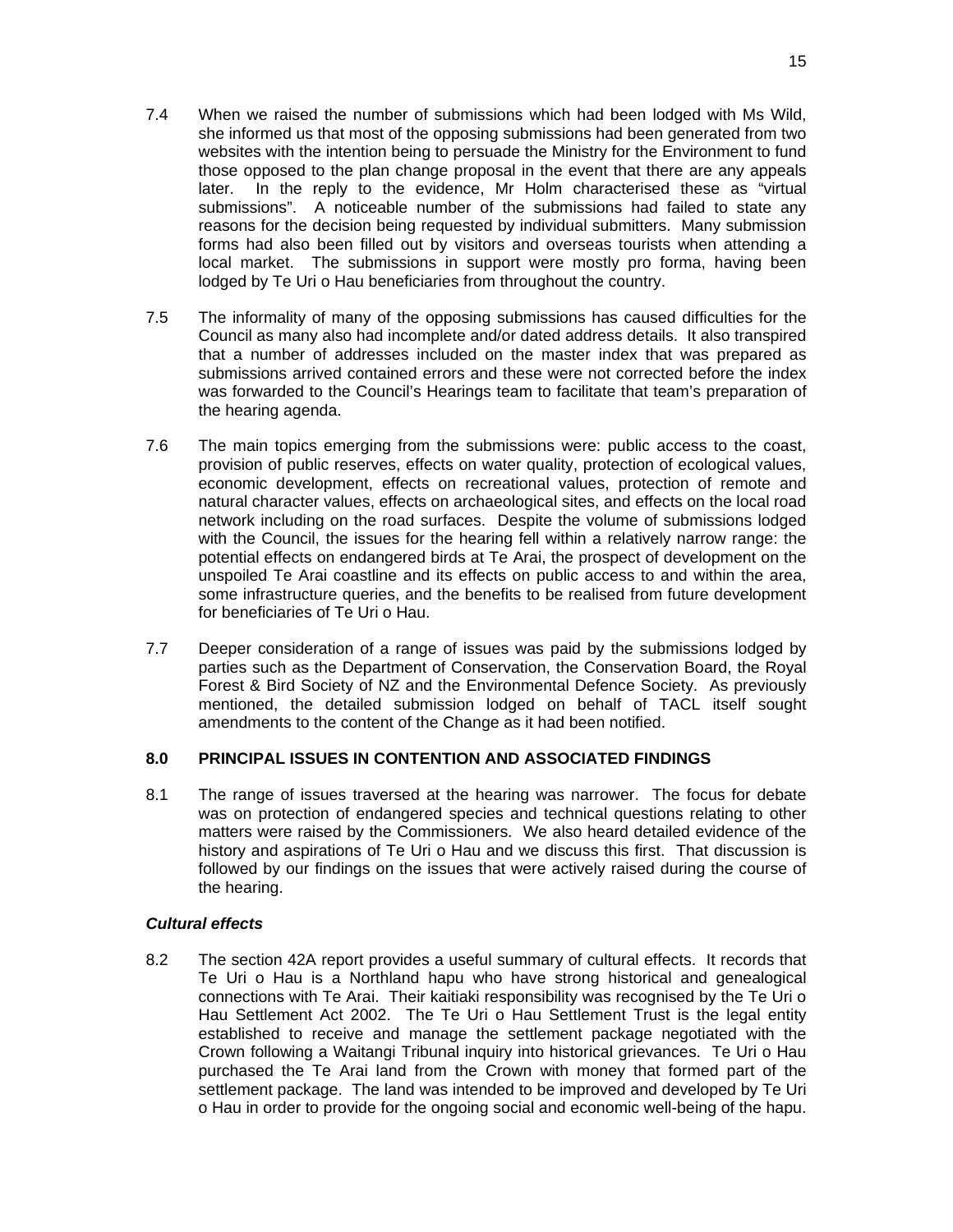- 7.4 When we raised the number of submissions which had been lodged with Ms Wild, she informed us that most of the opposing submissions had been generated from two websites with the intention being to persuade the Ministry for the Environment to fund those opposed to the plan change proposal in the event that there are any appeals later. In the reply to the evidence, Mr Holm characterised these as "virtual submissions". A noticeable number of the submissions had failed to state any reasons for the decision being requested by individual submitters. Many submission forms had also been filled out by visitors and overseas tourists when attending a local market. The submissions in support were mostly pro forma, having been lodged by Te Uri o Hau beneficiaries from throughout the country.
- 7.5 The informality of many of the opposing submissions has caused difficulties for the Council as many also had incomplete and/or dated address details. It also transpired that a number of addresses included on the master index that was prepared as submissions arrived contained errors and these were not corrected before the index was forwarded to the Council's Hearings team to facilitate that team's preparation of the hearing agenda.
- 7.6 The main topics emerging from the submissions were: public access to the coast, provision of public reserves, effects on water quality, protection of ecological values, economic development, effects on recreational values, protection of remote and natural character values, effects on archaeological sites, and effects on the local road network including on the road surfaces. Despite the volume of submissions lodged with the Council, the issues for the hearing fell within a relatively narrow range: the potential effects on endangered birds at Te Arai, the prospect of development on the unspoiled Te Arai coastline and its effects on public access to and within the area, some infrastructure queries, and the benefits to be realised from future development for beneficiaries of Te Uri o Hau.
- 7.7 Deeper consideration of a range of issues was paid by the submissions lodged by parties such as the Department of Conservation, the Conservation Board, the Royal Forest & Bird Society of NZ and the Environmental Defence Society. As previously mentioned, the detailed submission lodged on behalf of TACL itself sought amendments to the content of the Change as it had been notified.

## **8.0 PRINCIPAL ISSUES IN CONTENTION AND ASSOCIATED FINDINGS**

8.1 The range of issues traversed at the hearing was narrower. The focus for debate was on protection of endangered species and technical questions relating to other matters were raised by the Commissioners. We also heard detailed evidence of the history and aspirations of Te Uri o Hau and we discuss this first. That discussion is followed by our findings on the issues that were actively raised during the course of the hearing.

## *Cultural effects*

8.2 The section 42A report provides a useful summary of cultural effects. It records that Te Uri o Hau is a Northland hapu who have strong historical and genealogical connections with Te Arai. Their kaitiaki responsibility was recognised by the Te Uri o Hau Settlement Act 2002. The Te Uri o Hau Settlement Trust is the legal entity established to receive and manage the settlement package negotiated with the Crown following a Waitangi Tribunal inquiry into historical grievances. Te Uri o Hau purchased the Te Arai land from the Crown with money that formed part of the settlement package. The land was intended to be improved and developed by Te Uri o Hau in order to provide for the ongoing social and economic well-being of the hapu.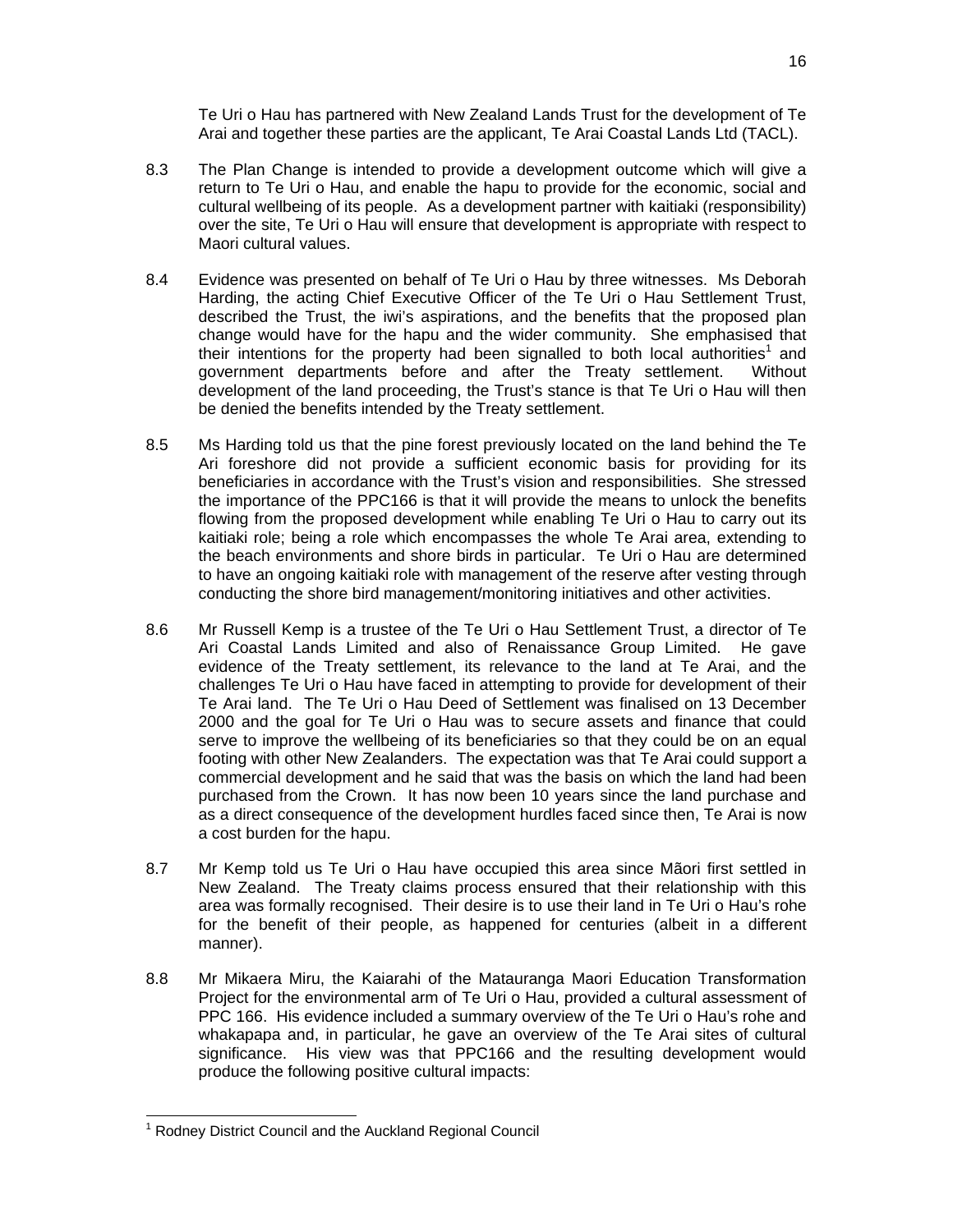Te Uri o Hau has partnered with New Zealand Lands Trust for the development of Te Arai and together these parties are the applicant, Te Arai Coastal Lands Ltd (TACL).

- 8.3 The Plan Change is intended to provide a development outcome which will give a return to Te Uri o Hau, and enable the hapu to provide for the economic, social and cultural wellbeing of its people. As a development partner with kaitiaki (responsibility) over the site, Te Uri o Hau will ensure that development is appropriate with respect to Maori cultural values.
- 8.4 Evidence was presented on behalf of Te Uri o Hau by three witnesses. Ms Deborah Harding, the acting Chief Executive Officer of the Te Uri o Hau Settlement Trust, described the Trust, the iwi's aspirations, and the benefits that the proposed plan change would have for the hapu and the wider community. She emphasised that their intentions for the property had been signalled to both local authorities<sup>1</sup> and government departments before and after the Treaty settlement. Without development of the land proceeding, the Trust's stance is that Te Uri o Hau will then be denied the benefits intended by the Treaty settlement.
- 8.5 Ms Harding told us that the pine forest previously located on the land behind the Te Ari foreshore did not provide a sufficient economic basis for providing for its beneficiaries in accordance with the Trust's vision and responsibilities. She stressed the importance of the PPC166 is that it will provide the means to unlock the benefits flowing from the proposed development while enabling Te Uri o Hau to carry out its kaitiaki role; being a role which encompasses the whole Te Arai area, extending to the beach environments and shore birds in particular. Te Uri o Hau are determined to have an ongoing kaitiaki role with management of the reserve after vesting through conducting the shore bird management/monitoring initiatives and other activities.
- 8.6 Mr Russell Kemp is a trustee of the Te Uri o Hau Settlement Trust, a director of Te Ari Coastal Lands Limited and also of Renaissance Group Limited. He gave evidence of the Treaty settlement, its relevance to the land at Te Arai, and the challenges Te Uri o Hau have faced in attempting to provide for development of their Te Arai land. The Te Uri o Hau Deed of Settlement was finalised on 13 December 2000 and the goal for Te Uri o Hau was to secure assets and finance that could serve to improve the wellbeing of its beneficiaries so that they could be on an equal footing with other New Zealanders. The expectation was that Te Arai could support a commercial development and he said that was the basis on which the land had been purchased from the Crown. It has now been 10 years since the land purchase and as a direct consequence of the development hurdles faced since then, Te Arai is now a cost burden for the hapu.
- 8.7 Mr Kemp told us Te Uri o Hau have occupied this area since Mãori first settled in New Zealand. The Treaty claims process ensured that their relationship with this area was formally recognised. Their desire is to use their land in Te Uri o Hau's rohe for the benefit of their people, as happened for centuries (albeit in a different manner).
- 8.8 Mr Mikaera Miru, the Kaiarahi of the Matauranga Maori Education Transformation Project for the environmental arm of Te Uri o Hau, provided a cultural assessment of PPC 166. His evidence included a summary overview of the Te Uri o Hau's rohe and whakapapa and, in particular, he gave an overview of the Te Arai sites of cultural significance. His view was that PPC166 and the resulting development would produce the following positive cultural impacts:

<sup>1</sup> <sup>1</sup> Rodney District Council and the Auckland Regional Council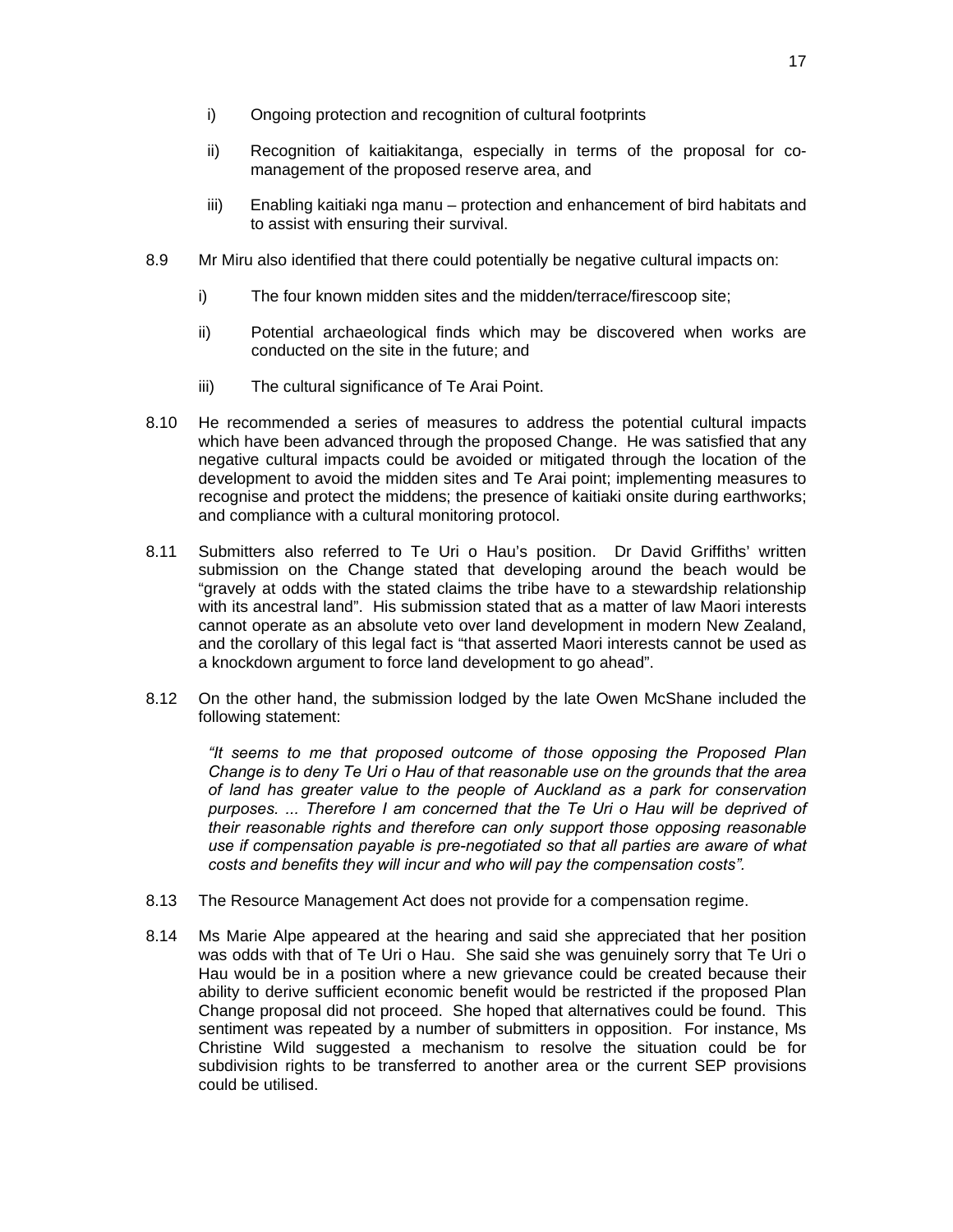- i) Ongoing protection and recognition of cultural footprints
- ii) Recognition of kaitiakitanga, especially in terms of the proposal for comanagement of the proposed reserve area, and
- iii) Enabling kaitiaki nga manu protection and enhancement of bird habitats and to assist with ensuring their survival.
- 8.9 Mr Miru also identified that there could potentially be negative cultural impacts on:
	- i) The four known midden sites and the midden/terrace/firescoop site;
	- ii) Potential archaeological finds which may be discovered when works are conducted on the site in the future; and
	- iii) The cultural significance of Te Arai Point.
- 8.10 He recommended a series of measures to address the potential cultural impacts which have been advanced through the proposed Change. He was satisfied that any negative cultural impacts could be avoided or mitigated through the location of the development to avoid the midden sites and Te Arai point; implementing measures to recognise and protect the middens; the presence of kaitiaki onsite during earthworks; and compliance with a cultural monitoring protocol.
- 8.11 Submitters also referred to Te Uri o Hau's position. Dr David Griffiths' written submission on the Change stated that developing around the beach would be "gravely at odds with the stated claims the tribe have to a stewardship relationship with its ancestral land". His submission stated that as a matter of law Maori interests cannot operate as an absolute veto over land development in modern New Zealand, and the corollary of this legal fact is "that asserted Maori interests cannot be used as a knockdown argument to force land development to go ahead".
- 8.12 On the other hand, the submission lodged by the late Owen McShane included the following statement:

*"It seems to me that proposed outcome of those opposing the Proposed Plan Change is to deny Te Uri o Hau of that reasonable use on the grounds that the area of land has greater value to the people of Auckland as a park for conservation purposes. ... Therefore I am concerned that the Te Uri o Hau will be deprived of their reasonable rights and therefore can only support those opposing reasonable use if compensation payable is pre-negotiated so that all parties are aware of what costs and benefits they will incur and who will pay the compensation costs".* 

- 8.13 The Resource Management Act does not provide for a compensation regime.
- 8.14 Ms Marie Alpe appeared at the hearing and said she appreciated that her position was odds with that of Te Uri o Hau. She said she was genuinely sorry that Te Uri o Hau would be in a position where a new grievance could be created because their ability to derive sufficient economic benefit would be restricted if the proposed Plan Change proposal did not proceed. She hoped that alternatives could be found. This sentiment was repeated by a number of submitters in opposition. For instance, Ms Christine Wild suggested a mechanism to resolve the situation could be for subdivision rights to be transferred to another area or the current SEP provisions could be utilised.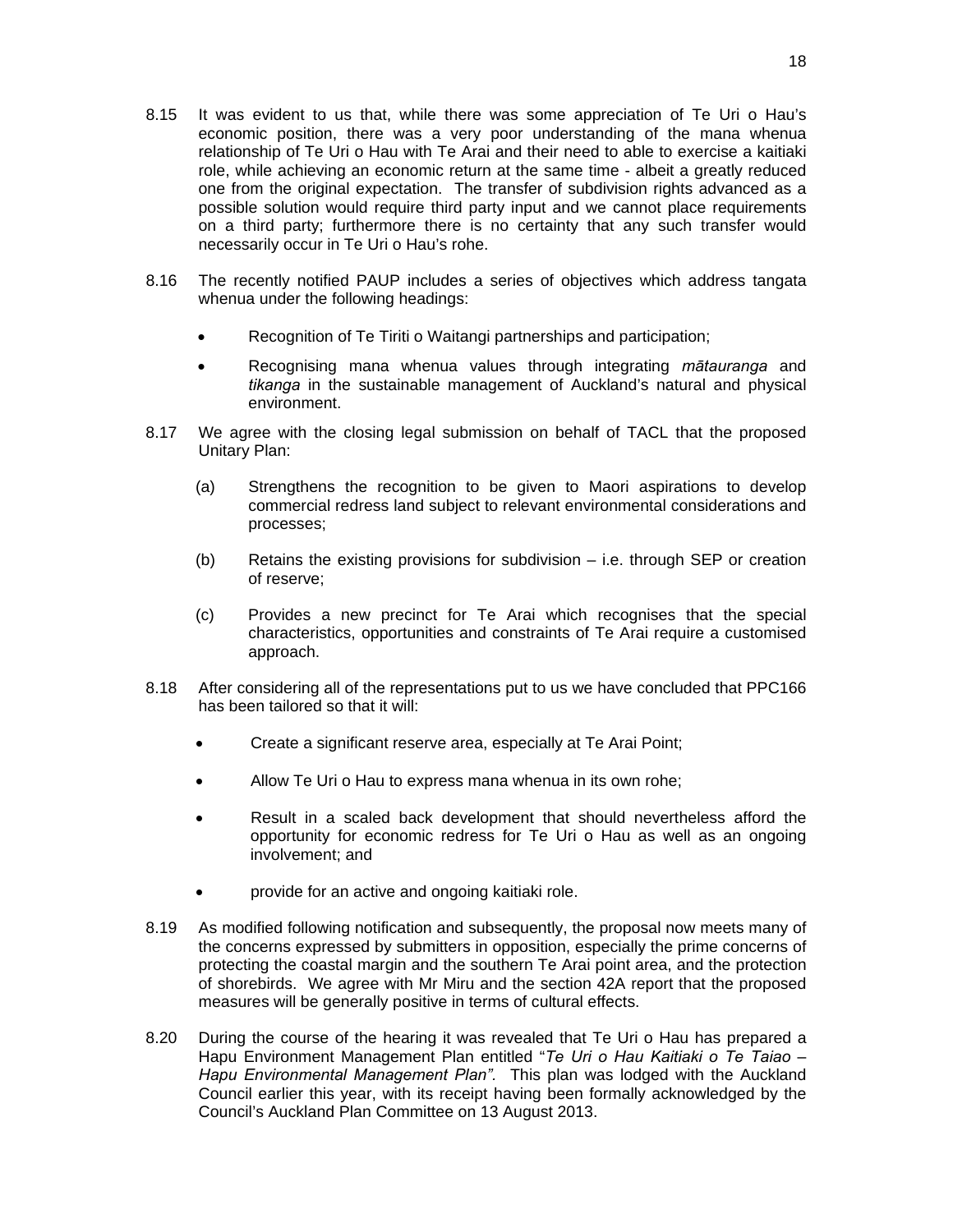- 8.15 It was evident to us that, while there was some appreciation of Te Uri o Hau's economic position, there was a very poor understanding of the mana whenua relationship of Te Uri o Hau with Te Arai and their need to able to exercise a kaitiaki role, while achieving an economic return at the same time - albeit a greatly reduced one from the original expectation. The transfer of subdivision rights advanced as a possible solution would require third party input and we cannot place requirements on a third party; furthermore there is no certainty that any such transfer would necessarily occur in Te Uri o Hau's rohe.
- 8.16 The recently notified PAUP includes a series of objectives which address tangata whenua under the following headings:
	- Recognition of Te Tiriti o Waitangi partnerships and participation;
	- Recognising mana whenua values through integrating *mātauranga* and *tikanga* in the sustainable management of Auckland's natural and physical environment.
- 8.17 We agree with the closing legal submission on behalf of TACL that the proposed Unitary Plan:
	- (a) Strengthens the recognition to be given to Maori aspirations to develop commercial redress land subject to relevant environmental considerations and processes;
	- (b) Retains the existing provisions for subdivision i.e. through SEP or creation of reserve;
	- (c) Provides a new precinct for Te Arai which recognises that the special characteristics, opportunities and constraints of Te Arai require a customised approach.
- 8.18 After considering all of the representations put to us we have concluded that PPC166 has been tailored so that it will:
	- Create a significant reserve area, especially at Te Arai Point;
	- Allow Te Uri o Hau to express mana whenua in its own rohe;
	- Result in a scaled back development that should nevertheless afford the opportunity for economic redress for Te Uri o Hau as well as an ongoing involvement; and
	- provide for an active and ongoing kaitiaki role.
- 8.19 As modified following notification and subsequently, the proposal now meets many of the concerns expressed by submitters in opposition, especially the prime concerns of protecting the coastal margin and the southern Te Arai point area, and the protection of shorebirds. We agree with Mr Miru and the section 42A report that the proposed measures will be generally positive in terms of cultural effects.
- 8.20 During the course of the hearing it was revealed that Te Uri o Hau has prepared a Hapu Environment Management Plan entitled "*Te Uri o Hau Kaitiaki o Te Taiao – Hapu Environmental Management Plan".* This plan was lodged with the Auckland Council earlier this year, with its receipt having been formally acknowledged by the Council's Auckland Plan Committee on 13 August 2013.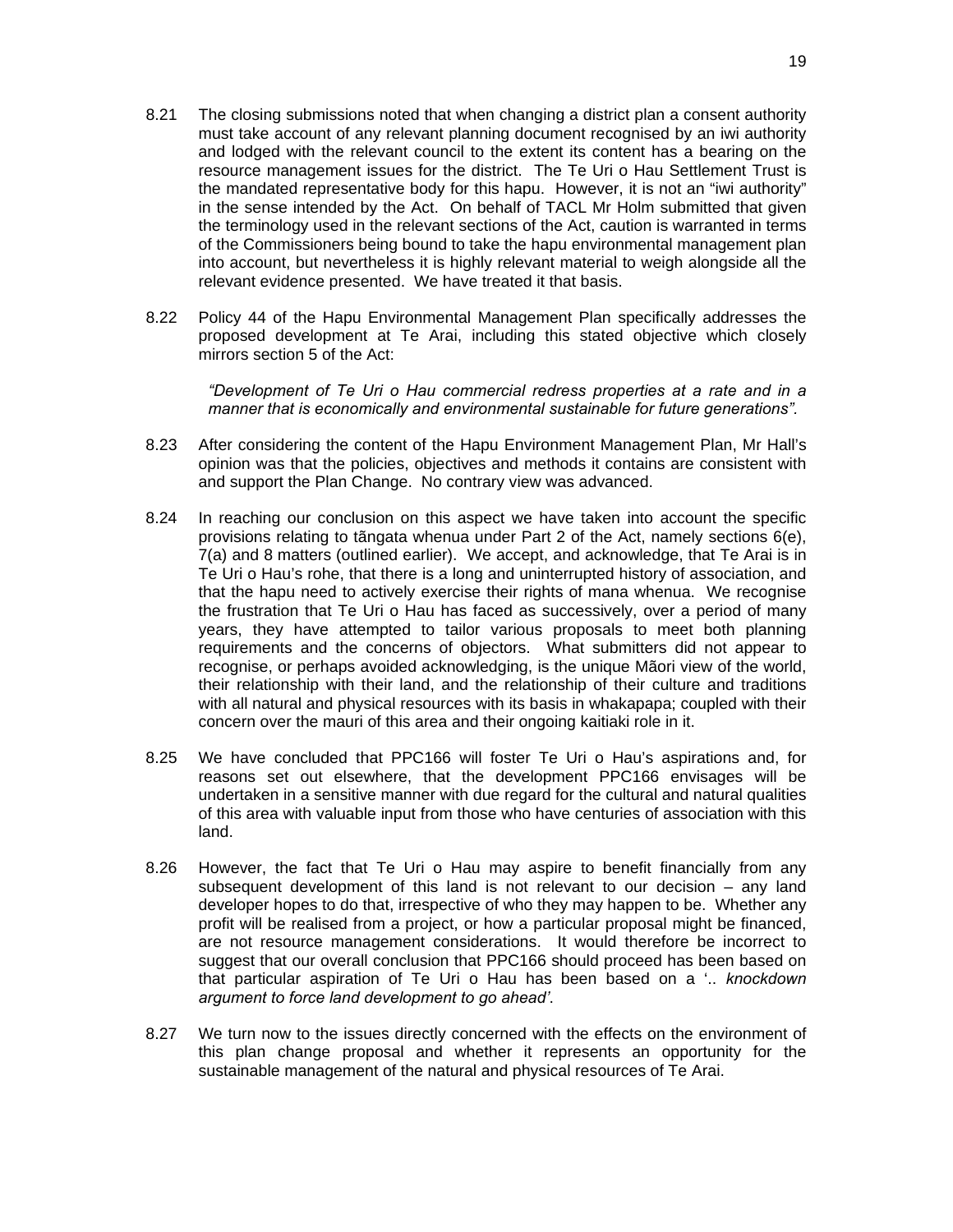- 8.21 The closing submissions noted that when changing a district plan a consent authority must take account of any relevant planning document recognised by an iwi authority and lodged with the relevant council to the extent its content has a bearing on the resource management issues for the district. The Te Uri o Hau Settlement Trust is the mandated representative body for this hapu. However, it is not an "iwi authority" in the sense intended by the Act. On behalf of TACL Mr Holm submitted that given the terminology used in the relevant sections of the Act, caution is warranted in terms of the Commissioners being bound to take the hapu environmental management plan into account, but nevertheless it is highly relevant material to weigh alongside all the relevant evidence presented. We have treated it that basis.
- 8.22 Policy 44 of the Hapu Environmental Management Plan specifically addresses the proposed development at Te Arai, including this stated objective which closely mirrors section 5 of the Act:

*"Development of Te Uri o Hau commercial redress properties at a rate and in a manner that is economically and environmental sustainable for future generations".* 

- 8.23 After considering the content of the Hapu Environment Management Plan, Mr Hall's opinion was that the policies, objectives and methods it contains are consistent with and support the Plan Change. No contrary view was advanced.
- 8.24 In reaching our conclusion on this aspect we have taken into account the specific provisions relating to tãngata whenua under Part 2 of the Act, namely sections 6(e), 7(a) and 8 matters (outlined earlier). We accept, and acknowledge, that Te Arai is in Te Uri o Hau's rohe, that there is a long and uninterrupted history of association, and that the hapu need to actively exercise their rights of mana whenua. We recognise the frustration that Te Uri o Hau has faced as successively, over a period of many years, they have attempted to tailor various proposals to meet both planning requirements and the concerns of objectors. What submitters did not appear to recognise, or perhaps avoided acknowledging, is the unique Mãori view of the world, their relationship with their land, and the relationship of their culture and traditions with all natural and physical resources with its basis in whakapapa; coupled with their concern over the mauri of this area and their ongoing kaitiaki role in it.
- 8.25 We have concluded that PPC166 will foster Te Uri o Hau's aspirations and, for reasons set out elsewhere, that the development PPC166 envisages will be undertaken in a sensitive manner with due regard for the cultural and natural qualities of this area with valuable input from those who have centuries of association with this land.
- 8.26 However, the fact that Te Uri o Hau may aspire to benefit financially from any subsequent development of this land is not relevant to our decision – any land developer hopes to do that, irrespective of who they may happen to be. Whether any profit will be realised from a project, or how a particular proposal might be financed, are not resource management considerations. It would therefore be incorrect to suggest that our overall conclusion that PPC166 should proceed has been based on that particular aspiration of Te Uri o Hau has been based on a '.. *knockdown argument to force land development to go ahead'*.
- 8.27 We turn now to the issues directly concerned with the effects on the environment of this plan change proposal and whether it represents an opportunity for the sustainable management of the natural and physical resources of Te Arai.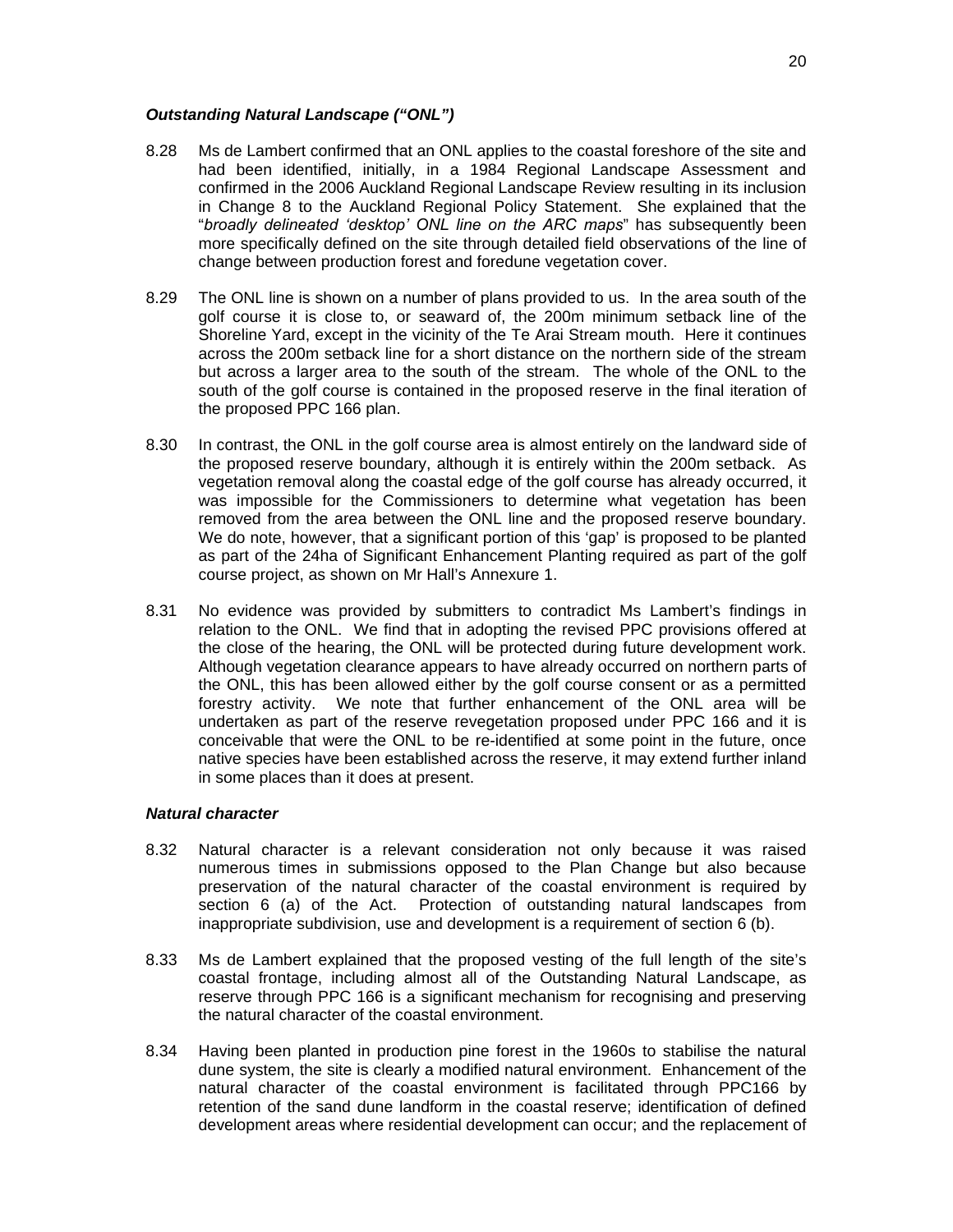#### *Outstanding Natural Landscape ("ONL")*

- 8.28 Ms de Lambert confirmed that an ONL applies to the coastal foreshore of the site and had been identified, initially, in a 1984 Regional Landscape Assessment and confirmed in the 2006 Auckland Regional Landscape Review resulting in its inclusion in Change 8 to the Auckland Regional Policy Statement. She explained that the "*broadly delineated 'desktop' ONL line on the ARC maps*" has subsequently been more specifically defined on the site through detailed field observations of the line of change between production forest and foredune vegetation cover.
- 8.29 The ONL line is shown on a number of plans provided to us. In the area south of the golf course it is close to, or seaward of, the 200m minimum setback line of the Shoreline Yard, except in the vicinity of the Te Arai Stream mouth. Here it continues across the 200m setback line for a short distance on the northern side of the stream but across a larger area to the south of the stream. The whole of the ONL to the south of the golf course is contained in the proposed reserve in the final iteration of the proposed PPC 166 plan.
- 8.30 In contrast, the ONL in the golf course area is almost entirely on the landward side of the proposed reserve boundary, although it is entirely within the 200m setback. As vegetation removal along the coastal edge of the golf course has already occurred, it was impossible for the Commissioners to determine what vegetation has been removed from the area between the ONL line and the proposed reserve boundary. We do note, however, that a significant portion of this 'gap' is proposed to be planted as part of the 24ha of Significant Enhancement Planting required as part of the golf course project, as shown on Mr Hall's Annexure 1.
- 8.31 No evidence was provided by submitters to contradict Ms Lambert's findings in relation to the ONL. We find that in adopting the revised PPC provisions offered at the close of the hearing, the ONL will be protected during future development work. Although vegetation clearance appears to have already occurred on northern parts of the ONL, this has been allowed either by the golf course consent or as a permitted forestry activity. We note that further enhancement of the ONL area will be undertaken as part of the reserve revegetation proposed under PPC 166 and it is conceivable that were the ONL to be re-identified at some point in the future, once native species have been established across the reserve, it may extend further inland in some places than it does at present.

#### *Natural character*

- 8.32 Natural character is a relevant consideration not only because it was raised numerous times in submissions opposed to the Plan Change but also because preservation of the natural character of the coastal environment is required by section 6 (a) of the Act. Protection of outstanding natural landscapes from inappropriate subdivision, use and development is a requirement of section 6 (b).
- 8.33 Ms de Lambert explained that the proposed vesting of the full length of the site's coastal frontage, including almost all of the Outstanding Natural Landscape, as reserve through PPC 166 is a significant mechanism for recognising and preserving the natural character of the coastal environment.
- 8.34 Having been planted in production pine forest in the 1960s to stabilise the natural dune system, the site is clearly a modified natural environment. Enhancement of the natural character of the coastal environment is facilitated through PPC166 by retention of the sand dune landform in the coastal reserve; identification of defined development areas where residential development can occur; and the replacement of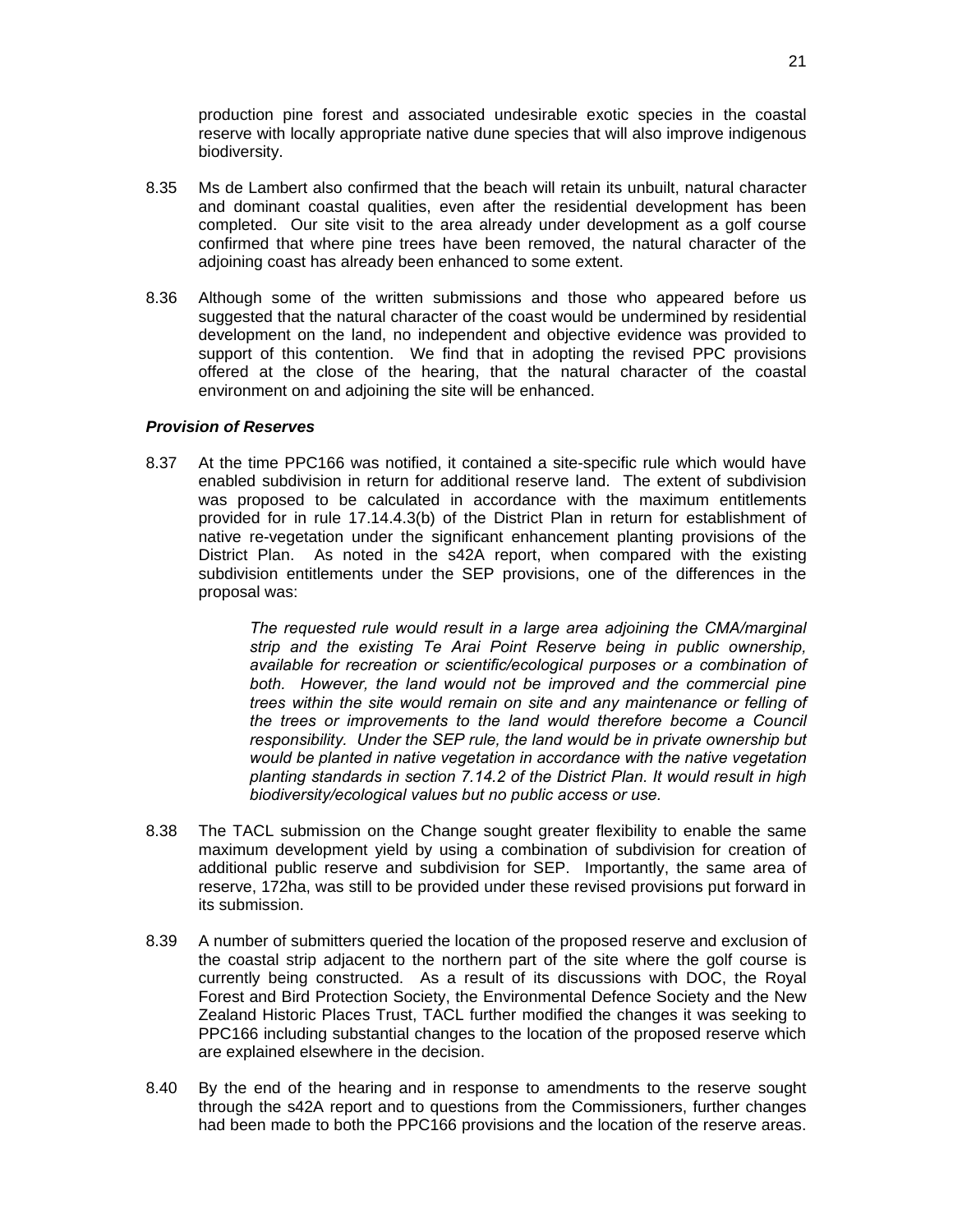production pine forest and associated undesirable exotic species in the coastal reserve with locally appropriate native dune species that will also improve indigenous biodiversity.

- 8.35 Ms de Lambert also confirmed that the beach will retain its unbuilt, natural character and dominant coastal qualities, even after the residential development has been completed. Our site visit to the area already under development as a golf course confirmed that where pine trees have been removed, the natural character of the adjoining coast has already been enhanced to some extent.
- 8.36 Although some of the written submissions and those who appeared before us suggested that the natural character of the coast would be undermined by residential development on the land, no independent and objective evidence was provided to support of this contention. We find that in adopting the revised PPC provisions offered at the close of the hearing, that the natural character of the coastal environment on and adjoining the site will be enhanced.

#### *Provision of Reserves*

8.37 At the time PPC166 was notified, it contained a site-specific rule which would have enabled subdivision in return for additional reserve land. The extent of subdivision was proposed to be calculated in accordance with the maximum entitlements provided for in rule 17.14.4.3(b) of the District Plan in return for establishment of native re-vegetation under the significant enhancement planting provisions of the District Plan. As noted in the s42A report, when compared with the existing subdivision entitlements under the SEP provisions, one of the differences in the proposal was:

> *The requested rule would result in a large area adjoining the CMA/marginal strip and the existing Te Arai Point Reserve being in public ownership, available for recreation or scientific/ecological purposes or a combination of both. However, the land would not be improved and the commercial pine trees within the site would remain on site and any maintenance or felling of the trees or improvements to the land would therefore become a Council responsibility. Under the SEP rule, the land would be in private ownership but would be planted in native vegetation in accordance with the native vegetation planting standards in section 7.14.2 of the District Plan. It would result in high biodiversity/ecological values but no public access or use.*

- 8.38 The TACL submission on the Change sought greater flexibility to enable the same maximum development yield by using a combination of subdivision for creation of additional public reserve and subdivision for SEP. Importantly, the same area of reserve, 172ha, was still to be provided under these revised provisions put forward in its submission.
- 8.39 A number of submitters queried the location of the proposed reserve and exclusion of the coastal strip adjacent to the northern part of the site where the golf course is currently being constructed. As a result of its discussions with DOC, the Royal Forest and Bird Protection Society, the Environmental Defence Society and the New Zealand Historic Places Trust, TACL further modified the changes it was seeking to PPC166 including substantial changes to the location of the proposed reserve which are explained elsewhere in the decision.
- 8.40 By the end of the hearing and in response to amendments to the reserve sought through the s42A report and to questions from the Commissioners, further changes had been made to both the PPC166 provisions and the location of the reserve areas.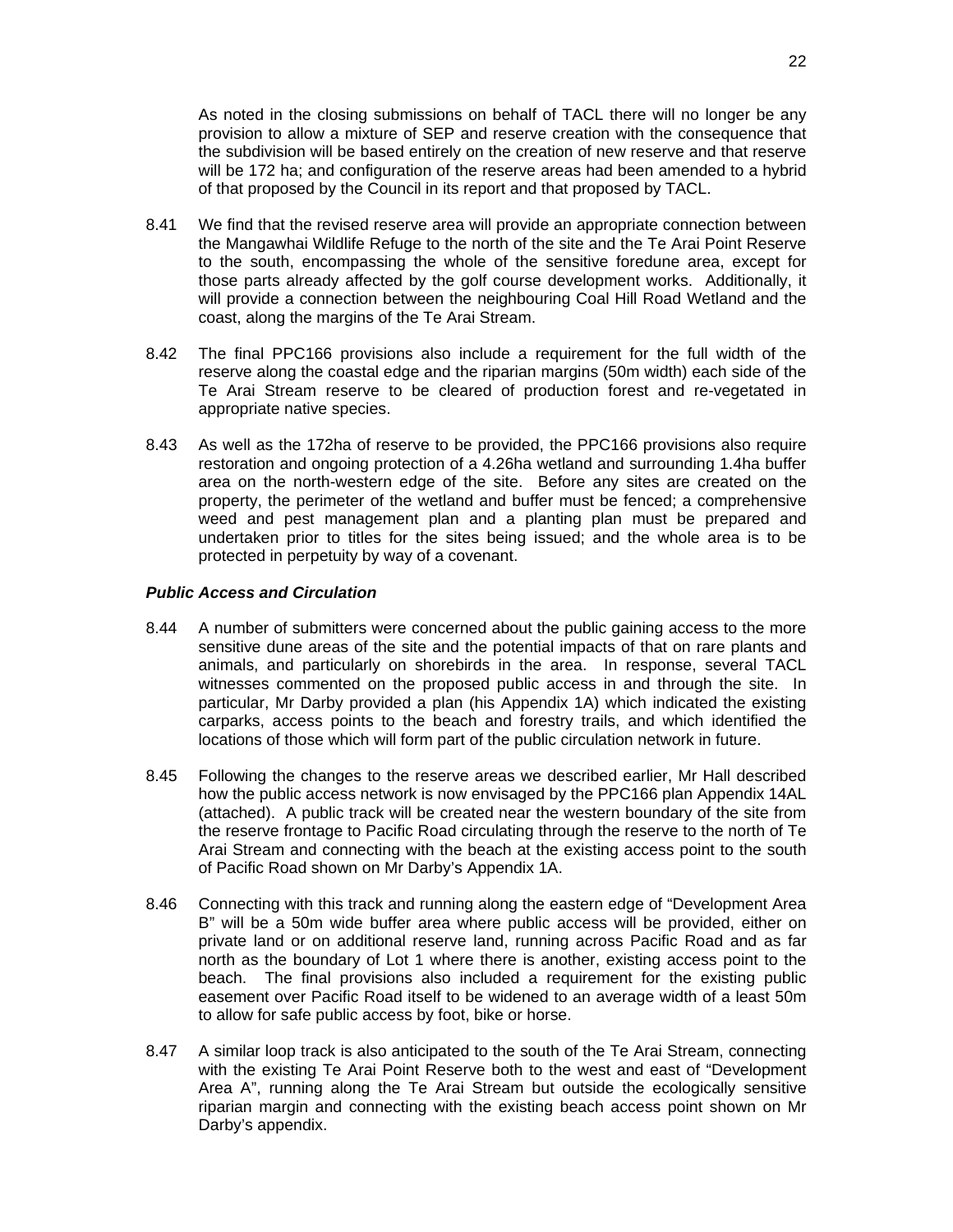As noted in the closing submissions on behalf of TACL there will no longer be any provision to allow a mixture of SEP and reserve creation with the consequence that the subdivision will be based entirely on the creation of new reserve and that reserve will be 172 ha; and configuration of the reserve areas had been amended to a hybrid of that proposed by the Council in its report and that proposed by TACL.

- 8.41 We find that the revised reserve area will provide an appropriate connection between the Mangawhai Wildlife Refuge to the north of the site and the Te Arai Point Reserve to the south, encompassing the whole of the sensitive foredune area, except for those parts already affected by the golf course development works. Additionally, it will provide a connection between the neighbouring Coal Hill Road Wetland and the coast, along the margins of the Te Arai Stream.
- 8.42 The final PPC166 provisions also include a requirement for the full width of the reserve along the coastal edge and the riparian margins (50m width) each side of the Te Arai Stream reserve to be cleared of production forest and re-vegetated in appropriate native species.
- 8.43 As well as the 172ha of reserve to be provided, the PPC166 provisions also require restoration and ongoing protection of a 4.26ha wetland and surrounding 1.4ha buffer area on the north-western edge of the site. Before any sites are created on the property, the perimeter of the wetland and buffer must be fenced; a comprehensive weed and pest management plan and a planting plan must be prepared and undertaken prior to titles for the sites being issued; and the whole area is to be protected in perpetuity by way of a covenant.

#### *Public Access and Circulation*

- 8.44 A number of submitters were concerned about the public gaining access to the more sensitive dune areas of the site and the potential impacts of that on rare plants and animals, and particularly on shorebirds in the area. In response, several TACL witnesses commented on the proposed public access in and through the site. In particular, Mr Darby provided a plan (his Appendix 1A) which indicated the existing carparks, access points to the beach and forestry trails, and which identified the locations of those which will form part of the public circulation network in future.
- 8.45 Following the changes to the reserve areas we described earlier, Mr Hall described how the public access network is now envisaged by the PPC166 plan Appendix 14AL (attached). A public track will be created near the western boundary of the site from the reserve frontage to Pacific Road circulating through the reserve to the north of Te Arai Stream and connecting with the beach at the existing access point to the south of Pacific Road shown on Mr Darby's Appendix 1A.
- 8.46 Connecting with this track and running along the eastern edge of "Development Area B" will be a 50m wide buffer area where public access will be provided, either on private land or on additional reserve land, running across Pacific Road and as far north as the boundary of Lot 1 where there is another, existing access point to the beach. The final provisions also included a requirement for the existing public easement over Pacific Road itself to be widened to an average width of a least 50m to allow for safe public access by foot, bike or horse.
- 8.47 A similar loop track is also anticipated to the south of the Te Arai Stream, connecting with the existing Te Arai Point Reserve both to the west and east of "Development Area A", running along the Te Arai Stream but outside the ecologically sensitive riparian margin and connecting with the existing beach access point shown on Mr Darby's appendix.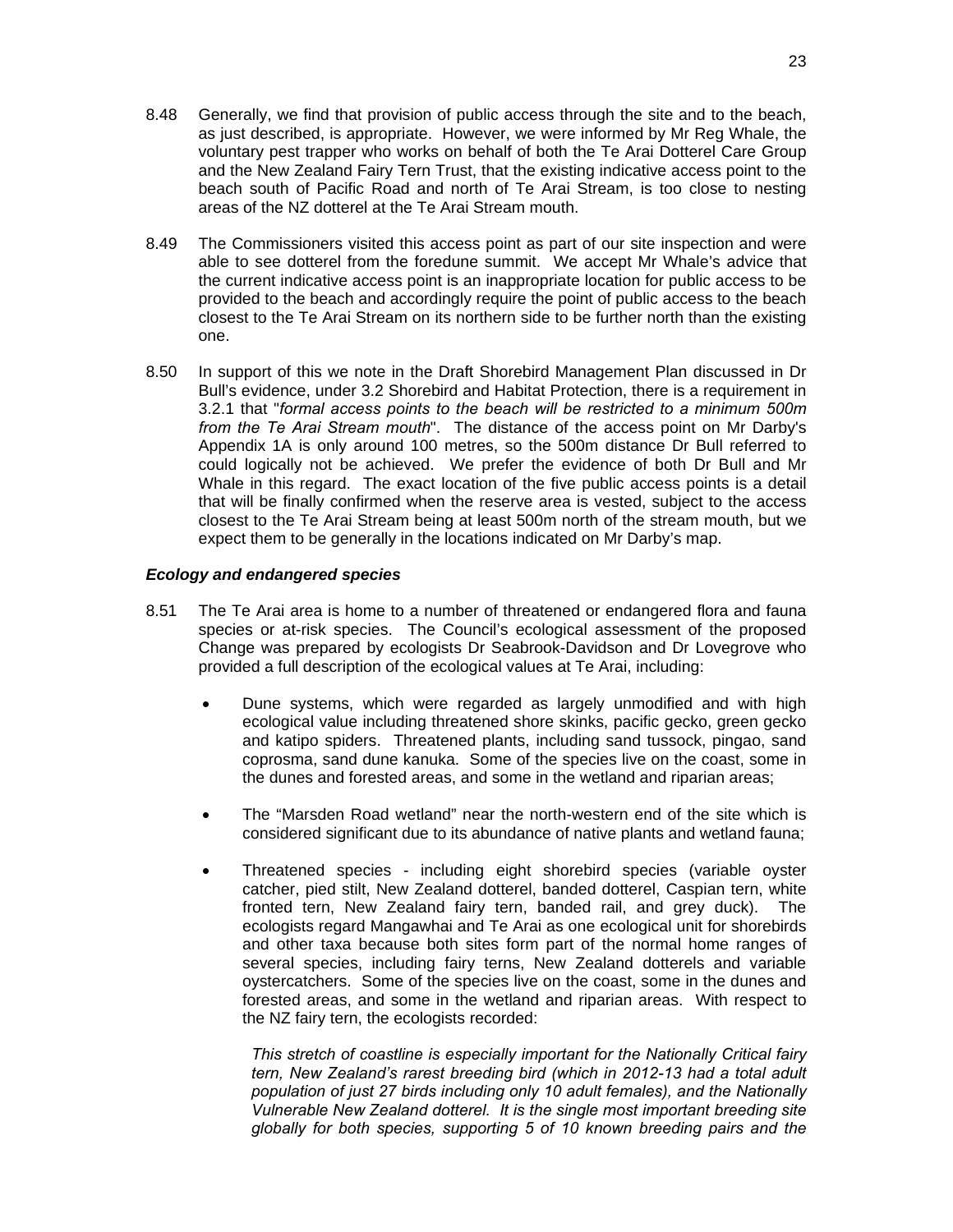- 8.48 Generally, we find that provision of public access through the site and to the beach, as just described, is appropriate. However, we were informed by Mr Reg Whale, the voluntary pest trapper who works on behalf of both the Te Arai Dotterel Care Group and the New Zealand Fairy Tern Trust, that the existing indicative access point to the beach south of Pacific Road and north of Te Arai Stream, is too close to nesting areas of the NZ dotterel at the Te Arai Stream mouth.
- 8.49 The Commissioners visited this access point as part of our site inspection and were able to see dotterel from the foredune summit. We accept Mr Whale's advice that the current indicative access point is an inappropriate location for public access to be provided to the beach and accordingly require the point of public access to the beach closest to the Te Arai Stream on its northern side to be further north than the existing one.
- 8.50 In support of this we note in the Draft Shorebird Management Plan discussed in Dr Bull's evidence, under 3.2 Shorebird and Habitat Protection, there is a requirement in 3.2.1 that "*formal access points to the beach will be restricted to a minimum 500m from the Te Arai Stream mouth*". The distance of the access point on Mr Darby's Appendix 1A is only around 100 metres, so the 500m distance Dr Bull referred to could logically not be achieved. We prefer the evidence of both Dr Bull and Mr Whale in this regard. The exact location of the five public access points is a detail that will be finally confirmed when the reserve area is vested, subject to the access closest to the Te Arai Stream being at least 500m north of the stream mouth, but we expect them to be generally in the locations indicated on Mr Darby's map.

#### *Ecology and endangered species*

- 8.51 The Te Arai area is home to a number of threatened or endangered flora and fauna species or at-risk species. The Council's ecological assessment of the proposed Change was prepared by ecologists Dr Seabrook-Davidson and Dr Lovegrove who provided a full description of the ecological values at Te Arai, including:
	- Dune systems, which were regarded as largely unmodified and with high ecological value including threatened shore skinks, pacific gecko, green gecko and katipo spiders. Threatened plants, including sand tussock, pingao, sand coprosma, sand dune kanuka. Some of the species live on the coast, some in the dunes and forested areas, and some in the wetland and riparian areas;
	- The "Marsden Road wetland" near the north-western end of the site which is considered significant due to its abundance of native plants and wetland fauna;
	- Threatened species including eight shorebird species (variable oyster catcher, pied stilt, New Zealand dotterel, banded dotterel, Caspian tern, white fronted tern, New Zealand fairy tern, banded rail, and grey duck). The ecologists regard Mangawhai and Te Arai as one ecological unit for shorebirds and other taxa because both sites form part of the normal home ranges of several species, including fairy terns, New Zealand dotterels and variable oystercatchers. Some of the species live on the coast, some in the dunes and forested areas, and some in the wetland and riparian areas. With respect to the NZ fairy tern, the ecologists recorded:

*This stretch of coastline is especially important for the Nationally Critical fairy tern, New Zealand's rarest breeding bird (which in 2012-13 had a total adult population of just 27 birds including only 10 adult females), and the Nationally Vulnerable New Zealand dotterel. It is the single most important breeding site globally for both species, supporting 5 of 10 known breeding pairs and the*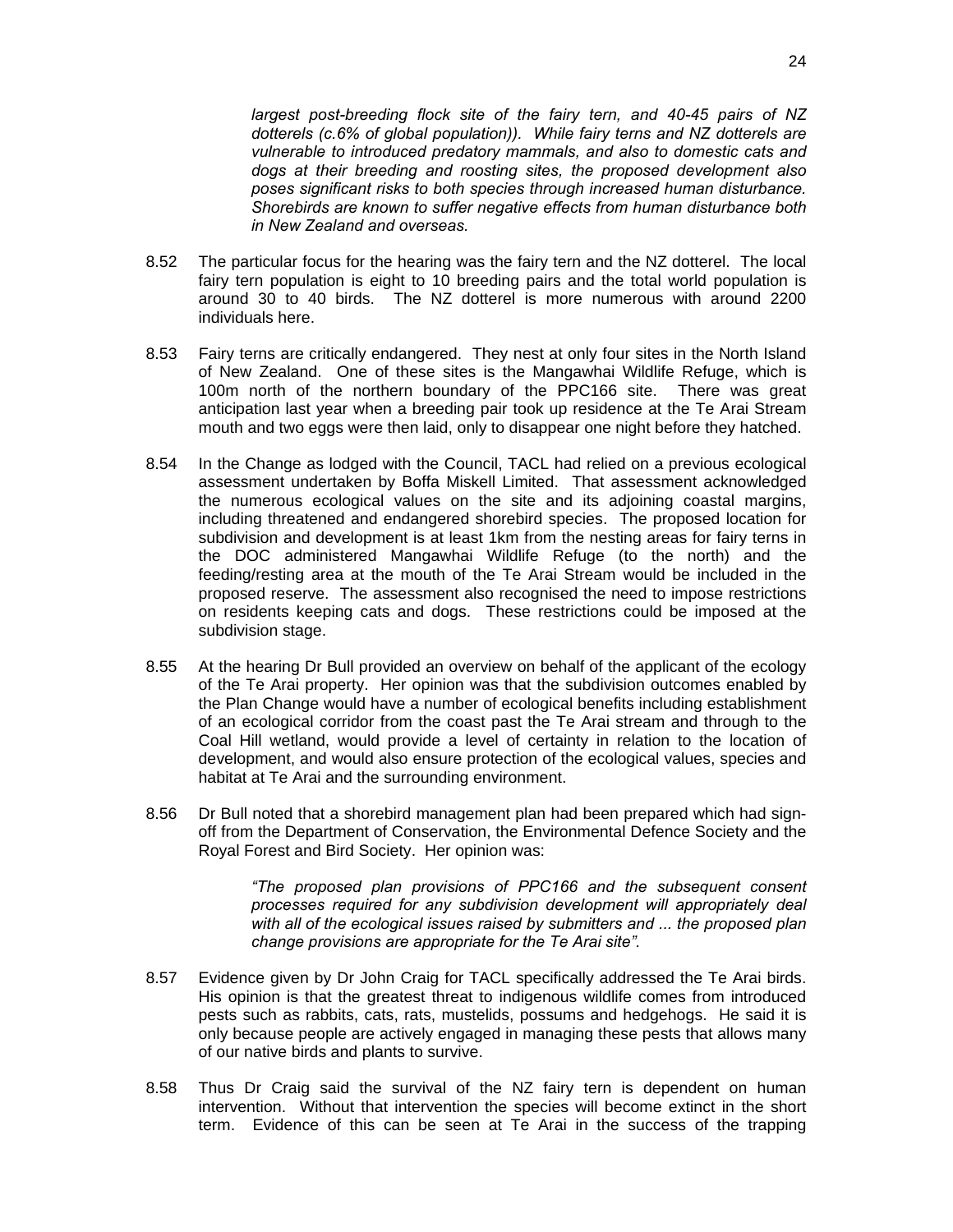*largest post-breeding flock site of the fairy tern, and 40-45 pairs of NZ dotterels (c.6% of global population)). While fairy terns and NZ dotterels are vulnerable to introduced predatory mammals, and also to domestic cats and dogs at their breeding and roosting sites, the proposed development also poses significant risks to both species through increased human disturbance. Shorebirds are known to suffer negative effects from human disturbance both in New Zealand and overseas.* 

- 8.52 The particular focus for the hearing was the fairy tern and the NZ dotterel. The local fairy tern population is eight to 10 breeding pairs and the total world population is around 30 to 40 birds. The NZ dotterel is more numerous with around 2200 individuals here.
- 8.53 Fairy terns are critically endangered. They nest at only four sites in the North Island of New Zealand. One of these sites is the Mangawhai Wildlife Refuge, which is 100m north of the northern boundary of the PPC166 site. There was great anticipation last year when a breeding pair took up residence at the Te Arai Stream mouth and two eggs were then laid, only to disappear one night before they hatched.
- 8.54 In the Change as lodged with the Council, TACL had relied on a previous ecological assessment undertaken by Boffa Miskell Limited. That assessment acknowledged the numerous ecological values on the site and its adjoining coastal margins, including threatened and endangered shorebird species. The proposed location for subdivision and development is at least 1km from the nesting areas for fairy terns in the DOC administered Mangawhai Wildlife Refuge (to the north) and the feeding/resting area at the mouth of the Te Arai Stream would be included in the proposed reserve. The assessment also recognised the need to impose restrictions on residents keeping cats and dogs. These restrictions could be imposed at the subdivision stage.
- 8.55 At the hearing Dr Bull provided an overview on behalf of the applicant of the ecology of the Te Arai property. Her opinion was that the subdivision outcomes enabled by the Plan Change would have a number of ecological benefits including establishment of an ecological corridor from the coast past the Te Arai stream and through to the Coal Hill wetland, would provide a level of certainty in relation to the location of development, and would also ensure protection of the ecological values, species and habitat at Te Arai and the surrounding environment.
- 8.56 Dr Bull noted that a shorebird management plan had been prepared which had signoff from the Department of Conservation, the Environmental Defence Society and the Royal Forest and Bird Society. Her opinion was:

*"The proposed plan provisions of PPC166 and the subsequent consent processes required for any subdivision development will appropriately deal with all of the ecological issues raised by submitters and ... the proposed plan change provisions are appropriate for the Te Arai site".* 

- 8.57 Evidence given by Dr John Craig for TACL specifically addressed the Te Arai birds. His opinion is that the greatest threat to indigenous wildlife comes from introduced pests such as rabbits, cats, rats, mustelids, possums and hedgehogs. He said it is only because people are actively engaged in managing these pests that allows many of our native birds and plants to survive.
- 8.58 Thus Dr Craig said the survival of the NZ fairy tern is dependent on human intervention. Without that intervention the species will become extinct in the short term. Evidence of this can be seen at Te Arai in the success of the trapping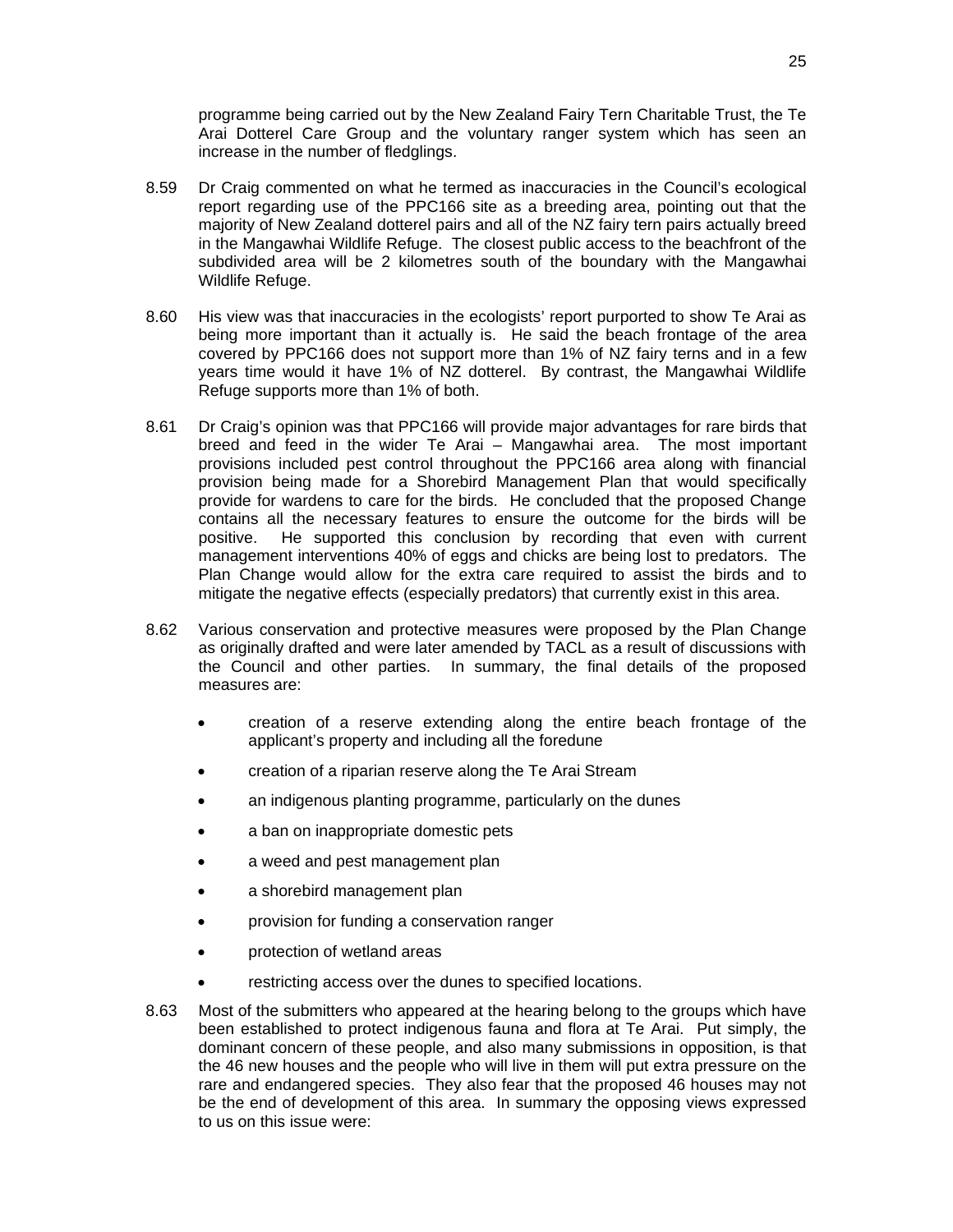programme being carried out by the New Zealand Fairy Tern Charitable Trust, the Te Arai Dotterel Care Group and the voluntary ranger system which has seen an increase in the number of fledglings.

- 8.59 Dr Craig commented on what he termed as inaccuracies in the Council's ecological report regarding use of the PPC166 site as a breeding area, pointing out that the majority of New Zealand dotterel pairs and all of the NZ fairy tern pairs actually breed in the Mangawhai Wildlife Refuge. The closest public access to the beachfront of the subdivided area will be 2 kilometres south of the boundary with the Mangawhai Wildlife Refuge.
- 8.60 His view was that inaccuracies in the ecologists' report purported to show Te Arai as being more important than it actually is. He said the beach frontage of the area covered by PPC166 does not support more than 1% of NZ fairy terns and in a few years time would it have 1% of NZ dotterel. By contrast, the Mangawhai Wildlife Refuge supports more than 1% of both.
- 8.61 Dr Craig's opinion was that PPC166 will provide major advantages for rare birds that breed and feed in the wider Te Arai – Mangawhai area. The most important provisions included pest control throughout the PPC166 area along with financial provision being made for a Shorebird Management Plan that would specifically provide for wardens to care for the birds. He concluded that the proposed Change contains all the necessary features to ensure the outcome for the birds will be positive. He supported this conclusion by recording that even with current management interventions 40% of eggs and chicks are being lost to predators. The Plan Change would allow for the extra care required to assist the birds and to mitigate the negative effects (especially predators) that currently exist in this area.
- 8.62 Various conservation and protective measures were proposed by the Plan Change as originally drafted and were later amended by TACL as a result of discussions with the Council and other parties. In summary, the final details of the proposed measures are:
	- creation of a reserve extending along the entire beach frontage of the applicant's property and including all the foredune
	- creation of a riparian reserve along the Te Arai Stream
	- an indigenous planting programme, particularly on the dunes
	- a ban on inappropriate domestic pets
	- a weed and pest management plan
	- a shorebird management plan
	- provision for funding a conservation ranger
	- protection of wetland areas
	- restricting access over the dunes to specified locations.
- 8.63 Most of the submitters who appeared at the hearing belong to the groups which have been established to protect indigenous fauna and flora at Te Arai. Put simply, the dominant concern of these people, and also many submissions in opposition, is that the 46 new houses and the people who will live in them will put extra pressure on the rare and endangered species. They also fear that the proposed 46 houses may not be the end of development of this area. In summary the opposing views expressed to us on this issue were: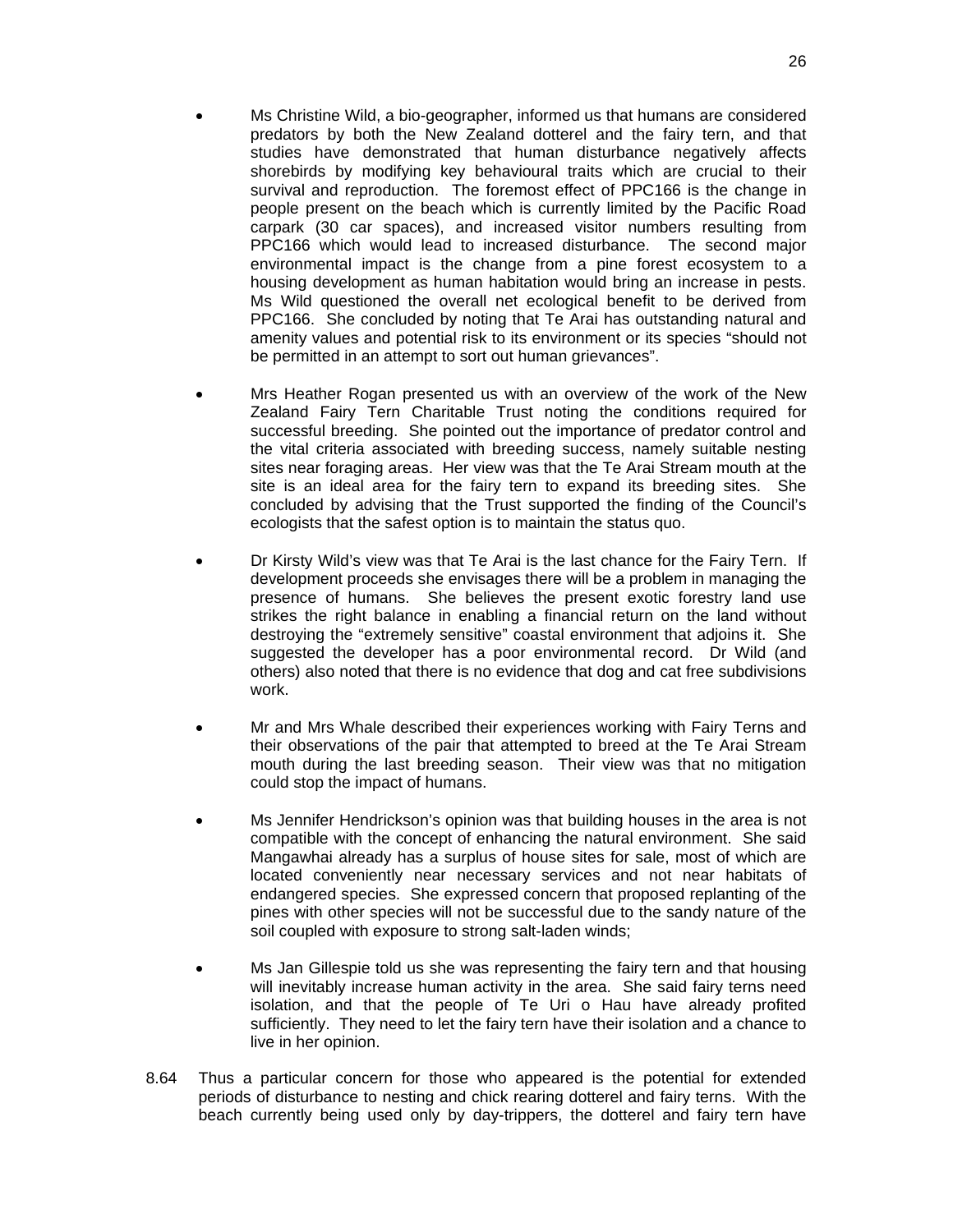- Ms Christine Wild, a bio-geographer, informed us that humans are considered predators by both the New Zealand dotterel and the fairy tern, and that studies have demonstrated that human disturbance negatively affects shorebirds by modifying key behavioural traits which are crucial to their survival and reproduction. The foremost effect of PPC166 is the change in people present on the beach which is currently limited by the Pacific Road carpark (30 car spaces), and increased visitor numbers resulting from PPC166 which would lead to increased disturbance. The second major environmental impact is the change from a pine forest ecosystem to a housing development as human habitation would bring an increase in pests. Ms Wild questioned the overall net ecological benefit to be derived from PPC166. She concluded by noting that Te Arai has outstanding natural and amenity values and potential risk to its environment or its species "should not be permitted in an attempt to sort out human grievances".
- Mrs Heather Rogan presented us with an overview of the work of the New Zealand Fairy Tern Charitable Trust noting the conditions required for successful breeding. She pointed out the importance of predator control and the vital criteria associated with breeding success, namely suitable nesting sites near foraging areas. Her view was that the Te Arai Stream mouth at the site is an ideal area for the fairy tern to expand its breeding sites. She concluded by advising that the Trust supported the finding of the Council's ecologists that the safest option is to maintain the status quo.
- Dr Kirsty Wild's view was that Te Arai is the last chance for the Fairy Tern. If development proceeds she envisages there will be a problem in managing the presence of humans. She believes the present exotic forestry land use strikes the right balance in enabling a financial return on the land without destroying the "extremely sensitive" coastal environment that adjoins it. She suggested the developer has a poor environmental record. Dr Wild (and others) also noted that there is no evidence that dog and cat free subdivisions work.
- Mr and Mrs Whale described their experiences working with Fairy Terns and their observations of the pair that attempted to breed at the Te Arai Stream mouth during the last breeding season. Their view was that no mitigation could stop the impact of humans.
- Ms Jennifer Hendrickson's opinion was that building houses in the area is not compatible with the concept of enhancing the natural environment. She said Mangawhai already has a surplus of house sites for sale, most of which are located conveniently near necessary services and not near habitats of endangered species. She expressed concern that proposed replanting of the pines with other species will not be successful due to the sandy nature of the soil coupled with exposure to strong salt-laden winds;
- Ms Jan Gillespie told us she was representing the fairy tern and that housing will inevitably increase human activity in the area. She said fairy terns need isolation, and that the people of Te Uri o Hau have already profited sufficiently. They need to let the fairy tern have their isolation and a chance to live in her opinion.
- 8.64 Thus a particular concern for those who appeared is the potential for extended periods of disturbance to nesting and chick rearing dotterel and fairy terns. With the beach currently being used only by day-trippers, the dotterel and fairy tern have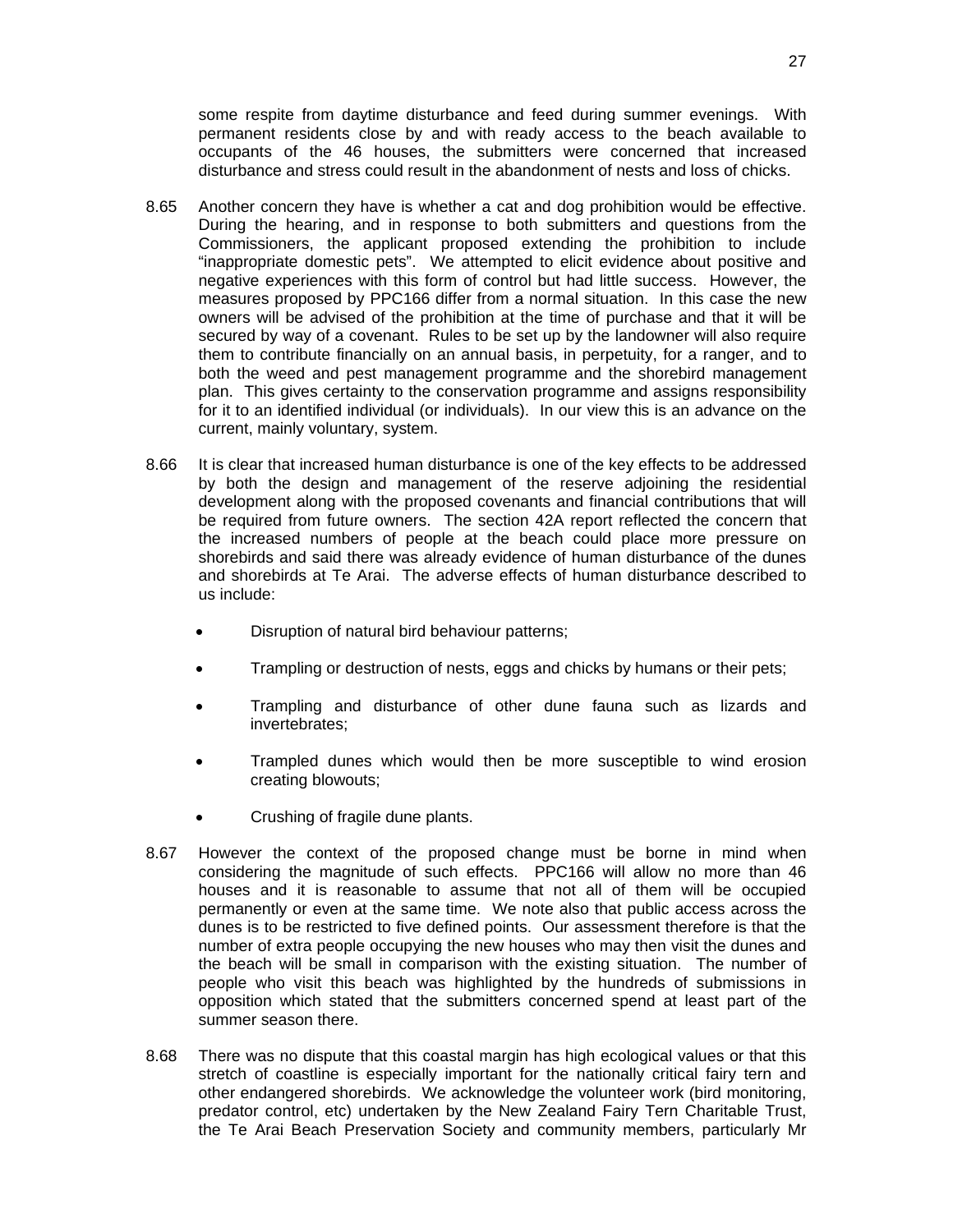some respite from daytime disturbance and feed during summer evenings. With permanent residents close by and with ready access to the beach available to occupants of the 46 houses, the submitters were concerned that increased disturbance and stress could result in the abandonment of nests and loss of chicks.

- 8.65 Another concern they have is whether a cat and dog prohibition would be effective. During the hearing, and in response to both submitters and questions from the Commissioners, the applicant proposed extending the prohibition to include "inappropriate domestic pets". We attempted to elicit evidence about positive and negative experiences with this form of control but had little success. However, the measures proposed by PPC166 differ from a normal situation. In this case the new owners will be advised of the prohibition at the time of purchase and that it will be secured by way of a covenant. Rules to be set up by the landowner will also require them to contribute financially on an annual basis, in perpetuity, for a ranger, and to both the weed and pest management programme and the shorebird management plan. This gives certainty to the conservation programme and assigns responsibility for it to an identified individual (or individuals). In our view this is an advance on the current, mainly voluntary, system.
- 8.66 It is clear that increased human disturbance is one of the key effects to be addressed by both the design and management of the reserve adjoining the residential development along with the proposed covenants and financial contributions that will be required from future owners. The section 42A report reflected the concern that the increased numbers of people at the beach could place more pressure on shorebirds and said there was already evidence of human disturbance of the dunes and shorebirds at Te Arai. The adverse effects of human disturbance described to us include:
	- Disruption of natural bird behaviour patterns;
	- Trampling or destruction of nests, eggs and chicks by humans or their pets;
	- Trampling and disturbance of other dune fauna such as lizards and invertebrates;
	- Trampled dunes which would then be more susceptible to wind erosion creating blowouts;
	- Crushing of fragile dune plants.
- 8.67 However the context of the proposed change must be borne in mind when considering the magnitude of such effects. PPC166 will allow no more than 46 houses and it is reasonable to assume that not all of them will be occupied permanently or even at the same time. We note also that public access across the dunes is to be restricted to five defined points. Our assessment therefore is that the number of extra people occupying the new houses who may then visit the dunes and the beach will be small in comparison with the existing situation. The number of people who visit this beach was highlighted by the hundreds of submissions in opposition which stated that the submitters concerned spend at least part of the summer season there.
- 8.68 There was no dispute that this coastal margin has high ecological values or that this stretch of coastline is especially important for the nationally critical fairy tern and other endangered shorebirds. We acknowledge the volunteer work (bird monitoring, predator control, etc) undertaken by the New Zealand Fairy Tern Charitable Trust, the Te Arai Beach Preservation Society and community members, particularly Mr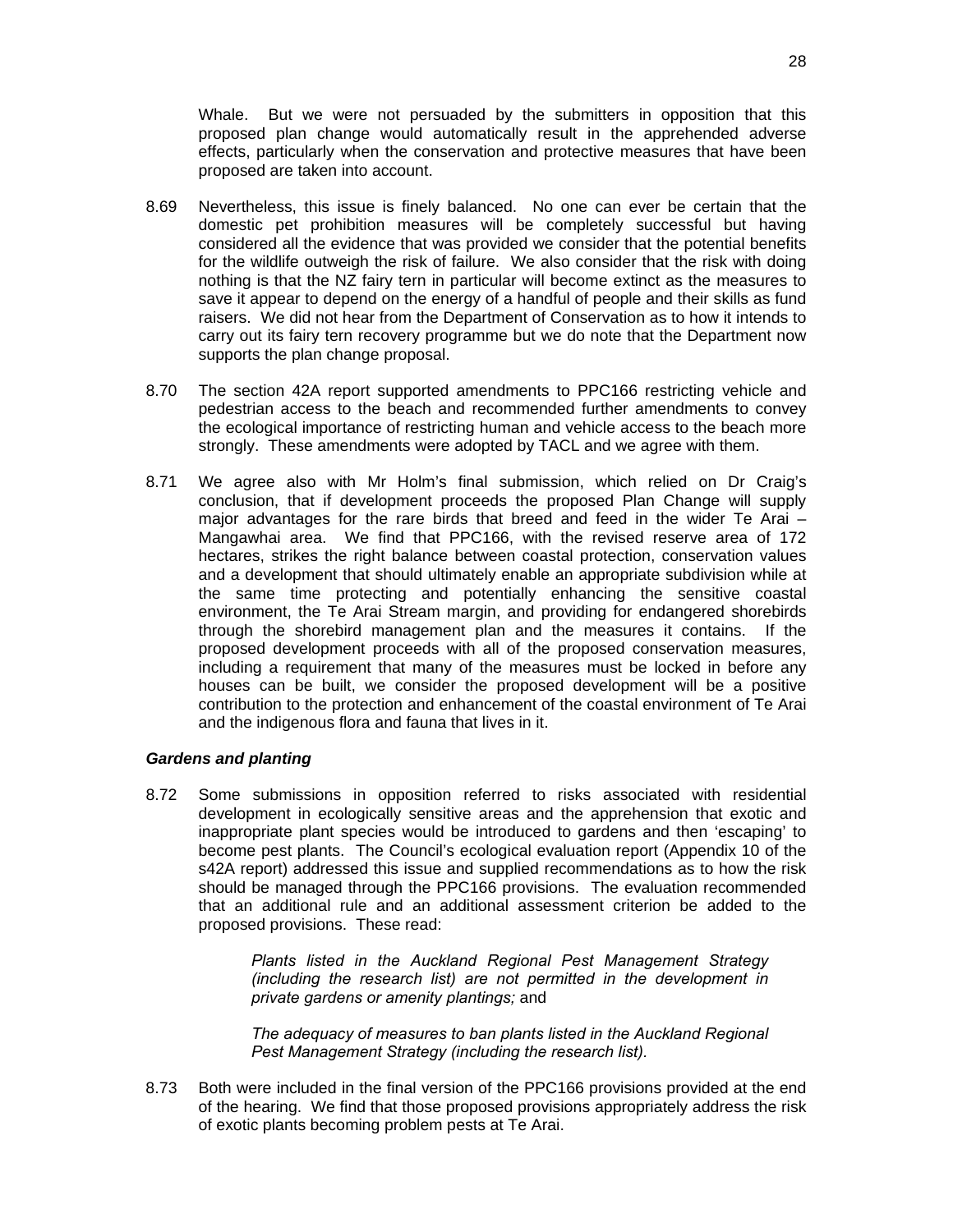Whale. But we were not persuaded by the submitters in opposition that this proposed plan change would automatically result in the apprehended adverse effects, particularly when the conservation and protective measures that have been proposed are taken into account.

- 8.69 Nevertheless, this issue is finely balanced. No one can ever be certain that the domestic pet prohibition measures will be completely successful but having considered all the evidence that was provided we consider that the potential benefits for the wildlife outweigh the risk of failure. We also consider that the risk with doing nothing is that the NZ fairy tern in particular will become extinct as the measures to save it appear to depend on the energy of a handful of people and their skills as fund raisers. We did not hear from the Department of Conservation as to how it intends to carry out its fairy tern recovery programme but we do note that the Department now supports the plan change proposal.
- 8.70 The section 42A report supported amendments to PPC166 restricting vehicle and pedestrian access to the beach and recommended further amendments to convey the ecological importance of restricting human and vehicle access to the beach more strongly. These amendments were adopted by TACL and we agree with them.
- 8.71 We agree also with Mr Holm's final submission, which relied on Dr Craig's conclusion, that if development proceeds the proposed Plan Change will supply major advantages for the rare birds that breed and feed in the wider Te Arai  $-$ Mangawhai area. We find that PPC166, with the revised reserve area of 172 hectares, strikes the right balance between coastal protection, conservation values and a development that should ultimately enable an appropriate subdivision while at the same time protecting and potentially enhancing the sensitive coastal environment, the Te Arai Stream margin, and providing for endangered shorebirds through the shorebird management plan and the measures it contains. If the proposed development proceeds with all of the proposed conservation measures, including a requirement that many of the measures must be locked in before any houses can be built, we consider the proposed development will be a positive contribution to the protection and enhancement of the coastal environment of Te Arai and the indigenous flora and fauna that lives in it.

#### *Gardens and planting*

8.72 Some submissions in opposition referred to risks associated with residential development in ecologically sensitive areas and the apprehension that exotic and inappropriate plant species would be introduced to gardens and then 'escaping' to become pest plants. The Council's ecological evaluation report (Appendix 10 of the s42A report) addressed this issue and supplied recommendations as to how the risk should be managed through the PPC166 provisions. The evaluation recommended that an additional rule and an additional assessment criterion be added to the proposed provisions. These read:

> *Plants listed in the Auckland Regional Pest Management Strategy (including the research list) are not permitted in the development in private gardens or amenity plantings;* and

> *The adequacy of measures to ban plants listed in the Auckland Regional Pest Management Strategy (including the research list).*

8.73 Both were included in the final version of the PPC166 provisions provided at the end of the hearing. We find that those proposed provisions appropriately address the risk of exotic plants becoming problem pests at Te Arai.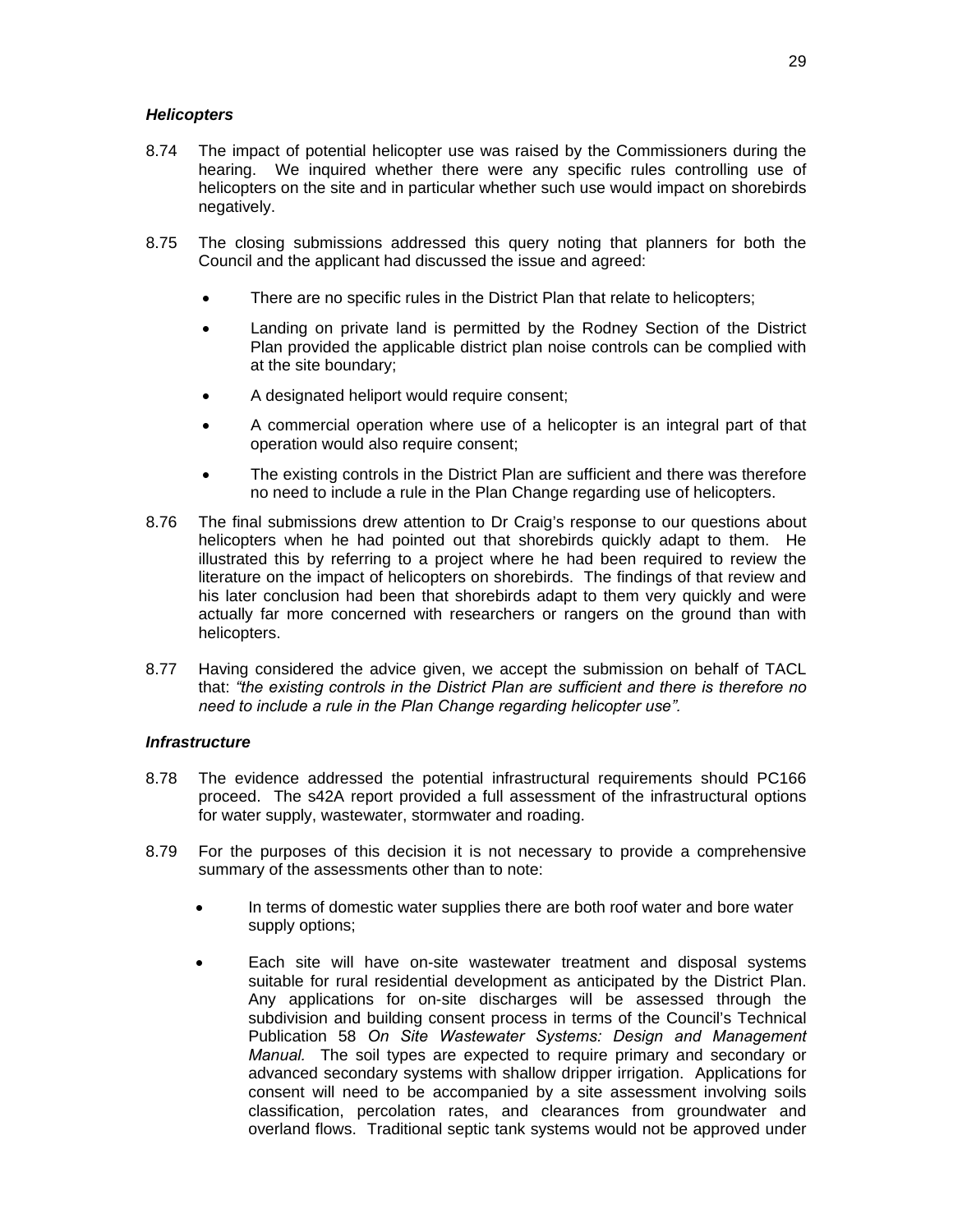#### *Helicopters*

- 8.74 The impact of potential helicopter use was raised by the Commissioners during the hearing. We inquired whether there were any specific rules controlling use of helicopters on the site and in particular whether such use would impact on shorebirds negatively.
- 8.75 The closing submissions addressed this query noting that planners for both the Council and the applicant had discussed the issue and agreed:
	- There are no specific rules in the District Plan that relate to helicopters;
	- Landing on private land is permitted by the Rodney Section of the District Plan provided the applicable district plan noise controls can be complied with at the site boundary;
	- A designated heliport would require consent;
	- A commercial operation where use of a helicopter is an integral part of that operation would also require consent;
	- The existing controls in the District Plan are sufficient and there was therefore no need to include a rule in the Plan Change regarding use of helicopters.
- 8.76 The final submissions drew attention to Dr Craig's response to our questions about helicopters when he had pointed out that shorebirds quickly adapt to them. He illustrated this by referring to a project where he had been required to review the literature on the impact of helicopters on shorebirds. The findings of that review and his later conclusion had been that shorebirds adapt to them very quickly and were actually far more concerned with researchers or rangers on the ground than with helicopters.
- 8.77 Having considered the advice given, we accept the submission on behalf of TACL that: *"the existing controls in the District Plan are sufficient and there is therefore no need to include a rule in the Plan Change regarding helicopter use".*

#### *Infrastructure*

- 8.78 The evidence addressed the potential infrastructural requirements should PC166 proceed. The s42A report provided a full assessment of the infrastructural options for water supply, wastewater, stormwater and roading.
- 8.79 For the purposes of this decision it is not necessary to provide a comprehensive summary of the assessments other than to note:
	- In terms of domestic water supplies there are both roof water and bore water supply options;
	- Each site will have on-site wastewater treatment and disposal systems suitable for rural residential development as anticipated by the District Plan. Any applications for on-site discharges will be assessed through the subdivision and building consent process in terms of the Council's Technical Publication 58 *On Site Wastewater Systems: Design and Management Manual.* The soil types are expected to require primary and secondary or advanced secondary systems with shallow dripper irrigation. Applications for consent will need to be accompanied by a site assessment involving soils classification, percolation rates, and clearances from groundwater and overland flows. Traditional septic tank systems would not be approved under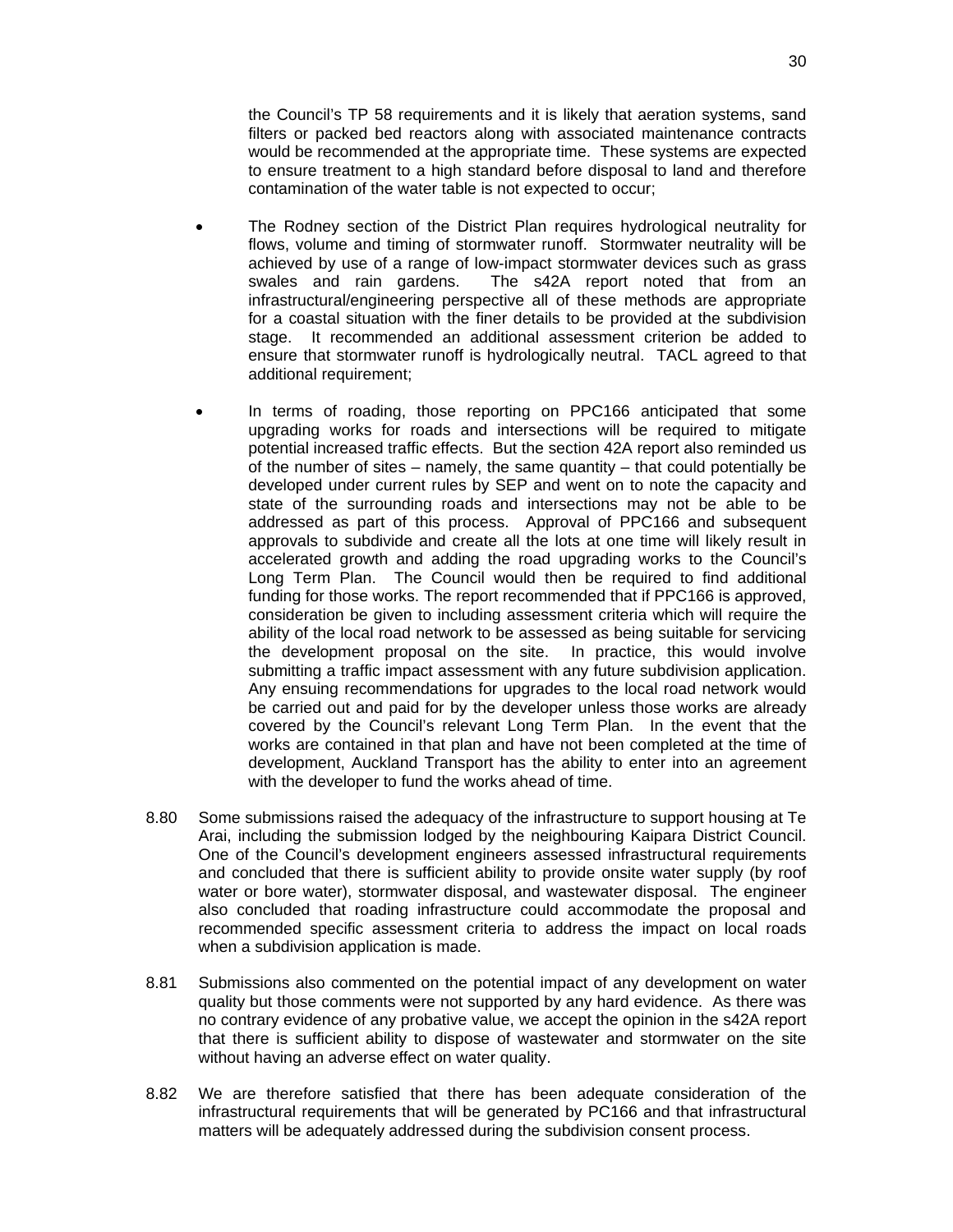the Council's TP 58 requirements and it is likely that aeration systems, sand filters or packed bed reactors along with associated maintenance contracts would be recommended at the appropriate time. These systems are expected to ensure treatment to a high standard before disposal to land and therefore contamination of the water table is not expected to occur;

- The Rodney section of the District Plan requires hydrological neutrality for flows, volume and timing of stormwater runoff. Stormwater neutrality will be achieved by use of a range of low-impact stormwater devices such as grass swales and rain gardens. The s42A report noted that from an infrastructural/engineering perspective all of these methods are appropriate for a coastal situation with the finer details to be provided at the subdivision stage. It recommended an additional assessment criterion be added to ensure that stormwater runoff is hydrologically neutral. TACL agreed to that additional requirement;
- In terms of roading, those reporting on PPC166 anticipated that some upgrading works for roads and intersections will be required to mitigate potential increased traffic effects. But the section 42A report also reminded us of the number of sites – namely, the same quantity – that could potentially be developed under current rules by SEP and went on to note the capacity and state of the surrounding roads and intersections may not be able to be addressed as part of this process. Approval of PPC166 and subsequent approvals to subdivide and create all the lots at one time will likely result in accelerated growth and adding the road upgrading works to the Council's Long Term Plan. The Council would then be required to find additional funding for those works. The report recommended that if PPC166 is approved, consideration be given to including assessment criteria which will require the ability of the local road network to be assessed as being suitable for servicing the development proposal on the site. In practice, this would involve submitting a traffic impact assessment with any future subdivision application. Any ensuing recommendations for upgrades to the local road network would be carried out and paid for by the developer unless those works are already covered by the Council's relevant Long Term Plan. In the event that the works are contained in that plan and have not been completed at the time of development, Auckland Transport has the ability to enter into an agreement with the developer to fund the works ahead of time.
- 8.80 Some submissions raised the adequacy of the infrastructure to support housing at Te Arai, including the submission lodged by the neighbouring Kaipara District Council. One of the Council's development engineers assessed infrastructural requirements and concluded that there is sufficient ability to provide onsite water supply (by roof water or bore water), stormwater disposal, and wastewater disposal. The engineer also concluded that roading infrastructure could accommodate the proposal and recommended specific assessment criteria to address the impact on local roads when a subdivision application is made.
- 8.81 Submissions also commented on the potential impact of any development on water quality but those comments were not supported by any hard evidence. As there was no contrary evidence of any probative value, we accept the opinion in the s42A report that there is sufficient ability to dispose of wastewater and stormwater on the site without having an adverse effect on water quality.
- 8.82 We are therefore satisfied that there has been adequate consideration of the infrastructural requirements that will be generated by PC166 and that infrastructural matters will be adequately addressed during the subdivision consent process.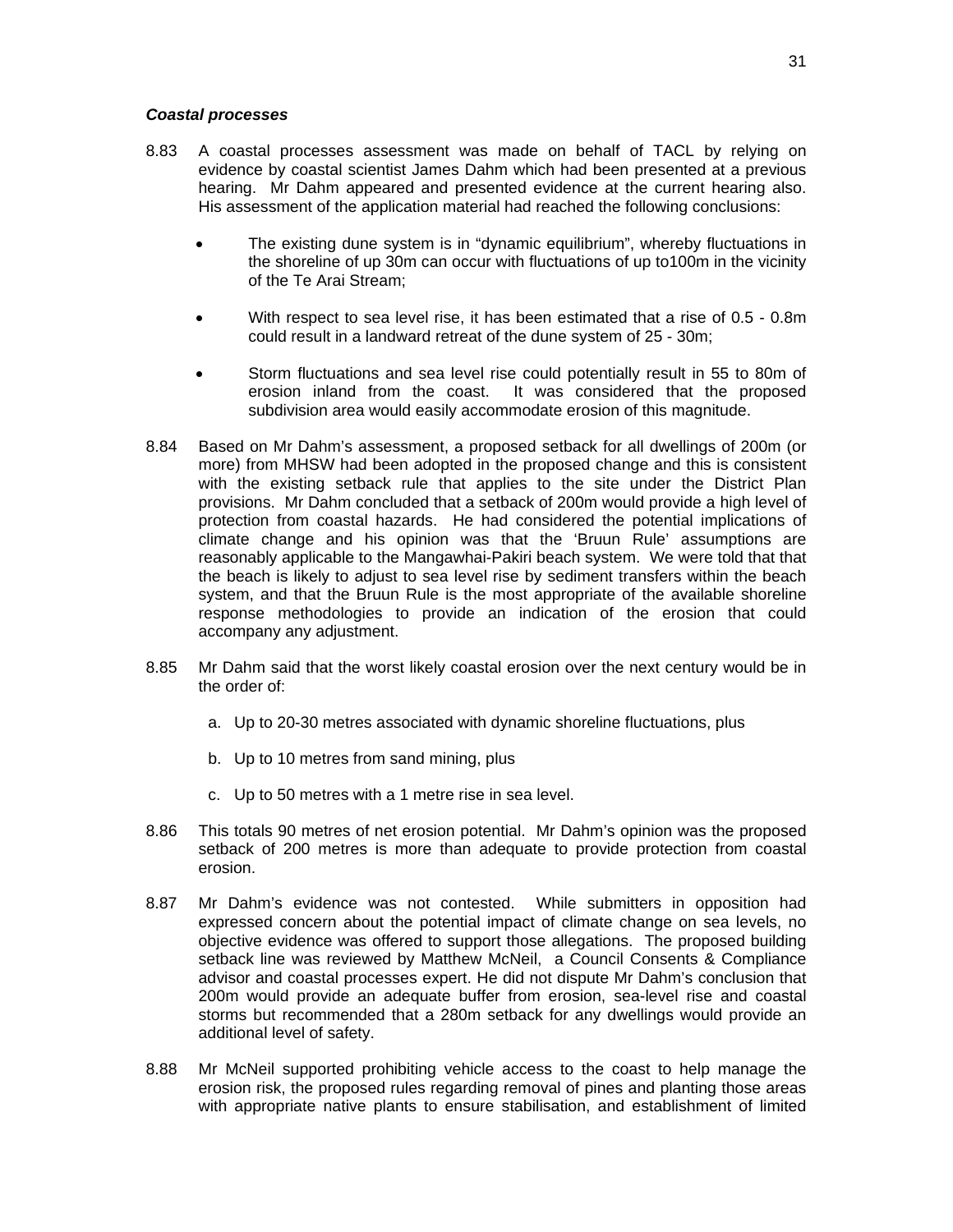#### *Coastal processes*

- 8.83 A coastal processes assessment was made on behalf of TACL by relying on evidence by coastal scientist James Dahm which had been presented at a previous hearing. Mr Dahm appeared and presented evidence at the current hearing also. His assessment of the application material had reached the following conclusions:
	- The existing dune system is in "dynamic equilibrium", whereby fluctuations in the shoreline of up 30m can occur with fluctuations of up to100m in the vicinity of the Te Arai Stream;
	- With respect to sea level rise, it has been estimated that a rise of 0.5 0.8m could result in a landward retreat of the dune system of 25 - 30m;
	- Storm fluctuations and sea level rise could potentially result in 55 to 80m of erosion inland from the coast. It was considered that the proposed subdivision area would easily accommodate erosion of this magnitude.
- 8.84 Based on Mr Dahm's assessment, a proposed setback for all dwellings of 200m (or more) from MHSW had been adopted in the proposed change and this is consistent with the existing setback rule that applies to the site under the District Plan provisions. Mr Dahm concluded that a setback of 200m would provide a high level of protection from coastal hazards. He had considered the potential implications of climate change and his opinion was that the 'Bruun Rule' assumptions are reasonably applicable to the Mangawhai-Pakiri beach system. We were told that that the beach is likely to adjust to sea level rise by sediment transfers within the beach system, and that the Bruun Rule is the most appropriate of the available shoreline response methodologies to provide an indication of the erosion that could accompany any adjustment.
- 8.85 Mr Dahm said that the worst likely coastal erosion over the next century would be in the order of:
	- a. Up to 20-30 metres associated with dynamic shoreline fluctuations, plus
	- b. Up to 10 metres from sand mining, plus
	- c. Up to 50 metres with a 1 metre rise in sea level.
- 8.86 This totals 90 metres of net erosion potential. Mr Dahm's opinion was the proposed setback of 200 metres is more than adequate to provide protection from coastal erosion.
- 8.87 Mr Dahm's evidence was not contested. While submitters in opposition had expressed concern about the potential impact of climate change on sea levels, no objective evidence was offered to support those allegations. The proposed building setback line was reviewed by Matthew McNeil, a Council Consents & Compliance advisor and coastal processes expert. He did not dispute Mr Dahm's conclusion that 200m would provide an adequate buffer from erosion, sea-level rise and coastal storms but recommended that a 280m setback for any dwellings would provide an additional level of safety.
- 8.88 Mr McNeil supported prohibiting vehicle access to the coast to help manage the erosion risk, the proposed rules regarding removal of pines and planting those areas with appropriate native plants to ensure stabilisation, and establishment of limited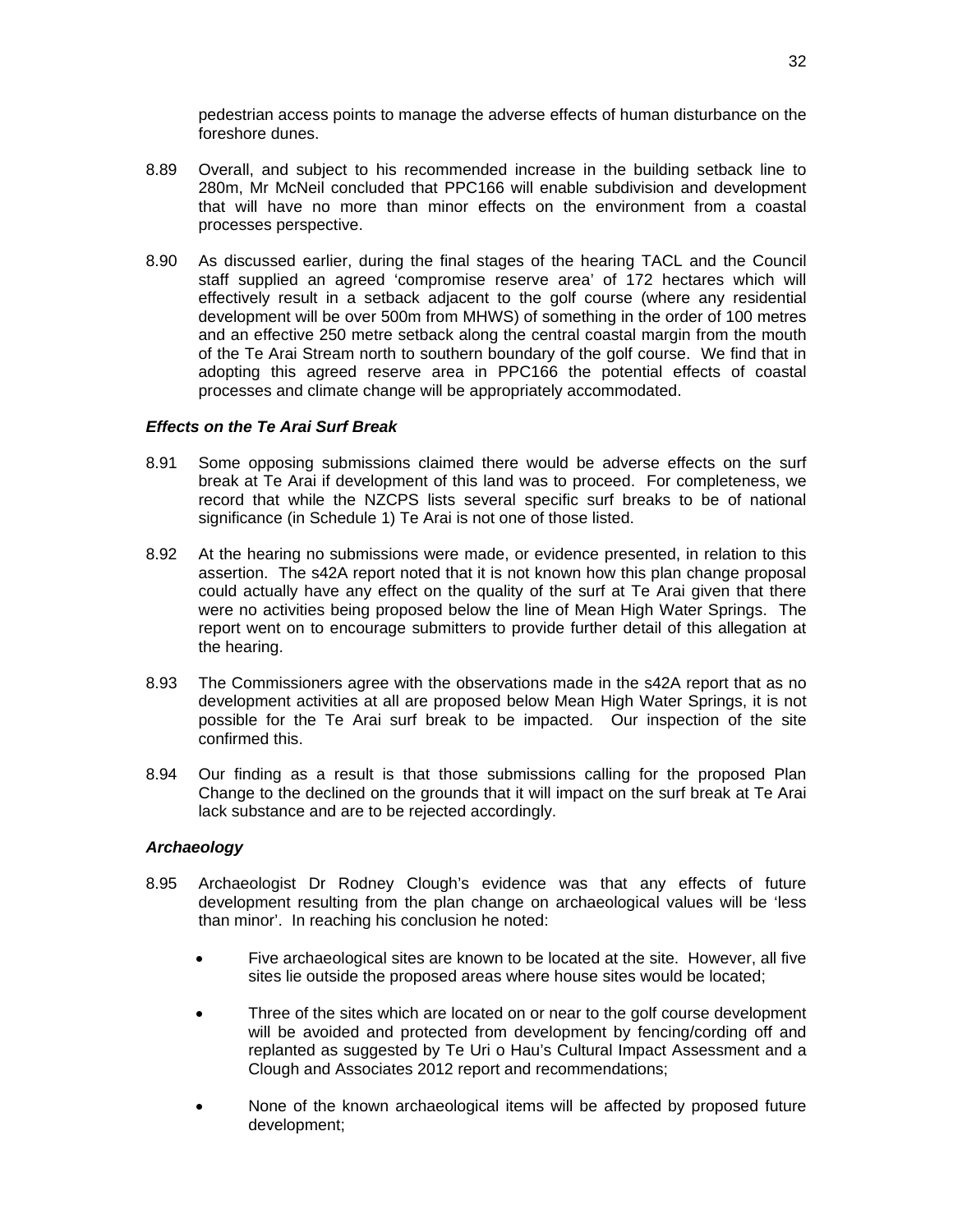pedestrian access points to manage the adverse effects of human disturbance on the foreshore dunes.

- 8.89 Overall, and subject to his recommended increase in the building setback line to 280m, Mr McNeil concluded that PPC166 will enable subdivision and development that will have no more than minor effects on the environment from a coastal processes perspective.
- 8.90 As discussed earlier, during the final stages of the hearing TACL and the Council staff supplied an agreed 'compromise reserve area' of 172 hectares which will effectively result in a setback adjacent to the golf course (where any residential development will be over 500m from MHWS) of something in the order of 100 metres and an effective 250 metre setback along the central coastal margin from the mouth of the Te Arai Stream north to southern boundary of the golf course. We find that in adopting this agreed reserve area in PPC166 the potential effects of coastal processes and climate change will be appropriately accommodated.

## *Effects on the Te Arai Surf Break*

- 8.91 Some opposing submissions claimed there would be adverse effects on the surf break at Te Arai if development of this land was to proceed. For completeness, we record that while the NZCPS lists several specific surf breaks to be of national significance (in Schedule 1) Te Arai is not one of those listed.
- 8.92 At the hearing no submissions were made, or evidence presented, in relation to this assertion. The s42A report noted that it is not known how this plan change proposal could actually have any effect on the quality of the surf at Te Arai given that there were no activities being proposed below the line of Mean High Water Springs. The report went on to encourage submitters to provide further detail of this allegation at the hearing.
- 8.93 The Commissioners agree with the observations made in the s42A report that as no development activities at all are proposed below Mean High Water Springs, it is not possible for the Te Arai surf break to be impacted. Our inspection of the site confirmed this.
- 8.94 Our finding as a result is that those submissions calling for the proposed Plan Change to the declined on the grounds that it will impact on the surf break at Te Arai lack substance and are to be rejected accordingly.

## *Archaeology*

- 8.95 Archaeologist Dr Rodney Clough's evidence was that any effects of future development resulting from the plan change on archaeological values will be 'less than minor'. In reaching his conclusion he noted:
	- Five archaeological sites are known to be located at the site. However, all five sites lie outside the proposed areas where house sites would be located;
	- Three of the sites which are located on or near to the golf course development will be avoided and protected from development by fencing/cording off and replanted as suggested by Te Uri o Hau's Cultural Impact Assessment and a Clough and Associates 2012 report and recommendations;
	- None of the known archaeological items will be affected by proposed future development;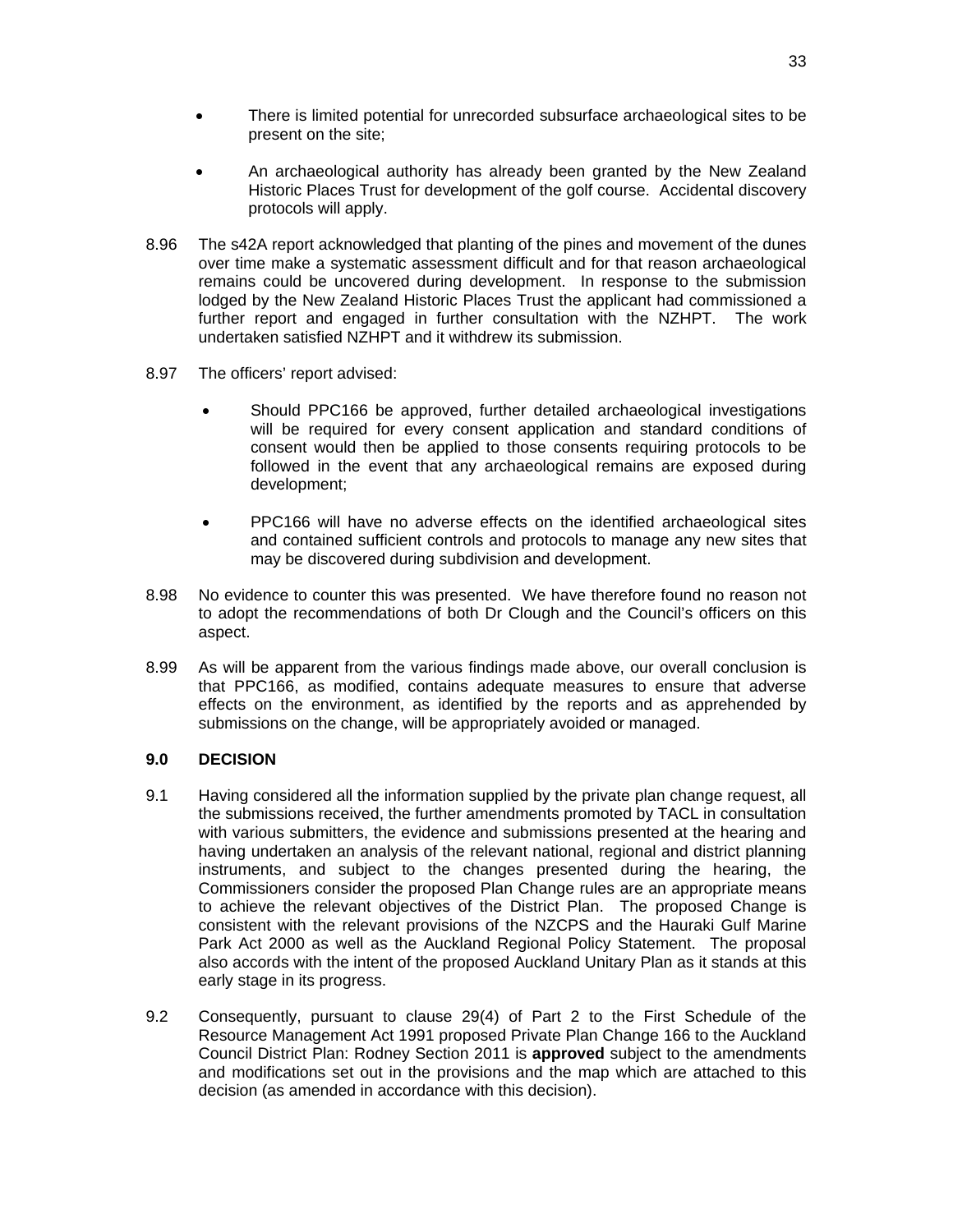- There is limited potential for unrecorded subsurface archaeological sites to be present on the site;
- An archaeological authority has already been granted by the New Zealand Historic Places Trust for development of the golf course. Accidental discovery protocols will apply.
- 8.96 The s42A report acknowledged that planting of the pines and movement of the dunes over time make a systematic assessment difficult and for that reason archaeological remains could be uncovered during development. In response to the submission lodged by the New Zealand Historic Places Trust the applicant had commissioned a further report and engaged in further consultation with the NZHPT. The work undertaken satisfied NZHPT and it withdrew its submission.
- 8.97 The officers' report advised:
	- Should PPC166 be approved, further detailed archaeological investigations will be required for every consent application and standard conditions of consent would then be applied to those consents requiring protocols to be followed in the event that any archaeological remains are exposed during development;
	- PPC166 will have no adverse effects on the identified archaeological sites and contained sufficient controls and protocols to manage any new sites that may be discovered during subdivision and development.
- 8.98 No evidence to counter this was presented. We have therefore found no reason not to adopt the recommendations of both Dr Clough and the Council's officers on this aspect.
- 8.99 As will be apparent from the various findings made above, our overall conclusion is that PPC166, as modified, contains adequate measures to ensure that adverse effects on the environment, as identified by the reports and as apprehended by submissions on the change, will be appropriately avoided or managed.

## **9.0 DECISION**

- 9.1 Having considered all the information supplied by the private plan change request, all the submissions received, the further amendments promoted by TACL in consultation with various submitters, the evidence and submissions presented at the hearing and having undertaken an analysis of the relevant national, regional and district planning instruments, and subject to the changes presented during the hearing, the Commissioners consider the proposed Plan Change rules are an appropriate means to achieve the relevant objectives of the District Plan. The proposed Change is consistent with the relevant provisions of the NZCPS and the Hauraki Gulf Marine Park Act 2000 as well as the Auckland Regional Policy Statement. The proposal also accords with the intent of the proposed Auckland Unitary Plan as it stands at this early stage in its progress.
- 9.2 Consequently, pursuant to clause 29(4) of Part 2 to the First Schedule of the Resource Management Act 1991 proposed Private Plan Change 166 to the Auckland Council District Plan: Rodney Section 2011 is **approved** subject to the amendments and modifications set out in the provisions and the map which are attached to this decision (as amended in accordance with this decision).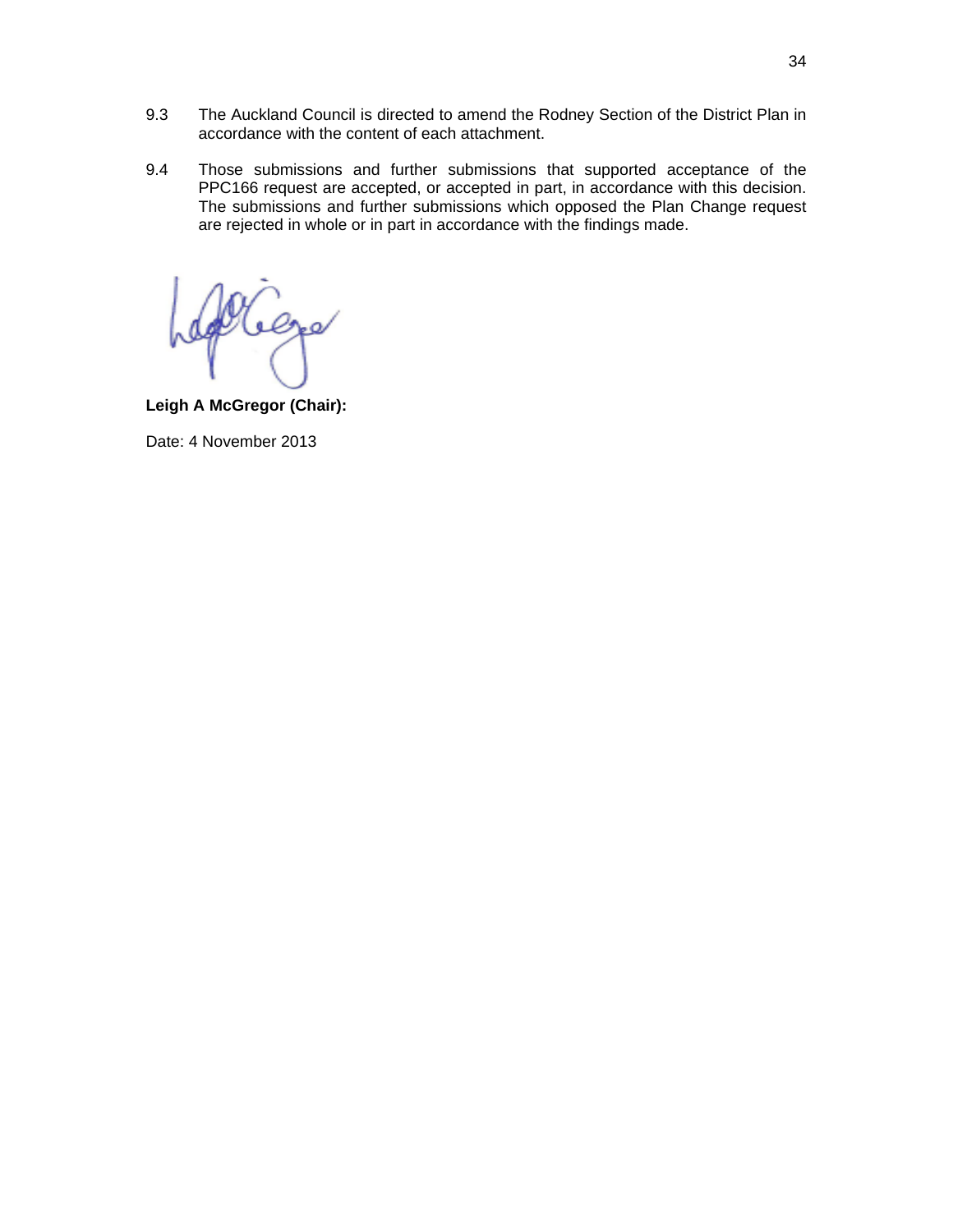- 9.3 The Auckland Council is directed to amend the Rodney Section of the District Plan in accordance with the content of each attachment.
- 9.4 Those submissions and further submissions that supported acceptance of the PPC166 request are accepted, or accepted in part, in accordance with this decision. The submissions and further submissions which opposed the Plan Change request are rejected in whole or in part in accordance with the findings made.

 $e_{\mathbf{r}}$ 

**Leigh A McGregor (Chair):** 

Date: 4 November 2013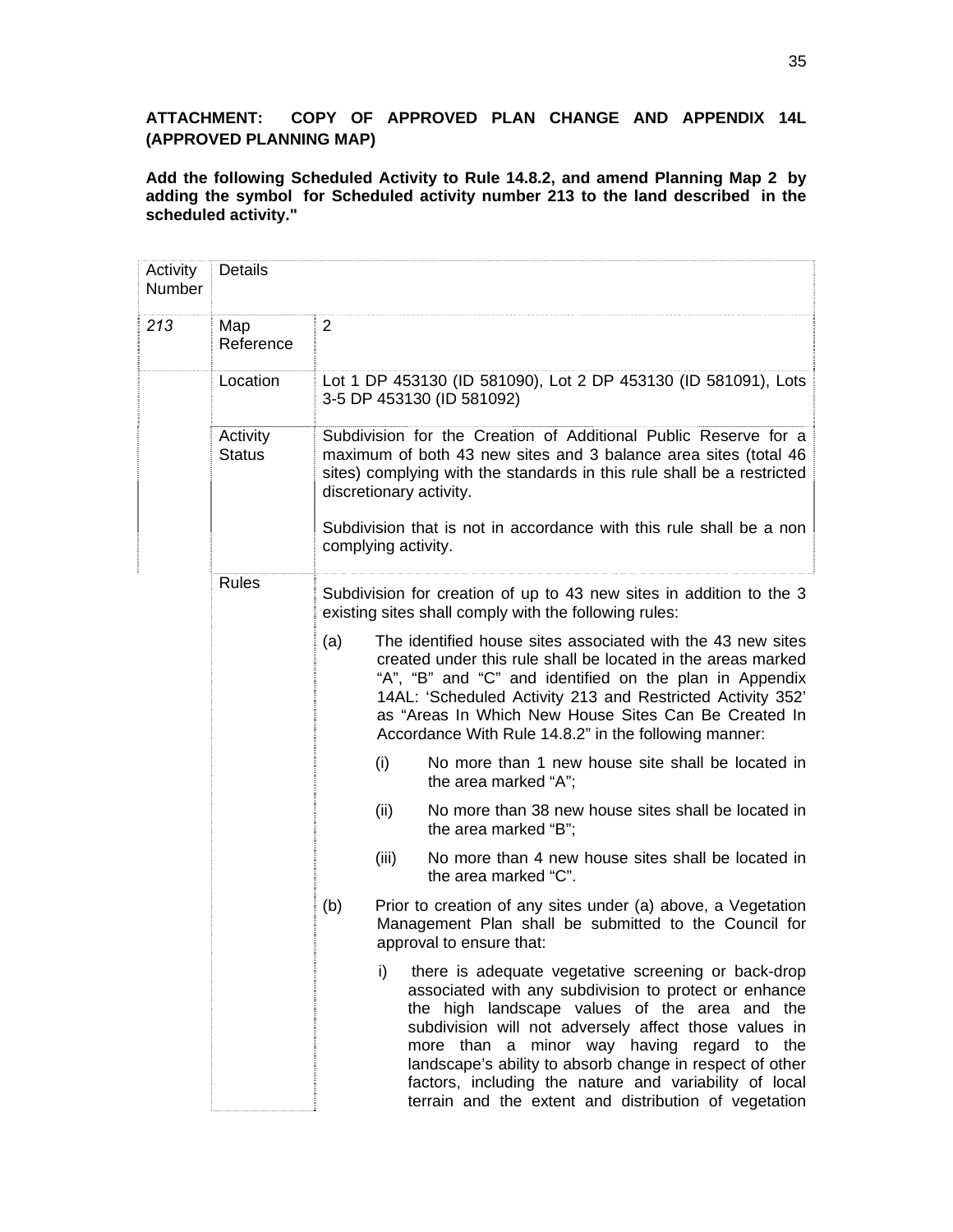## **ATTACHMENT: COPY OF APPROVED PLAN CHANGE AND APPENDIX 14L (APPROVED PLANNING MAP)**

**Add the following Scheduled Activity to Rule 14.8.2, and amend Planning Map 2 by adding the symbol for Scheduled activity number 213 to the land described in the scheduled activity."**

| Activity<br>Number | Details                   |                                                                                                                                                                                                                                                                                                                                                                                                                                                           |
|--------------------|---------------------------|-----------------------------------------------------------------------------------------------------------------------------------------------------------------------------------------------------------------------------------------------------------------------------------------------------------------------------------------------------------------------------------------------------------------------------------------------------------|
| 213                | Map<br>Reference          | 2                                                                                                                                                                                                                                                                                                                                                                                                                                                         |
|                    | Location                  | Lot 1 DP 453130 (ID 581090), Lot 2 DP 453130 (ID 581091), Lots<br>3-5 DP 453130 (ID 581092)                                                                                                                                                                                                                                                                                                                                                               |
|                    | Activity<br><b>Status</b> | Subdivision for the Creation of Additional Public Reserve for a<br>maximum of both 43 new sites and 3 balance area sites (total 46<br>sites) complying with the standards in this rule shall be a restricted<br>discretionary activity.                                                                                                                                                                                                                   |
|                    |                           | Subdivision that is not in accordance with this rule shall be a non<br>complying activity.                                                                                                                                                                                                                                                                                                                                                                |
|                    | <b>Rules</b>              | Subdivision for creation of up to 43 new sites in addition to the 3<br>existing sites shall comply with the following rules:                                                                                                                                                                                                                                                                                                                              |
|                    |                           | (a)<br>The identified house sites associated with the 43 new sites<br>created under this rule shall be located in the areas marked<br>"A", "B" and "C" and identified on the plan in Appendix<br>14AL: 'Scheduled Activity 213 and Restricted Activity 352'<br>as "Areas In Which New House Sites Can Be Created In<br>Accordance With Rule 14.8.2" in the following manner:                                                                              |
|                    |                           | (i)<br>No more than 1 new house site shall be located in<br>the area marked "A";                                                                                                                                                                                                                                                                                                                                                                          |
|                    |                           | No more than 38 new house sites shall be located in<br>(ii)<br>the area marked "B";                                                                                                                                                                                                                                                                                                                                                                       |
|                    |                           | No more than 4 new house sites shall be located in<br>(iii)<br>the area marked "C".                                                                                                                                                                                                                                                                                                                                                                       |
|                    |                           | (b)<br>Prior to creation of any sites under (a) above, a Vegetation<br>Management Plan shall be submitted to the Council for<br>approval to ensure that:                                                                                                                                                                                                                                                                                                  |
|                    |                           | i)<br>there is adequate vegetative screening or back-drop<br>associated with any subdivision to protect or enhance<br>the high landscape values of the area and the<br>subdivision will not adversely affect those values in<br>more than a minor way having regard to the<br>landscape's ability to absorb change in respect of other<br>factors, including the nature and variability of local<br>terrain and the extent and distribution of vegetation |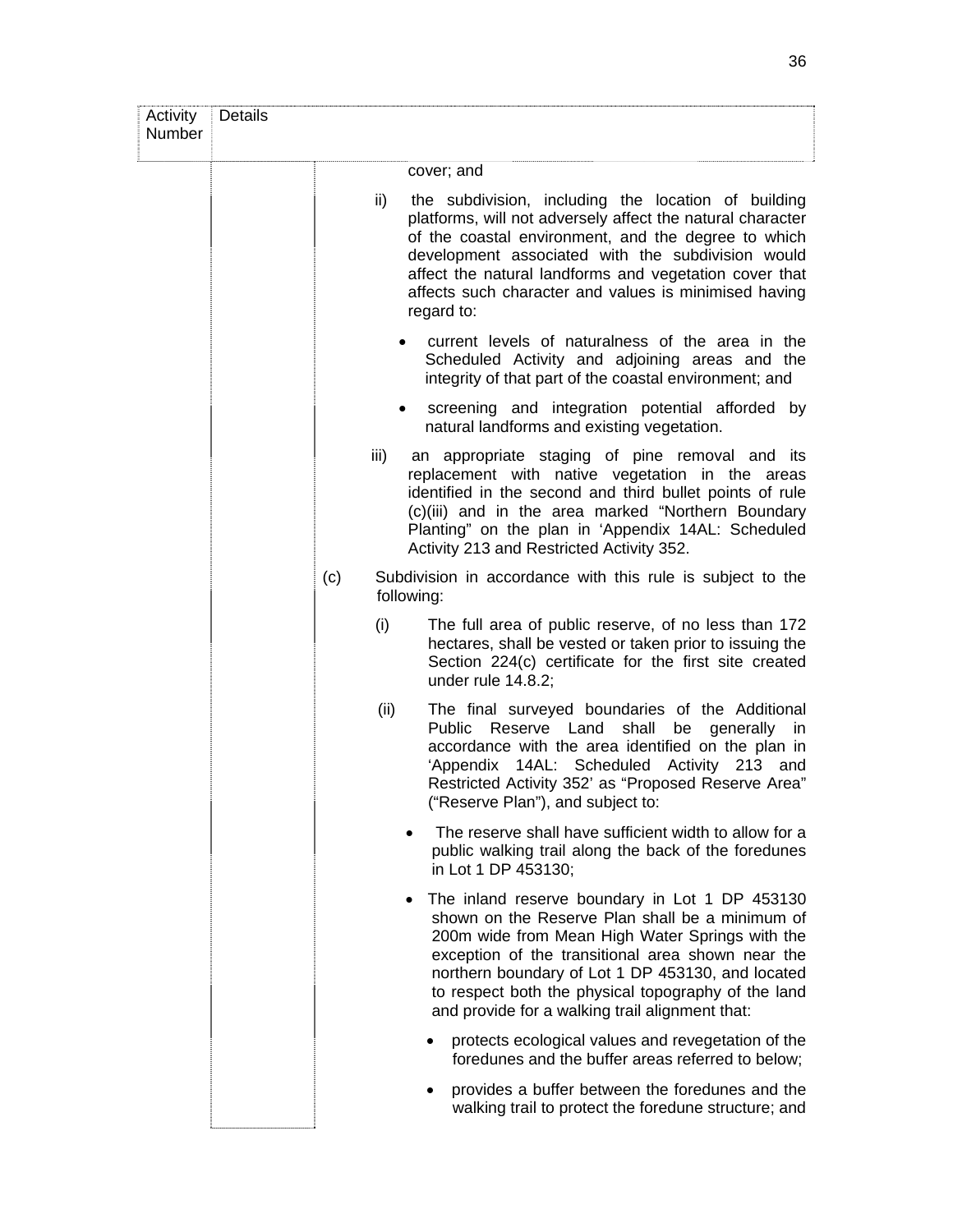| Activity<br>Number | <b>Details</b> |      |                                                                                                                                                                                                                                                                                                                                                                                       |
|--------------------|----------------|------|---------------------------------------------------------------------------------------------------------------------------------------------------------------------------------------------------------------------------------------------------------------------------------------------------------------------------------------------------------------------------------------|
|                    |                |      | cover; and                                                                                                                                                                                                                                                                                                                                                                            |
|                    |                | ii)  | the subdivision, including the location of building<br>platforms, will not adversely affect the natural character<br>of the coastal environment, and the degree to which<br>development associated with the subdivision would<br>affect the natural landforms and vegetation cover that<br>affects such character and values is minimised having<br>regard to:                        |
|                    |                |      | current levels of naturalness of the area in the<br>Scheduled Activity and adjoining areas and the<br>integrity of that part of the coastal environment; and                                                                                                                                                                                                                          |
|                    |                |      | screening and integration potential afforded by<br>$\bullet$<br>natural landforms and existing vegetation.                                                                                                                                                                                                                                                                            |
|                    |                | iii) | an appropriate staging of pine removal and its<br>replacement with native vegetation in the areas<br>identified in the second and third bullet points of rule<br>(c)(iii) and in the area marked "Northern Boundary<br>Planting" on the plan in 'Appendix 14AL: Scheduled<br>Activity 213 and Restricted Activity 352.                                                                |
|                    |                | (c)  | Subdivision in accordance with this rule is subject to the<br>following:                                                                                                                                                                                                                                                                                                              |
|                    |                | (i)  | The full area of public reserve, of no less than 172<br>hectares, shall be vested or taken prior to issuing the<br>Section 224(c) certificate for the first site created<br>under rule $14.8.2$ ;                                                                                                                                                                                     |
|                    |                | (ii) | The final surveyed boundaries of the Additional<br>Public Reserve Land shall be generally in<br>accordance with the area identified on the plan in<br>'Appendix 14AL: Scheduled Activity 213 and<br>Restricted Activity 352' as "Proposed Reserve Area"<br>("Reserve Plan"), and subject to:                                                                                          |
|                    |                |      | The reserve shall have sufficient width to allow for a<br>public walking trail along the back of the foredunes<br>in Lot 1 DP 453130;                                                                                                                                                                                                                                                 |
|                    |                |      | The inland reserve boundary in Lot 1 DP 453130<br>$\bullet$<br>shown on the Reserve Plan shall be a minimum of<br>200m wide from Mean High Water Springs with the<br>exception of the transitional area shown near the<br>northern boundary of Lot 1 DP 453130, and located<br>to respect both the physical topography of the land<br>and provide for a walking trail alignment that: |
|                    |                |      | protects ecological values and revegetation of the<br>foredunes and the buffer areas referred to below;                                                                                                                                                                                                                                                                               |
|                    |                |      | provides a buffer between the foredunes and the<br>walking trail to protect the foredune structure; and                                                                                                                                                                                                                                                                               |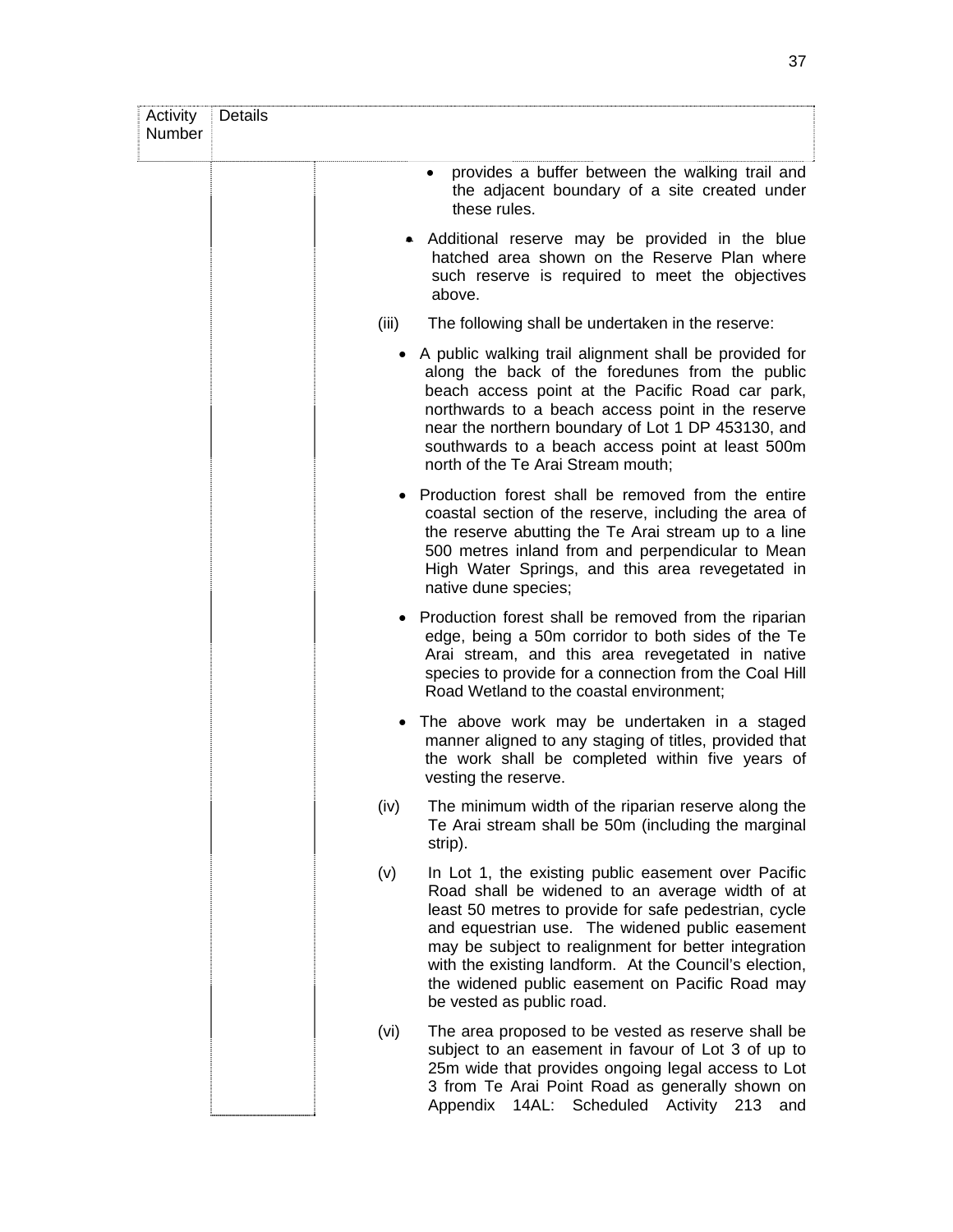| Activity<br>Number | <b>Details</b> |                                                                                                                                                                                                                                                                                                                                                                                                                      |
|--------------------|----------------|----------------------------------------------------------------------------------------------------------------------------------------------------------------------------------------------------------------------------------------------------------------------------------------------------------------------------------------------------------------------------------------------------------------------|
|                    |                | provides a buffer between the walking trail and<br>the adjacent boundary of a site created under<br>these rules.                                                                                                                                                                                                                                                                                                     |
|                    |                | Additional reserve may be provided in the blue<br>hatched area shown on the Reserve Plan where<br>such reserve is required to meet the objectives<br>above.                                                                                                                                                                                                                                                          |
|                    | (iii)          | The following shall be undertaken in the reserve:                                                                                                                                                                                                                                                                                                                                                                    |
|                    |                | A public walking trail alignment shall be provided for<br>along the back of the foredunes from the public<br>beach access point at the Pacific Road car park,<br>northwards to a beach access point in the reserve<br>near the northern boundary of Lot 1 DP 453130, and<br>southwards to a beach access point at least 500m<br>north of the Te Arai Stream mouth;                                                   |
|                    |                | • Production forest shall be removed from the entire<br>coastal section of the reserve, including the area of<br>the reserve abutting the Te Arai stream up to a line<br>500 metres inland from and perpendicular to Mean<br>High Water Springs, and this area revegetated in<br>native dune species;                                                                                                                |
|                    |                | Production forest shall be removed from the riparian<br>edge, being a 50m corridor to both sides of the Te<br>Arai stream, and this area revegetated in native<br>species to provide for a connection from the Coal Hill<br>Road Wetland to the coastal environment;                                                                                                                                                 |
|                    | ٠              | The above work may be undertaken in a staged<br>manner aligned to any staging of titles, provided that<br>the work shall be completed within five years of<br>vesting the reserve.                                                                                                                                                                                                                                   |
|                    | (iv)           | The minimum width of the riparian reserve along the<br>Te Arai stream shall be 50m (including the marginal<br>strip).                                                                                                                                                                                                                                                                                                |
|                    | (v)            | In Lot 1, the existing public easement over Pacific<br>Road shall be widened to an average width of at<br>least 50 metres to provide for safe pedestrian, cycle<br>and equestrian use. The widened public easement<br>may be subject to realignment for better integration<br>with the existing landform. At the Council's election,<br>the widened public easement on Pacific Road may<br>be vested as public road. |
|                    | (vi)           | The area proposed to be vested as reserve shall be<br>subject to an easement in favour of Lot 3 of up to<br>25m wide that provides ongoing legal access to Lot<br>3 from Te Arai Point Road as generally shown on<br>Appendix 14AL: Scheduled Activity 213<br>and                                                                                                                                                    |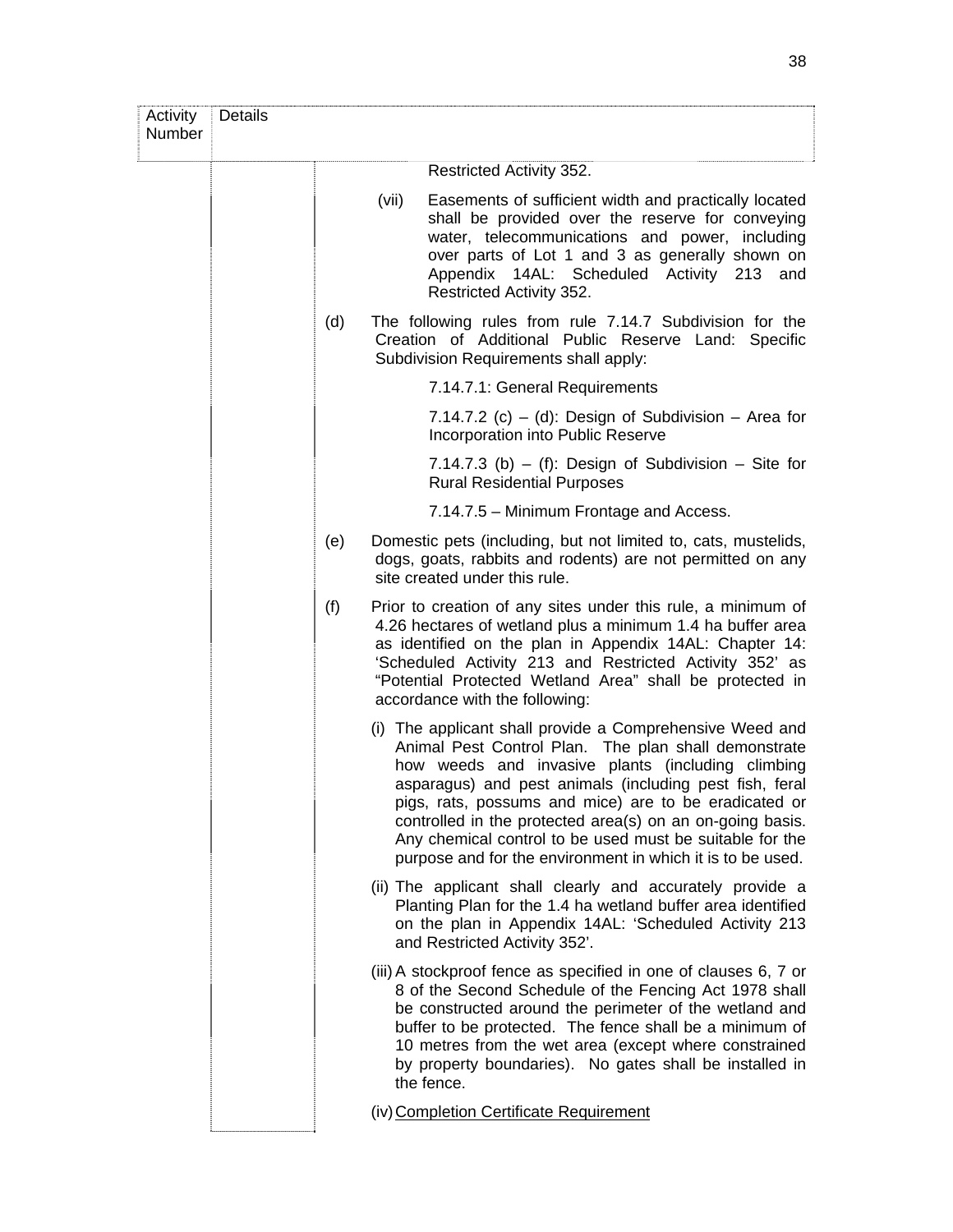| Activity<br>Number | Details |     |       |                                                                                                                                                                                                                                                                                                                                                                                                                                                                                  |
|--------------------|---------|-----|-------|----------------------------------------------------------------------------------------------------------------------------------------------------------------------------------------------------------------------------------------------------------------------------------------------------------------------------------------------------------------------------------------------------------------------------------------------------------------------------------|
|                    |         |     |       | Restricted Activity 352.                                                                                                                                                                                                                                                                                                                                                                                                                                                         |
|                    |         |     | (vii) | Easements of sufficient width and practically located<br>shall be provided over the reserve for conveying<br>water, telecommunications and power, including<br>over parts of Lot 1 and 3 as generally shown on<br>Appendix 14AL: Scheduled Activity 213 and<br>Restricted Activity 352.                                                                                                                                                                                          |
|                    |         | (d) |       | The following rules from rule 7.14.7 Subdivision for the<br>Creation of Additional Public Reserve Land: Specific<br>Subdivision Requirements shall apply:                                                                                                                                                                                                                                                                                                                        |
|                    |         |     |       | 7.14.7.1: General Requirements                                                                                                                                                                                                                                                                                                                                                                                                                                                   |
|                    |         |     |       | 7.14.7.2 (c) – (d): Design of Subdivision – Area for<br>Incorporation into Public Reserve                                                                                                                                                                                                                                                                                                                                                                                        |
|                    |         |     |       | 7.14.7.3 (b) $-$ (f): Design of Subdivision $-$ Site for<br><b>Rural Residential Purposes</b>                                                                                                                                                                                                                                                                                                                                                                                    |
|                    |         |     |       | 7.14.7.5 – Minimum Frontage and Access.                                                                                                                                                                                                                                                                                                                                                                                                                                          |
|                    |         | (e) |       | Domestic pets (including, but not limited to, cats, mustelids,<br>dogs, goats, rabbits and rodents) are not permitted on any<br>site created under this rule.                                                                                                                                                                                                                                                                                                                    |
|                    |         | (f) |       | Prior to creation of any sites under this rule, a minimum of<br>4.26 hectares of wetland plus a minimum 1.4 ha buffer area<br>as identified on the plan in Appendix 14AL: Chapter 14:<br>'Scheduled Activity 213 and Restricted Activity 352' as<br>"Potential Protected Wetland Area" shall be protected in<br>accordance with the following:                                                                                                                                   |
|                    |         |     |       | (i) The applicant shall provide a Comprehensive Weed and<br>Animal Pest Control Plan. The plan shall demonstrate<br>how weeds and invasive plants (including climbing<br>asparagus) and pest animals (including pest fish, feral<br>pigs, rats, possums and mice) are to be eradicated or<br>controlled in the protected area(s) on an on-going basis.<br>Any chemical control to be used must be suitable for the<br>purpose and for the environment in which it is to be used. |
|                    |         |     |       | (ii) The applicant shall clearly and accurately provide a<br>Planting Plan for the 1.4 ha wetland buffer area identified<br>on the plan in Appendix 14AL: 'Scheduled Activity 213<br>and Restricted Activity 352'.                                                                                                                                                                                                                                                               |
|                    |         |     |       | (iii) A stockproof fence as specified in one of clauses 6, 7 or<br>8 of the Second Schedule of the Fencing Act 1978 shall<br>be constructed around the perimeter of the wetland and<br>buffer to be protected. The fence shall be a minimum of<br>10 metres from the wet area (except where constrained<br>by property boundaries). No gates shall be installed in<br>the fence.                                                                                                 |
|                    |         |     |       | (iv) Completion Certificate Requirement                                                                                                                                                                                                                                                                                                                                                                                                                                          |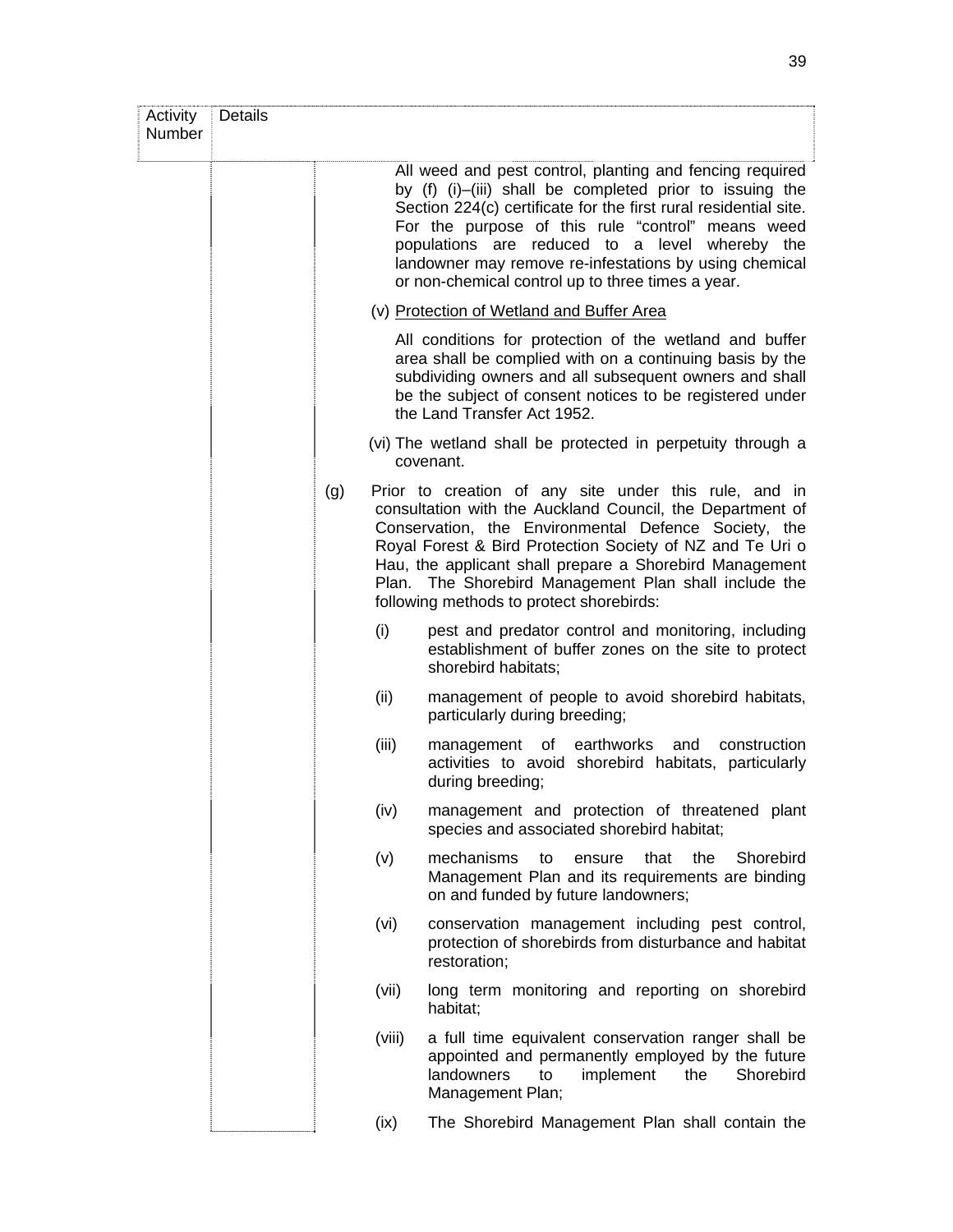| Activity<br>Number | <b>Details</b> |     |        |                                                                                                                                                                                                                                                                                                                                                                                                                |
|--------------------|----------------|-----|--------|----------------------------------------------------------------------------------------------------------------------------------------------------------------------------------------------------------------------------------------------------------------------------------------------------------------------------------------------------------------------------------------------------------------|
|                    |                |     |        | All weed and pest control, planting and fencing required<br>by (f) (i)-(iii) shall be completed prior to issuing the<br>Section 224(c) certificate for the first rural residential site.<br>For the purpose of this rule "control" means weed<br>populations are reduced to a level whereby the<br>landowner may remove re-infestations by using chemical<br>or non-chemical control up to three times a year. |
|                    |                |     |        | (v) Protection of Wetland and Buffer Area                                                                                                                                                                                                                                                                                                                                                                      |
|                    |                |     |        | All conditions for protection of the wetland and buffer<br>area shall be complied with on a continuing basis by the<br>subdividing owners and all subsequent owners and shall<br>be the subject of consent notices to be registered under<br>the Land Transfer Act 1952.                                                                                                                                       |
|                    |                |     |        | (vi) The wetland shall be protected in perpetuity through a<br>covenant.                                                                                                                                                                                                                                                                                                                                       |
|                    |                | (g) |        | Prior to creation of any site under this rule, and in<br>consultation with the Auckland Council, the Department of<br>Conservation, the Environmental Defence Society, the<br>Royal Forest & Bird Protection Society of NZ and Te Uri o<br>Hau, the applicant shall prepare a Shorebird Management<br>Plan. The Shorebird Management Plan shall include the<br>following methods to protect shorebirds:        |
|                    |                |     | (i)    | pest and predator control and monitoring, including<br>establishment of buffer zones on the site to protect<br>shorebird habitats;                                                                                                                                                                                                                                                                             |
|                    |                |     | (ii)   | management of people to avoid shorebird habitats,<br>particularly during breeding;                                                                                                                                                                                                                                                                                                                             |
|                    |                |     | (iii)  | management of earthworks<br>and<br>construction<br>activities to avoid shorebird habitats, particularly<br>during breeding;                                                                                                                                                                                                                                                                                    |
|                    |                |     | (iv)   | management and protection of threatened plant<br>species and associated shorebird habitat;                                                                                                                                                                                                                                                                                                                     |
|                    |                |     | (v)    | mechanisms<br>the<br>to<br>ensure<br>that<br>Shorebird<br>Management Plan and its requirements are binding<br>on and funded by future landowners;                                                                                                                                                                                                                                                              |
|                    |                |     | (vi)   | conservation management including pest control,<br>protection of shorebirds from disturbance and habitat<br>restoration;                                                                                                                                                                                                                                                                                       |
|                    |                |     | (vii)  | long term monitoring and reporting on shorebird<br>habitat;                                                                                                                                                                                                                                                                                                                                                    |
|                    |                |     | (viii) | a full time equivalent conservation ranger shall be<br>appointed and permanently employed by the future<br>landowners<br>to<br>implement<br>the<br>Shorebird<br>Management Plan;                                                                                                                                                                                                                               |
|                    |                |     | (ix)   | The Shorebird Management Plan shall contain the                                                                                                                                                                                                                                                                                                                                                                |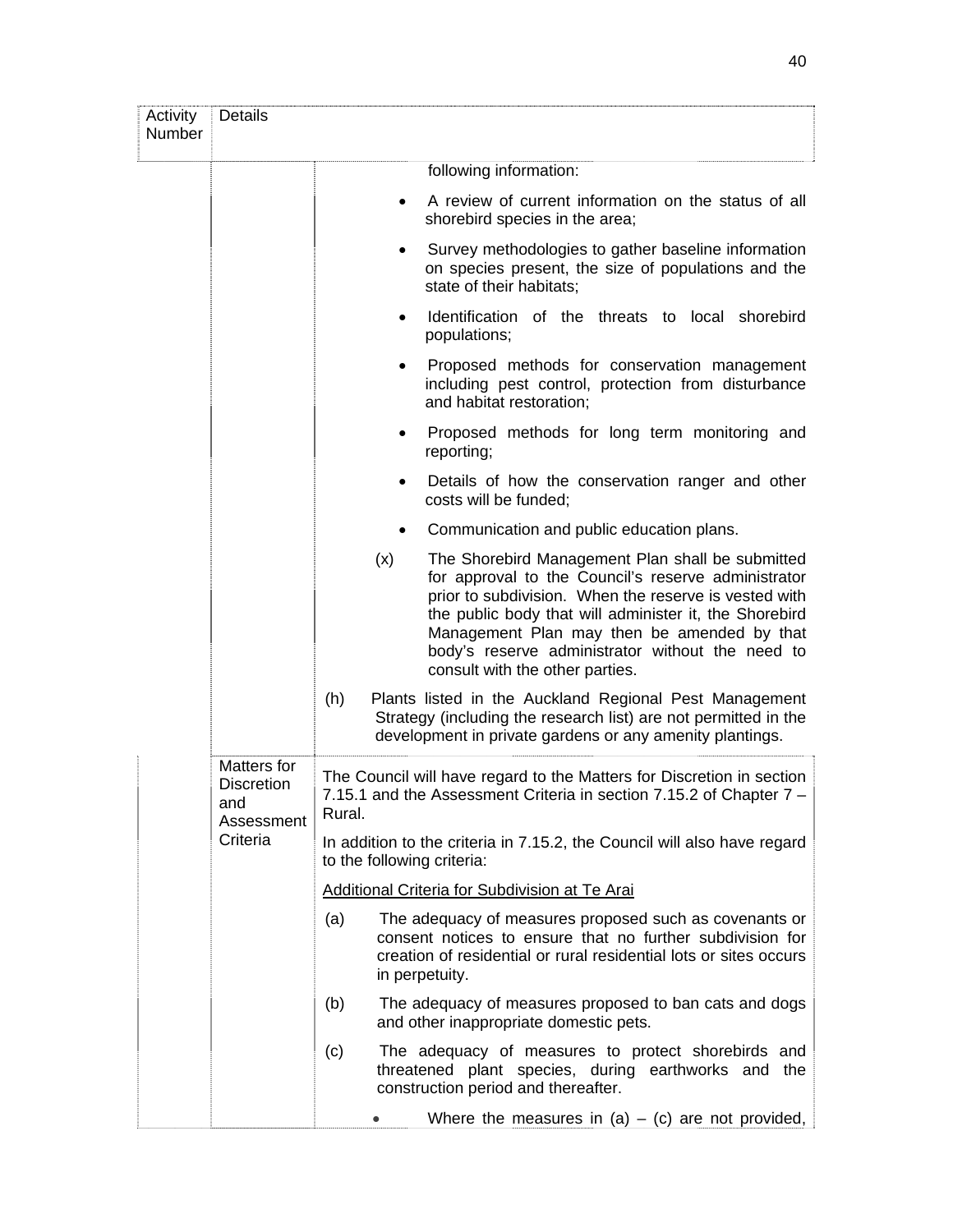| Activity<br>Number | <b>Details</b>                                        |                                                                                                        |                                                                                                                                                                                                                                                                                                                                                                  |  |
|--------------------|-------------------------------------------------------|--------------------------------------------------------------------------------------------------------|------------------------------------------------------------------------------------------------------------------------------------------------------------------------------------------------------------------------------------------------------------------------------------------------------------------------------------------------------------------|--|
|                    |                                                       |                                                                                                        | following information:                                                                                                                                                                                                                                                                                                                                           |  |
|                    |                                                       |                                                                                                        | A review of current information on the status of all<br>shorebird species in the area;                                                                                                                                                                                                                                                                           |  |
|                    |                                                       |                                                                                                        | Survey methodologies to gather baseline information<br>on species present, the size of populations and the<br>state of their habitats;                                                                                                                                                                                                                           |  |
|                    |                                                       | $\bullet$                                                                                              | Identification of the threats to local shorebird<br>populations;                                                                                                                                                                                                                                                                                                 |  |
|                    |                                                       | $\bullet$                                                                                              | Proposed methods for conservation management<br>including pest control, protection from disturbance<br>and habitat restoration;                                                                                                                                                                                                                                  |  |
|                    |                                                       | ٠                                                                                                      | Proposed methods for long term monitoring and<br>reporting;                                                                                                                                                                                                                                                                                                      |  |
|                    |                                                       | ٠                                                                                                      | Details of how the conservation ranger and other<br>costs will be funded;                                                                                                                                                                                                                                                                                        |  |
|                    |                                                       |                                                                                                        | Communication and public education plans.                                                                                                                                                                                                                                                                                                                        |  |
|                    |                                                       | (x)                                                                                                    | The Shorebird Management Plan shall be submitted<br>for approval to the Council's reserve administrator<br>prior to subdivision. When the reserve is vested with<br>the public body that will administer it, the Shorebird<br>Management Plan may then be amended by that<br>body's reserve administrator without the need to<br>consult with the other parties. |  |
|                    |                                                       | (h)                                                                                                    | Plants listed in the Auckland Regional Pest Management<br>Strategy (including the research list) are not permitted in the<br>development in private gardens or any amenity plantings.                                                                                                                                                                            |  |
|                    | Matters for<br><b>Discretion</b><br>and<br>Assessment | Rural.                                                                                                 | The Council will have regard to the Matters for Discretion in section<br>7.15.1 and the Assessment Criteria in section 7.15.2 of Chapter 7 -                                                                                                                                                                                                                     |  |
|                    | Criteria                                              | In addition to the criteria in 7.15.2, the Council will also have regard<br>to the following criteria: |                                                                                                                                                                                                                                                                                                                                                                  |  |
|                    |                                                       |                                                                                                        | <b>Additional Criteria for Subdivision at Te Arai</b>                                                                                                                                                                                                                                                                                                            |  |
|                    |                                                       | (a)                                                                                                    | The adequacy of measures proposed such as covenants or<br>consent notices to ensure that no further subdivision for<br>creation of residential or rural residential lots or sites occurs<br>in perpetuity.                                                                                                                                                       |  |
|                    |                                                       | (b)                                                                                                    | The adequacy of measures proposed to ban cats and dogs<br>and other inappropriate domestic pets.                                                                                                                                                                                                                                                                 |  |
|                    |                                                       | (c)                                                                                                    | The adequacy of measures to protect shorebirds and<br>threatened plant species, during earthworks and the<br>construction period and thereafter.                                                                                                                                                                                                                 |  |
|                    |                                                       |                                                                                                        | Where the measures in $(a) - (c)$ are not provided,                                                                                                                                                                                                                                                                                                              |  |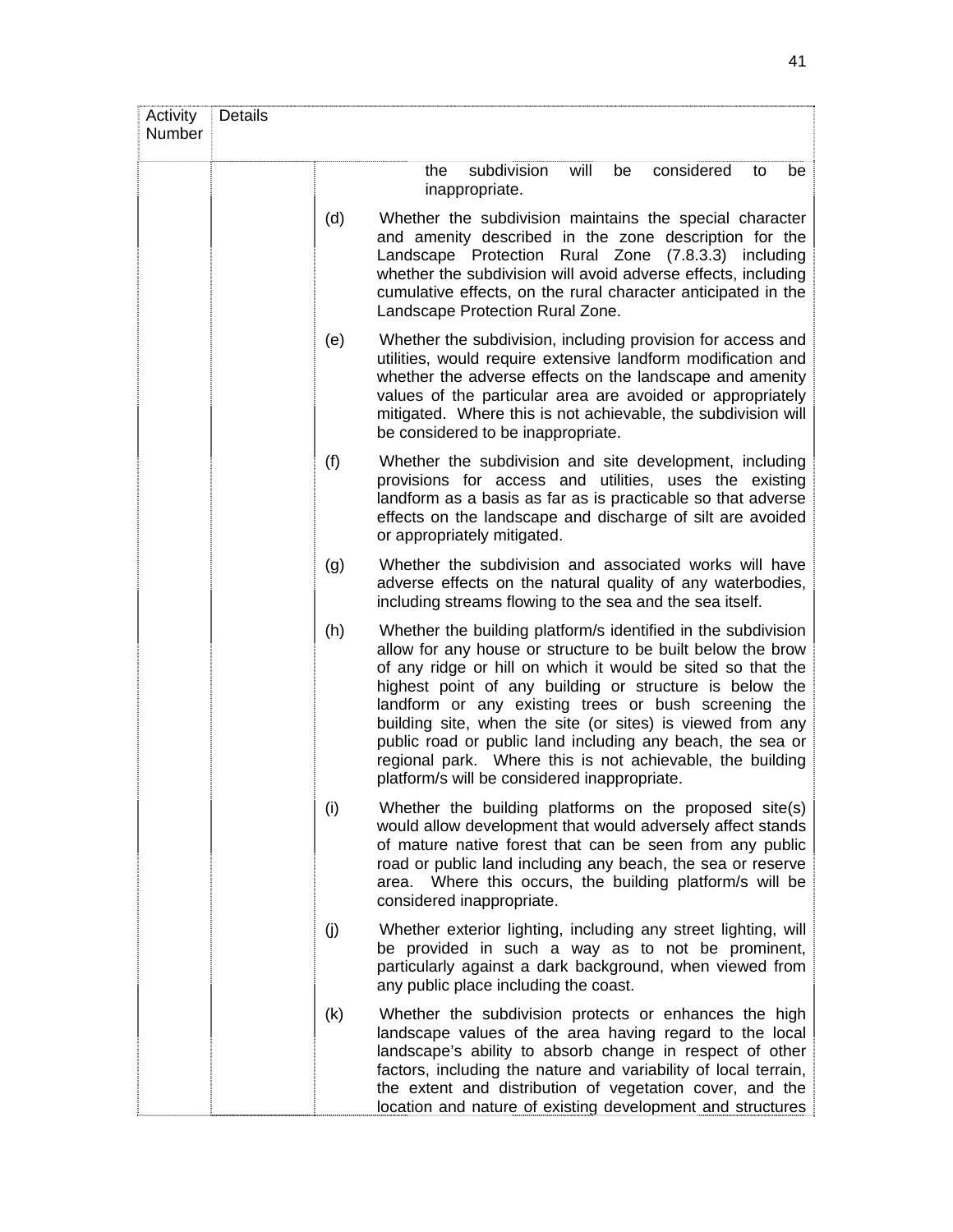| Activity<br>Number | <b>Details</b> |     |                                                                                                                                                                                                                                                                                                                                                                                                                                                                                                                                                         |
|--------------------|----------------|-----|---------------------------------------------------------------------------------------------------------------------------------------------------------------------------------------------------------------------------------------------------------------------------------------------------------------------------------------------------------------------------------------------------------------------------------------------------------------------------------------------------------------------------------------------------------|
|                    |                |     | subdivision<br>will<br>considered<br>be<br>the<br>be<br>to<br>inappropriate.                                                                                                                                                                                                                                                                                                                                                                                                                                                                            |
|                    |                | (d) | Whether the subdivision maintains the special character<br>and amenity described in the zone description for the<br>Landscape Protection Rural Zone (7.8.3.3) including<br>whether the subdivision will avoid adverse effects, including<br>cumulative effects, on the rural character anticipated in the<br>Landscape Protection Rural Zone.                                                                                                                                                                                                           |
|                    |                | (e) | Whether the subdivision, including provision for access and<br>utilities, would require extensive landform modification and<br>whether the adverse effects on the landscape and amenity<br>values of the particular area are avoided or appropriately<br>mitigated. Where this is not achievable, the subdivision will<br>be considered to be inappropriate.                                                                                                                                                                                            |
|                    |                | (f) | Whether the subdivision and site development, including<br>provisions for access and utilities, uses the existing<br>landform as a basis as far as is practicable so that adverse<br>effects on the landscape and discharge of silt are avoided<br>or appropriately mitigated.                                                                                                                                                                                                                                                                          |
|                    |                | (g) | Whether the subdivision and associated works will have<br>adverse effects on the natural quality of any waterbodies,<br>including streams flowing to the sea and the sea itself.                                                                                                                                                                                                                                                                                                                                                                        |
|                    |                | (h) | Whether the building platform/s identified in the subdivision<br>allow for any house or structure to be built below the brow<br>of any ridge or hill on which it would be sited so that the<br>highest point of any building or structure is below the<br>landform or any existing trees or bush screening the<br>building site, when the site (or sites) is viewed from any<br>public road or public land including any beach, the sea or<br>regional park. Where this is not achievable, the building<br>platform/s will be considered inappropriate. |
|                    |                | (i) | Whether the building platforms on the proposed site(s)<br>would allow development that would adversely affect stands<br>of mature native forest that can be seen from any public<br>road or public land including any beach, the sea or reserve<br>area. Where this occurs, the building platform/s will be<br>considered inappropriate.                                                                                                                                                                                                                |
|                    |                | (j) | Whether exterior lighting, including any street lighting, will<br>be provided in such a way as to not be prominent,<br>particularly against a dark background, when viewed from<br>any public place including the coast.                                                                                                                                                                                                                                                                                                                                |
|                    |                | (k) | Whether the subdivision protects or enhances the high<br>landscape values of the area having regard to the local<br>landscape's ability to absorb change in respect of other<br>factors, including the nature and variability of local terrain,<br>the extent and distribution of vegetation cover, and the<br>location and nature of existing development and structures                                                                                                                                                                               |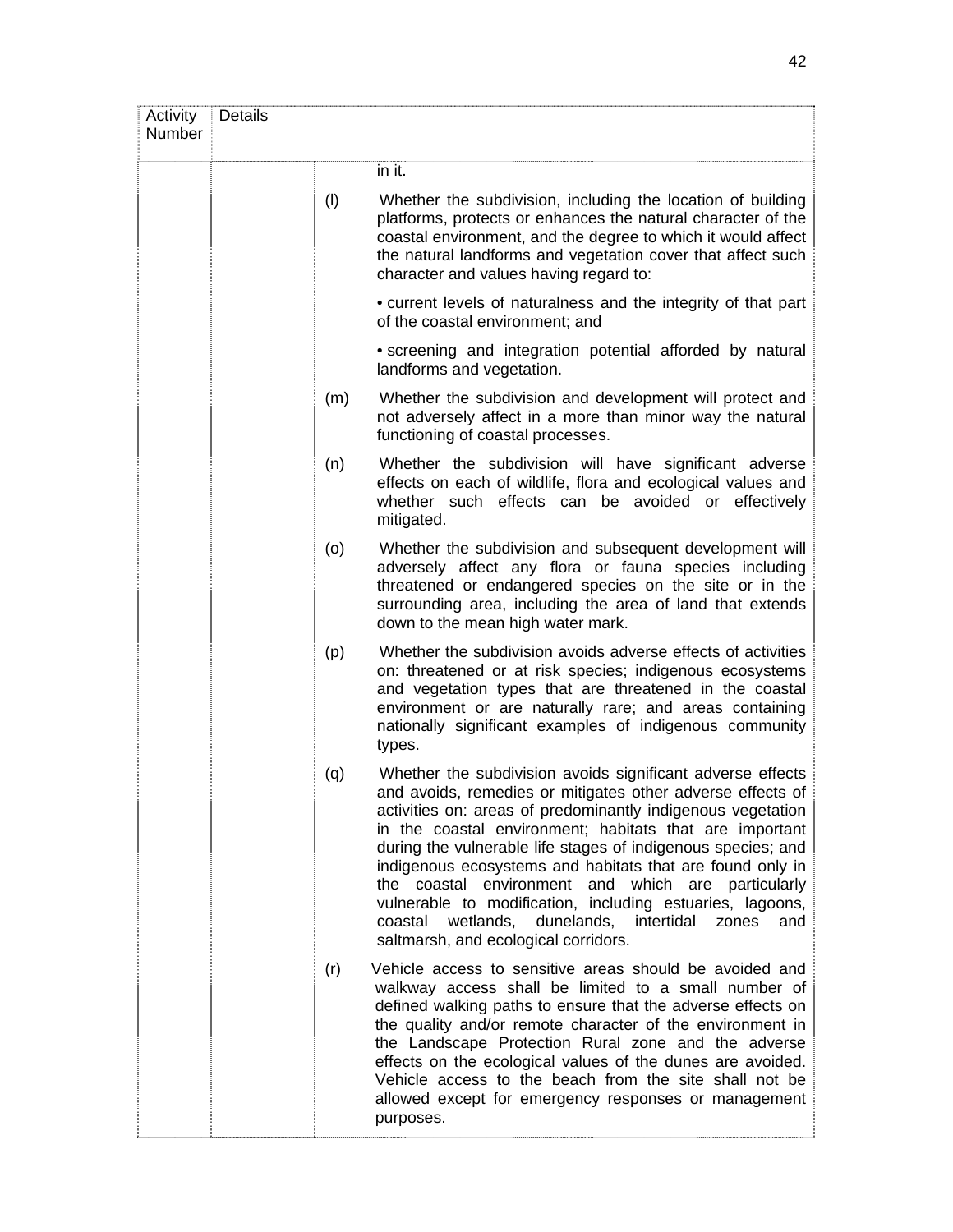| Activity<br>Number | Details |                                                                                                                                                                                                                                                                                                                                                                                                                                                                                                                                                                                                       |
|--------------------|---------|-------------------------------------------------------------------------------------------------------------------------------------------------------------------------------------------------------------------------------------------------------------------------------------------------------------------------------------------------------------------------------------------------------------------------------------------------------------------------------------------------------------------------------------------------------------------------------------------------------|
|                    |         | in it.                                                                                                                                                                                                                                                                                                                                                                                                                                                                                                                                                                                                |
|                    | (1)     | Whether the subdivision, including the location of building<br>platforms, protects or enhances the natural character of the<br>coastal environment, and the degree to which it would affect<br>the natural landforms and vegetation cover that affect such<br>character and values having regard to:                                                                                                                                                                                                                                                                                                  |
|                    |         | • current levels of naturalness and the integrity of that part<br>of the coastal environment; and                                                                                                                                                                                                                                                                                                                                                                                                                                                                                                     |
|                    |         | • screening and integration potential afforded by natural<br>landforms and vegetation.                                                                                                                                                                                                                                                                                                                                                                                                                                                                                                                |
|                    | (m)     | Whether the subdivision and development will protect and<br>not adversely affect in a more than minor way the natural<br>functioning of coastal processes.                                                                                                                                                                                                                                                                                                                                                                                                                                            |
|                    | (n)     | Whether the subdivision will have significant adverse<br>effects on each of wildlife, flora and ecological values and<br>whether such effects can be avoided or effectively<br>mitigated.                                                                                                                                                                                                                                                                                                                                                                                                             |
|                    | (o)     | Whether the subdivision and subsequent development will<br>adversely affect any flora or fauna species including<br>threatened or endangered species on the site or in the<br>surrounding area, including the area of land that extends<br>down to the mean high water mark.                                                                                                                                                                                                                                                                                                                          |
|                    | (p)     | Whether the subdivision avoids adverse effects of activities<br>on: threatened or at risk species; indigenous ecosystems<br>and vegetation types that are threatened in the coastal<br>environment or are naturally rare; and areas containing<br>nationally significant examples of indigenous community<br>types.                                                                                                                                                                                                                                                                                   |
|                    | (q)     | Whether the subdivision avoids significant adverse effects<br>and avoids, remedies or mitigates other adverse effects of<br>activities on: areas of predominantly indigenous vegetation<br>in the coastal environment; habitats that are important<br>during the vulnerable life stages of indigenous species; and<br>indigenous ecosystems and habitats that are found only in<br>the coastal environment and which are particularly<br>vulnerable to modification, including estuaries, lagoons,<br>coastal wetlands, dunelands, intertidal<br>zones<br>and<br>saltmarsh, and ecological corridors. |
|                    | (r)     | Vehicle access to sensitive areas should be avoided and<br>walkway access shall be limited to a small number of<br>defined walking paths to ensure that the adverse effects on<br>the quality and/or remote character of the environment in<br>the Landscape Protection Rural zone and the adverse<br>effects on the ecological values of the dunes are avoided.<br>Vehicle access to the beach from the site shall not be<br>allowed except for emergency responses or management<br>purposes.                                                                                                       |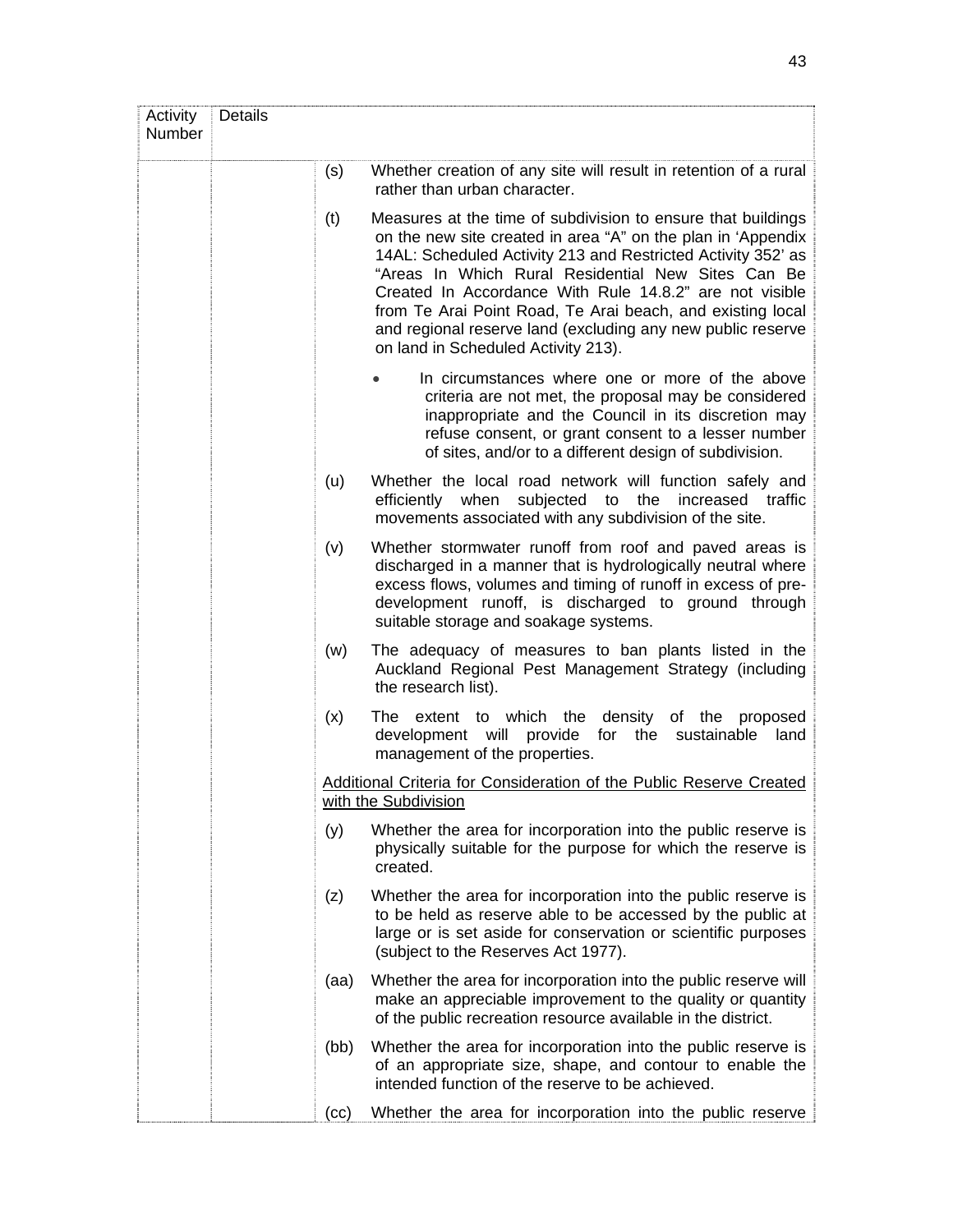| Activity<br>Number | Details |      |                                                                                                                                                                                                                                                                                                                                                                                                                                                                                   |
|--------------------|---------|------|-----------------------------------------------------------------------------------------------------------------------------------------------------------------------------------------------------------------------------------------------------------------------------------------------------------------------------------------------------------------------------------------------------------------------------------------------------------------------------------|
|                    |         | (s)  | Whether creation of any site will result in retention of a rural<br>rather than urban character.                                                                                                                                                                                                                                                                                                                                                                                  |
|                    |         | (t)  | Measures at the time of subdivision to ensure that buildings<br>on the new site created in area "A" on the plan in 'Appendix<br>14AL: Scheduled Activity 213 and Restricted Activity 352' as<br>"Areas In Which Rural Residential New Sites Can Be<br>Created In Accordance With Rule 14.8.2" are not visible<br>from Te Arai Point Road, Te Arai beach, and existing local<br>and regional reserve land (excluding any new public reserve<br>on land in Scheduled Activity 213). |
|                    |         |      | In circumstances where one or more of the above<br>criteria are not met, the proposal may be considered<br>inappropriate and the Council in its discretion may<br>refuse consent, or grant consent to a lesser number<br>of sites, and/or to a different design of subdivision.                                                                                                                                                                                                   |
|                    |         | (u)  | Whether the local road network will function safely and<br>subjected to the<br>when<br>increased traffic<br>efficiently<br>movements associated with any subdivision of the site.                                                                                                                                                                                                                                                                                                 |
|                    |         | (v)  | Whether stormwater runoff from roof and paved areas is<br>discharged in a manner that is hydrologically neutral where<br>excess flows, volumes and timing of runoff in excess of pre-<br>development runoff, is discharged to ground through<br>suitable storage and soakage systems.                                                                                                                                                                                             |
|                    |         | (w)  | The adequacy of measures to ban plants listed in the<br>Auckland Regional Pest Management Strategy (including<br>the research list).                                                                                                                                                                                                                                                                                                                                              |
|                    |         | (x)  | extent to which the density of the proposed<br>The<br>development will provide for the sustainable<br>land<br>management of the properties.                                                                                                                                                                                                                                                                                                                                       |
|                    |         |      | Additional Criteria for Consideration of the Public Reserve Created<br>with the Subdivision                                                                                                                                                                                                                                                                                                                                                                                       |
|                    |         | (y)  | Whether the area for incorporation into the public reserve is<br>physically suitable for the purpose for which the reserve is<br>created.                                                                                                                                                                                                                                                                                                                                         |
|                    |         | (z)  | Whether the area for incorporation into the public reserve is<br>to be held as reserve able to be accessed by the public at<br>large or is set aside for conservation or scientific purposes<br>(subject to the Reserves Act 1977).                                                                                                                                                                                                                                               |
|                    |         | (aa) | Whether the area for incorporation into the public reserve will<br>make an appreciable improvement to the quality or quantity<br>of the public recreation resource available in the district.                                                                                                                                                                                                                                                                                     |
|                    |         | (bb) | Whether the area for incorporation into the public reserve is<br>of an appropriate size, shape, and contour to enable the<br>intended function of the reserve to be achieved.                                                                                                                                                                                                                                                                                                     |
|                    |         | (cc) | Whether the area for incorporation into the public reserve                                                                                                                                                                                                                                                                                                                                                                                                                        |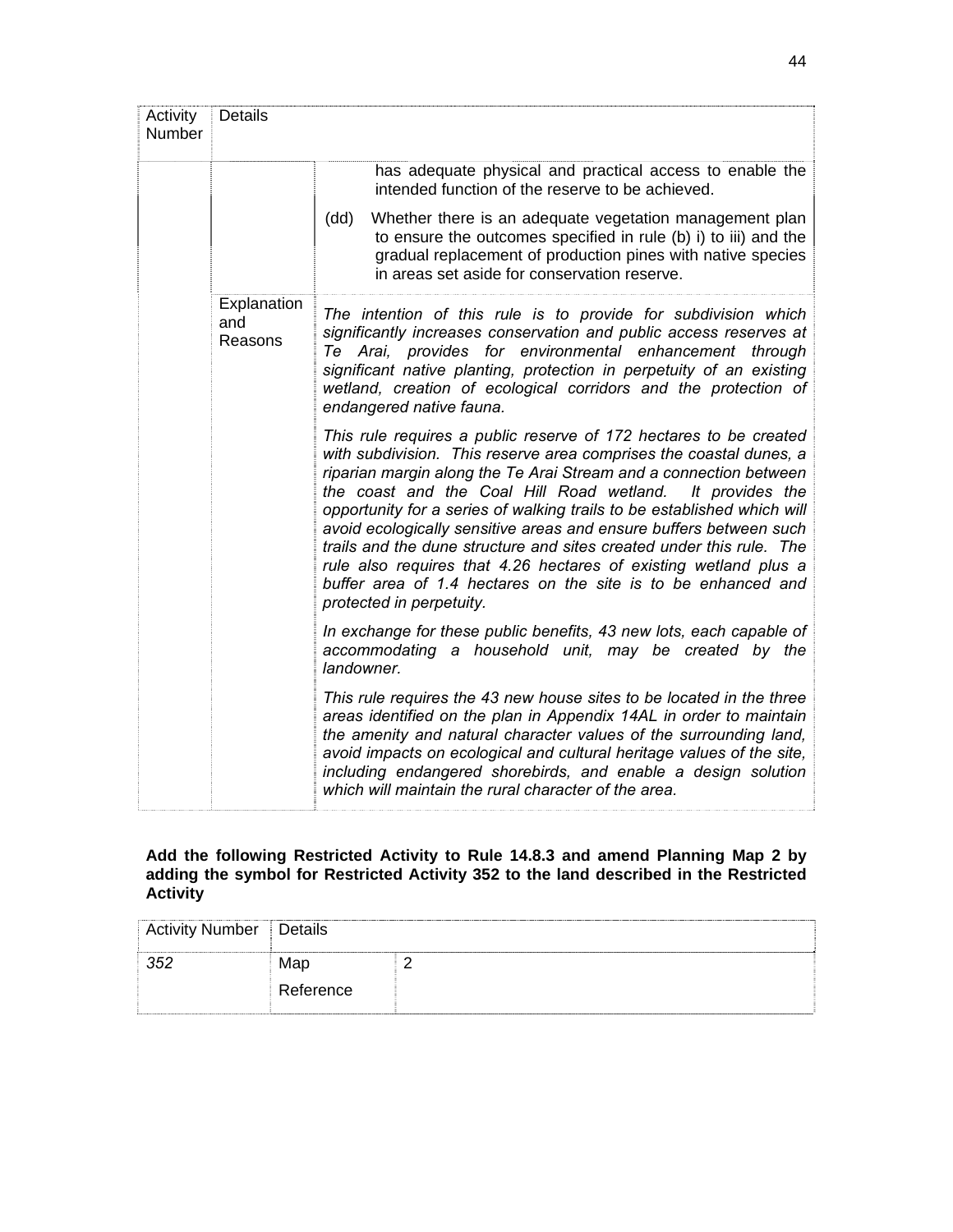| Activity<br>Number | <b>Details</b>                |                                                                                                                                                                                                                                                                                                                                                                                                                                                                                                                                                                                                                                                                     |
|--------------------|-------------------------------|---------------------------------------------------------------------------------------------------------------------------------------------------------------------------------------------------------------------------------------------------------------------------------------------------------------------------------------------------------------------------------------------------------------------------------------------------------------------------------------------------------------------------------------------------------------------------------------------------------------------------------------------------------------------|
|                    |                               | has adequate physical and practical access to enable the<br>intended function of the reserve to be achieved.                                                                                                                                                                                                                                                                                                                                                                                                                                                                                                                                                        |
|                    |                               | Whether there is an adequate vegetation management plan<br>(dd)<br>to ensure the outcomes specified in rule (b) i) to iii) and the<br>gradual replacement of production pines with native species<br>in areas set aside for conservation reserve.                                                                                                                                                                                                                                                                                                                                                                                                                   |
|                    | Explanation<br>and<br>Reasons | The intention of this rule is to provide for subdivision which<br>significantly increases conservation and public access reserves at<br>Te Arai, provides for environmental enhancement through<br>significant native planting, protection in perpetuity of an existing<br>wetland, creation of ecological corridors and the protection of<br>endangered native fauna.                                                                                                                                                                                                                                                                                              |
|                    |                               | This rule requires a public reserve of 172 hectares to be created<br>with subdivision. This reserve area comprises the coastal dunes, a<br>riparian margin along the Te Arai Stream and a connection between<br>the coast and the Coal Hill Road wetland. It provides the<br>opportunity for a series of walking trails to be established which will<br>avoid ecologically sensitive areas and ensure buffers between such<br>trails and the dune structure and sites created under this rule. The<br>rule also requires that 4.26 hectares of existing wetland plus a<br>buffer area of 1.4 hectares on the site is to be enhanced and<br>protected in perpetuity. |
|                    |                               | In exchange for these public benefits, 43 new lots, each capable of<br>accommodating a household unit, may be created by the<br>landowner.                                                                                                                                                                                                                                                                                                                                                                                                                                                                                                                          |
|                    |                               | This rule requires the 43 new house sites to be located in the three<br>areas identified on the plan in Appendix 14AL in order to maintain<br>the amenity and natural character values of the surrounding land,<br>avoid impacts on ecological and cultural heritage values of the site,<br>including endangered shorebirds, and enable a design solution<br>which will maintain the rural character of the area.                                                                                                                                                                                                                                                   |

## **Add the following Restricted Activity to Rule 14.8.3 and amend Planning Map 2 by adding the symbol for Restricted Activity 352 to the land described in the Restricted Activity**

| Activity Number   Details |           |  |
|---------------------------|-----------|--|
| 352                       | Map       |  |
|                           | Reference |  |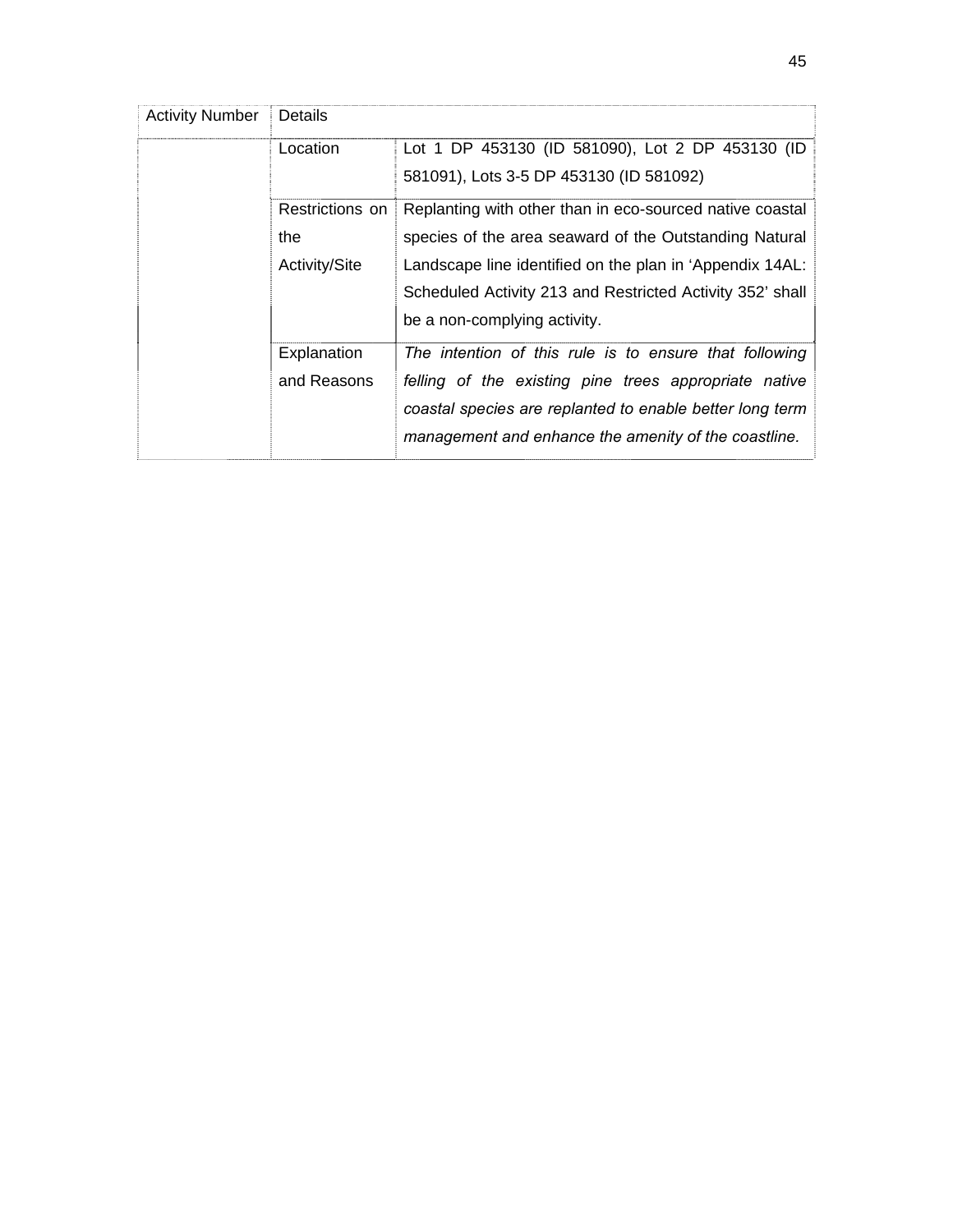| <b>Activity Number</b> | Details         |                                                           |  |  |
|------------------------|-----------------|-----------------------------------------------------------|--|--|
|                        | Location        | Lot 1 DP 453130 (ID 581090), Lot 2 DP 453130 (ID          |  |  |
|                        |                 | 581091), Lots 3-5 DP 453130 (ID 581092)                   |  |  |
|                        | Restrictions on | Replanting with other than in eco-sourced native coastal  |  |  |
|                        | the             | species of the area seaward of the Outstanding Natural    |  |  |
|                        | Activity/Site   | Landscape line identified on the plan in 'Appendix 14AL:  |  |  |
|                        |                 | Scheduled Activity 213 and Restricted Activity 352' shall |  |  |
|                        |                 | be a non-complying activity.                              |  |  |
|                        | Explanation     | The intention of this rule is to ensure that following    |  |  |
|                        | and Reasons     | felling of the existing pine trees appropriate native     |  |  |
|                        |                 | coastal species are replanted to enable better long term  |  |  |
|                        |                 | management and enhance the amenity of the coastline.      |  |  |